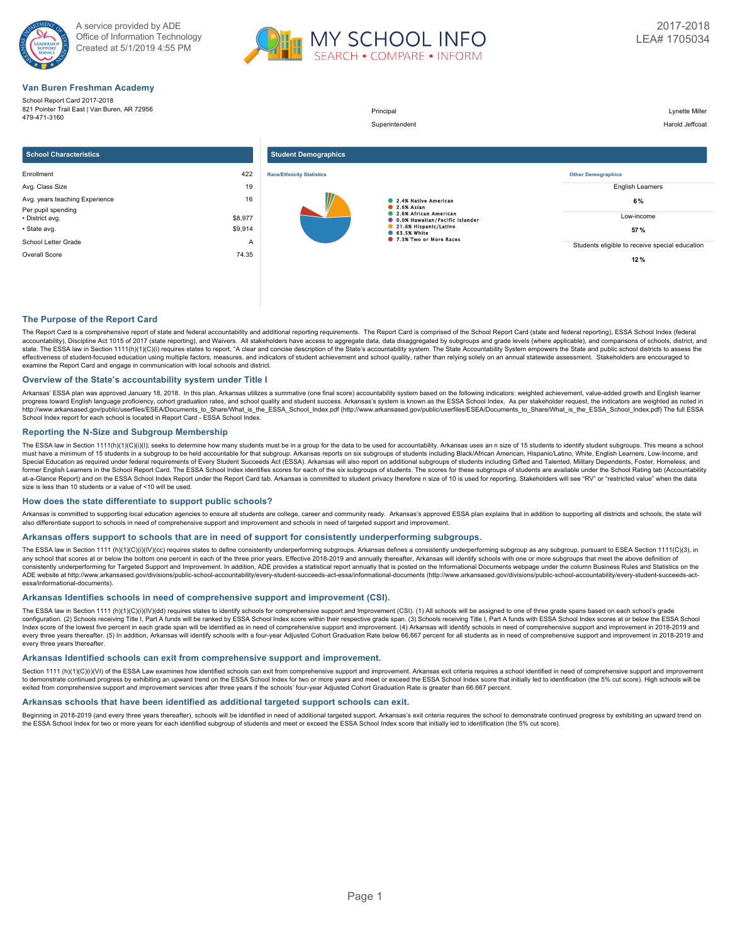

Per pup

A service provided by ADE Office of Information Technology Created at 5/1/2019 4:55 PM



### **Van Buren Freshman Academy**

School Report Card 2017-2018 821 Poi 479-47

| School Report Card 2017-2018<br>821 Pointer Trail East   Van Buren, AR 72956<br>479-471-3160 |         |                                  | Principal<br>Superintendent                                     | Lynette Miller<br>Harold Jeffcoat              |
|----------------------------------------------------------------------------------------------|---------|----------------------------------|-----------------------------------------------------------------|------------------------------------------------|
| <b>School Characteristics</b>                                                                |         | <b>Student Demographics</b>      |                                                                 |                                                |
| Enrollment                                                                                   | 422     | <b>Race/Ethnicity Statistics</b> |                                                                 | <b>Other Demographics</b>                      |
| Avg. Class Size                                                                              | 19      |                                  |                                                                 | <b>English Learners</b>                        |
| Avg. years teaching Experience<br>Per pupil spending                                         | 16      |                                  | 2.4% Native American<br>2.6% Aslan                              | 6%                                             |
| • District avg.                                                                              | \$8,977 |                                  | 2.6% African American<br><b>CO.0% Hawallan/Pacific Islander</b> | Low-income                                     |
| • State avg.                                                                                 | \$9,914 |                                  | 21.6% Hispanic/Latino<br><b>6</b> 63.5% White                   | 57%                                            |
| School Letter Grade                                                                          | Α       |                                  | 7.3% Two or More Races                                          | Students eligible to receive special education |
| Overall Score                                                                                | 74.35   |                                  |                                                                 | 12%                                            |
|                                                                                              |         |                                  |                                                                 |                                                |

### **The Purpose of the Report Card**

The Report Card is a comprehensive report of state and federal accountability and additional reporting requirements. The Report Card is comprised of the School Report Card (state and federal reporting). ESSA School Index ( accountability), Discipline Act 1015 of 2017 (state reporting), and Waivers. All stakeholders have access to aggregate data, data disaggregated by subgroups and grade levels (where applicable), and comparisons of schools, state. The ESSA law in Section 1111(h)(1)(C)(i) requires states to report, "A clear and concise description of the State's accountability system. The State Accountability System empowers the State and public school distric effectiveness of student-focused education using multiple factors, measures, and indicators of student achievement and school quality, rather than relying solely on an annual statewide assessment. Stakeholders are encourag examine the Report Card and engage in communication with local schools and district.

### **Overview of the State's accountability system under Title I**

Arkansas' ESSA plan was approved January 18, 2018. In this plan, Arkansas utilizes a summative (one final score) accountability system based on the following indicators: weighted achievement, value-added growth and English progress toward English language proficiency, cohort graduation rates, and school quality and student success. Arkansas's system is known as the ESSA School Index. As per stakeholder request, the indicators are weighted as School Index report for each school is located in Report Card - ESSA School Index.

#### **Reporting the N-Size and Subgroup Membership**

The ESSA law in Section 1111(h)(1)(C)(i)(l); seeks to determine how many students must be in a group for the data to be used for accountability. Arkansas uses an n size of 15 students to identify student subgroups. This me must have a minimum of 15 students in a subgroup to be held accountable for that subgroup. Arkansas reports on six subgroups of students including Black/African American, Hispanic/Latino, White, English Learners, Low-Incom Special Education as required under federal requirements of Every Student Succeeds Act (ESSA). Arkansas will also report on additional subgroups of students including Gifted and Talented, Military Dependents, Foster, Homel former English Learners in the School Report Card. The ESSA School Index identifies scores for each of the six subgroups of students. The scores for these subgroups of students are available under the School Rating tab (Ac at-a-Glance Report) and on the ESSA School Index Report under the Report Card tab. Arkansas is committed to student privacy therefore n size of 10 is used for reporting. Stakeholders will see "RV" or "restricted value" whe size is less than 10 students or a value of <10 will be used.

#### **How does the state differentiate to support public schools?**

Arkansas is committed to supporting local education agencies to ensure all students are college, career and community ready. Arkansas's approved ESSA plan explains that in addition to supporting all districts and schools, also differentiate support to schools in need of comprehensive support and improvement and schools in need of targeted support and improvement.

#### **Arkansas offers support to schools that are in need of support for consistently underperforming subgroups.**

The ESSA law in Section 1111 (h)(1)(O)(i)(IV)(cc) requires states to define consistently underperforming subgroups. Arkansas defines a consistently underperforming subgroups as any subgroup, pursuant to ESEA Section 1111(C any school that scores at or below the bottom one percent in each of the three prior years. Effective 2018-2019 and annually thereafter. Arkansas will identify schools with one or more subgroups that meet the above definit consistently underperforming for Targeted Support and Improvement. In addition, ADE provides a statistical report annually that is posted on the Informational Documents webpage under the column Business Rules and Statistic ADE website at http://www.arkansased.gov/divisions/public-school-accountability/every-student-succeeds-act-essa/informational-documents (http://www.arkansased.gov/divisions/public-school-accountability/every-student-succee essa/informational-documents).

#### **Arkansas Identifies schools in need of comprehensive support and improvement (CSI).**

The ESSA law in Section 1111 (h)(1)(C)(i)(IV)(dd) requires states to identify schools for comprehensive support and Improvement (CSI). (1) All schools will be assigned to one of three grade spans based on each school's gra configuration. (2) Schools receiving Title I, Part A funds will be ranked by ESSA School Index score within their respective grade span. (3) Schools receiving Title I, Part A funds with ESSA School Index scores at or below every three years thereafter. (5) In addition, Arkansas will identify schools with a four-year Adjusted Cohort Graduation Rate below 66.667 percent for all students as in need of comprehensive support and improvement in 20 every three years thereafter.

#### **Arkansas Identified schools can exit from comprehensive support and improvement.**

Section 1111 (h)(1)(C)(i)(VI) of the ESSA Law examines how identified schools can exit from comprehensive support and improvement. Arkansas exit criteria requires a school identified in need of comprehensive support and im to demonstrate continued progress by exhibiting an upward trend on the ESSA School Index for two or more years and meet or exceed the ESSA School Index score that initially led to identification (the 5% cut score). High sc exited from comprehensive support and improvement services after three years if the schools' four-year Adjusted Cohort Graduation Rate is greater than 66.667 percent.

### **Arkansas schools that have been identified as additional targeted support schools can exit.**

Beginning in 2018-2019 (and every three years thereafter), schools will be identified in need of additional targeted support. Arkansas's exit criteria requires the school to demonstrate continued progress by exhibiting an the ESSA School Index for two or more years for each identified subgroup of students and meet or exceed the ESSA School Index score that initially led to identification (the 5% cut score).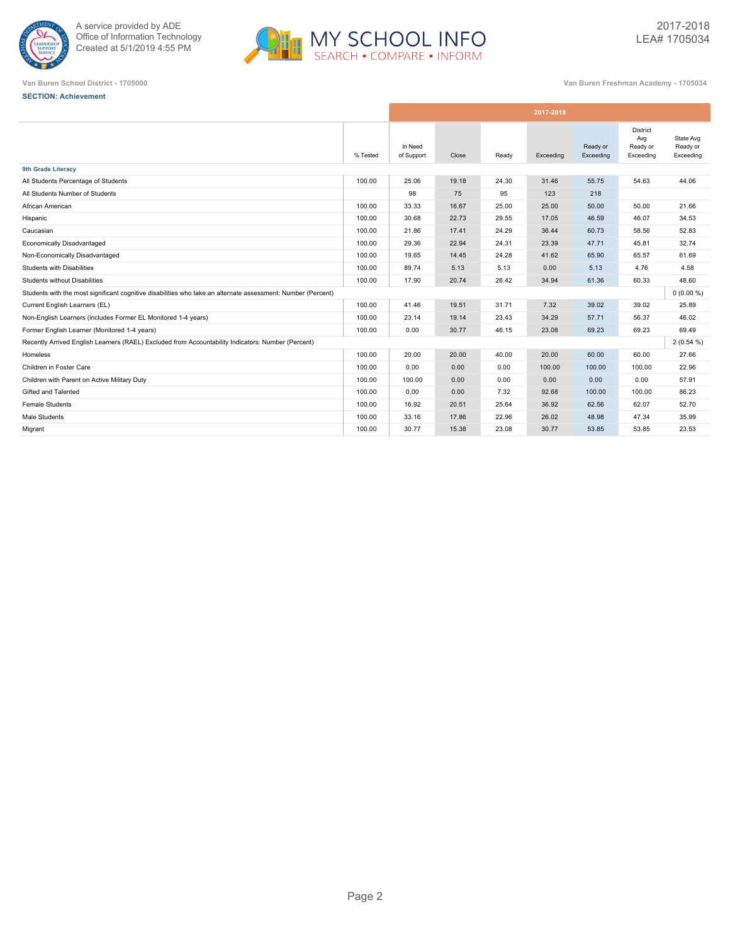



**SECTION: Achievement**

|                                                                                                              |          |                       |       |       | 2017-2018 |                       |                                                 |                                    |
|--------------------------------------------------------------------------------------------------------------|----------|-----------------------|-------|-------|-----------|-----------------------|-------------------------------------------------|------------------------------------|
|                                                                                                              | % Tested | In Need<br>of Support | Close | Ready | Exceeding | Ready or<br>Exceeding | <b>District</b><br>Avg<br>Ready or<br>Exceeding | State Avg<br>Ready or<br>Exceeding |
| 9th Grade Literacy                                                                                           |          |                       |       |       |           |                       |                                                 |                                    |
| All Students Percentage of Students                                                                          | 100.00   | 25.06                 | 19.18 | 24.30 | 31.46     | 55.75                 | 54.63                                           | 44.06                              |
| All Students Number of Students                                                                              |          | 98                    | 75    | 95    | 123       | 218                   |                                                 |                                    |
| African American                                                                                             | 100.00   | 33.33                 | 16.67 | 25.00 | 25.00     | 50.00                 | 50.00                                           | 21.66                              |
| Hispanic                                                                                                     | 100.00   | 30.68                 | 22.73 | 29.55 | 17.05     | 46.59                 | 46.07                                           | 34.53                              |
| Caucasian                                                                                                    | 100.00   | 21.86                 | 17.41 | 24.29 | 36.44     | 60.73                 | 58.56                                           | 52.83                              |
| Economically Disadvantaged                                                                                   | 100.00   | 29.36                 | 22.94 | 24.31 | 23.39     | 47.71                 | 45.81                                           | 32.74                              |
| Non-Economically Disadvantaged                                                                               | 100.00   | 19.65                 | 14.45 | 24.28 | 41.62     | 65.90                 | 65.57                                           | 61.69                              |
| <b>Students with Disabilities</b>                                                                            | 100.00   | 89.74                 | 5.13  | 5.13  | 0.00      | 5.13                  | 4.76                                            | 4.58                               |
| <b>Students without Disabilities</b>                                                                         | 100.00   | 17.90                 | 20.74 | 26.42 | 34.94     | 61.36                 | 60.33                                           | 48.60                              |
| Students with the most significant cognitive disabilities who take an alternate assessment: Number (Percent) |          |                       |       |       |           |                       |                                                 | $0(0.00\%)$                        |
| Current English Learners (EL)                                                                                | 100.00   | 41.46                 | 19.51 | 31.71 | 7.32      | 39.02                 | 39.02                                           | 25.89                              |
| Non-English Learners (includes Former EL Monitored 1-4 years)                                                | 100.00   | 23.14                 | 19.14 | 23.43 | 34.29     | 57.71                 | 56.37                                           | 46.02                              |
| Former English Learner (Monitored 1-4 years)                                                                 | 100.00   | 0.00                  | 30.77 | 46.15 | 23.08     | 69.23                 | 69.23                                           | 69.49                              |
| Recently Arrived English Learners (RAEL) Excluded from Accountability Indicators: Number (Percent)           |          |                       |       |       |           |                       |                                                 | $2(0.54\%)$                        |
| Homeless                                                                                                     | 100.00   | 20.00                 | 20.00 | 40.00 | 20.00     | 60.00                 | 60.00                                           | 27.66                              |
| Children in Foster Care                                                                                      | 100.00   | 0.00                  | 0.00  | 0.00  | 100.00    | 100.00                | 100.00                                          | 22.96                              |
| Children with Parent on Active Military Duty                                                                 | 100.00   | 100.00                | 0.00  | 0.00  | 0.00      | 0.00                  | 0.00                                            | 57.91                              |
| Gifted and Talented                                                                                          | 100.00   | 0.00                  | 0.00  | 7.32  | 92.68     | 100.00                | 100.00                                          | 86.23                              |
| <b>Female Students</b>                                                                                       | 100.00   | 16.92                 | 20.51 | 25.64 | 36.92     | 62.56                 | 62.07                                           | 52.70                              |
| Male Students                                                                                                | 100.00   | 33.16                 | 17.86 | 22.96 | 26.02     | 48.98                 | 47.34                                           | 35.99                              |
| Migrant                                                                                                      | 100.00   | 30.77                 | 15.38 | 23.08 | 30.77     | 53.85                 | 53.85                                           | 23.53                              |
|                                                                                                              |          |                       |       |       |           |                       |                                                 |                                    |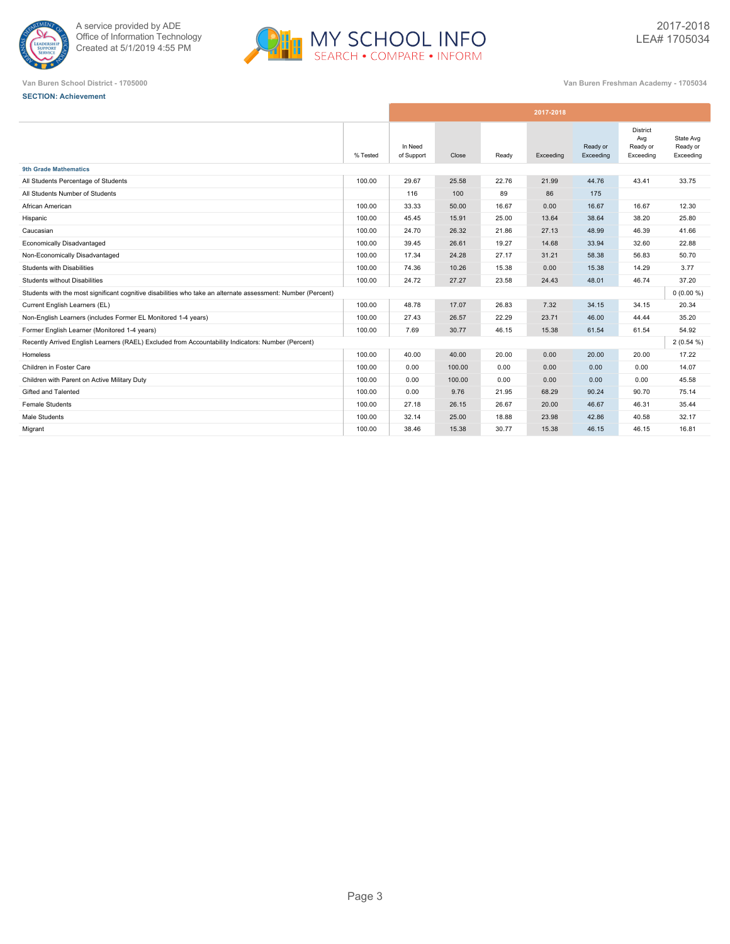



**SECTION: Achievement**

| Van Buren School District - 1705000 | Van Buren Freshman Academy - 1705034 |
|-------------------------------------|--------------------------------------|

|                                                                                                              |          |                       |        |       | 2017-2018 |                       |                                                 |                                    |
|--------------------------------------------------------------------------------------------------------------|----------|-----------------------|--------|-------|-----------|-----------------------|-------------------------------------------------|------------------------------------|
|                                                                                                              | % Tested | In Need<br>of Support | Close  | Ready | Exceeding | Ready or<br>Exceeding | <b>District</b><br>Avg<br>Ready or<br>Exceeding | State Avg<br>Ready or<br>Exceeding |
| <b>9th Grade Mathematics</b>                                                                                 |          |                       |        |       |           |                       |                                                 |                                    |
| All Students Percentage of Students                                                                          | 100.00   | 29.67                 | 25.58  | 22.76 | 21.99     | 44.76                 | 43.41                                           | 33.75                              |
| All Students Number of Students                                                                              |          | 116                   | 100    | 89    | 86        | 175                   |                                                 |                                    |
| African American                                                                                             | 100.00   | 33.33                 | 50.00  | 16.67 | 0.00      | 16.67                 | 16.67                                           | 12.30                              |
| Hispanic                                                                                                     | 100.00   | 45.45                 | 15.91  | 25.00 | 13.64     | 38.64                 | 38.20                                           | 25.80                              |
| Caucasian                                                                                                    | 100.00   | 24.70                 | 26.32  | 21.86 | 27.13     | 48.99                 | 46.39                                           | 41.66                              |
| Economically Disadvantaged                                                                                   | 100.00   | 39.45                 | 26.61  | 19.27 | 14.68     | 33.94                 | 32.60                                           | 22.88                              |
| Non-Economically Disadvantaged                                                                               | 100.00   | 17.34                 | 24.28  | 27.17 | 31.21     | 58.38                 | 56.83                                           | 50.70                              |
| Students with Disabilities                                                                                   | 100.00   | 74.36                 | 10.26  | 15.38 | 0.00      | 15.38                 | 14.29                                           | 3.77                               |
| <b>Students without Disabilities</b>                                                                         | 100.00   | 24.72                 | 27.27  | 23.58 | 24.43     | 48.01                 | 46.74                                           | 37.20                              |
| Students with the most significant cognitive disabilities who take an alternate assessment: Number (Percent) |          |                       |        |       |           |                       |                                                 | $0(0.00\%)$                        |
| Current English Learners (EL)                                                                                | 100.00   | 48.78                 | 17.07  | 26.83 | 7.32      | 34.15                 | 34.15                                           | 20.34                              |
| Non-English Learners (includes Former EL Monitored 1-4 years)                                                | 100.00   | 27.43                 | 26.57  | 22.29 | 23.71     | 46.00                 | 44.44                                           | 35.20                              |
| Former English Learner (Monitored 1-4 years)                                                                 | 100.00   | 7.69                  | 30.77  | 46.15 | 15.38     | 61.54                 | 61.54                                           | 54.92                              |
| Recently Arrived English Learners (RAEL) Excluded from Accountability Indicators: Number (Percent)           |          |                       |        |       |           |                       |                                                 | $2(0.54\%)$                        |
| Homeless                                                                                                     | 100.00   | 40.00                 | 40.00  | 20.00 | 0.00      | 20.00                 | 20.00                                           | 17.22                              |
| Children in Foster Care                                                                                      | 100.00   | 0.00                  | 100.00 | 0.00  | 0.00      | 0.00                  | 0.00                                            | 14.07                              |
| Children with Parent on Active Military Duty                                                                 | 100.00   | 0.00                  | 100.00 | 0.00  | 0.00      | 0.00                  | 0.00                                            | 45.58                              |
| Gifted and Talented                                                                                          | 100.00   | 0.00                  | 9.76   | 21.95 | 68.29     | 90.24                 | 90.70                                           | 75.14                              |
| <b>Female Students</b>                                                                                       | 100.00   | 27.18                 | 26.15  | 26.67 | 20.00     | 46.67                 | 46.31                                           | 35.44                              |
| Male Students                                                                                                | 100.00   | 32.14                 | 25.00  | 18.88 | 23.98     | 42.86                 | 40.58                                           | 32.17                              |
| Migrant                                                                                                      | 100.00   | 38.46                 | 15.38  | 30.77 | 15.38     | 46.15                 | 46.15                                           | 16.81                              |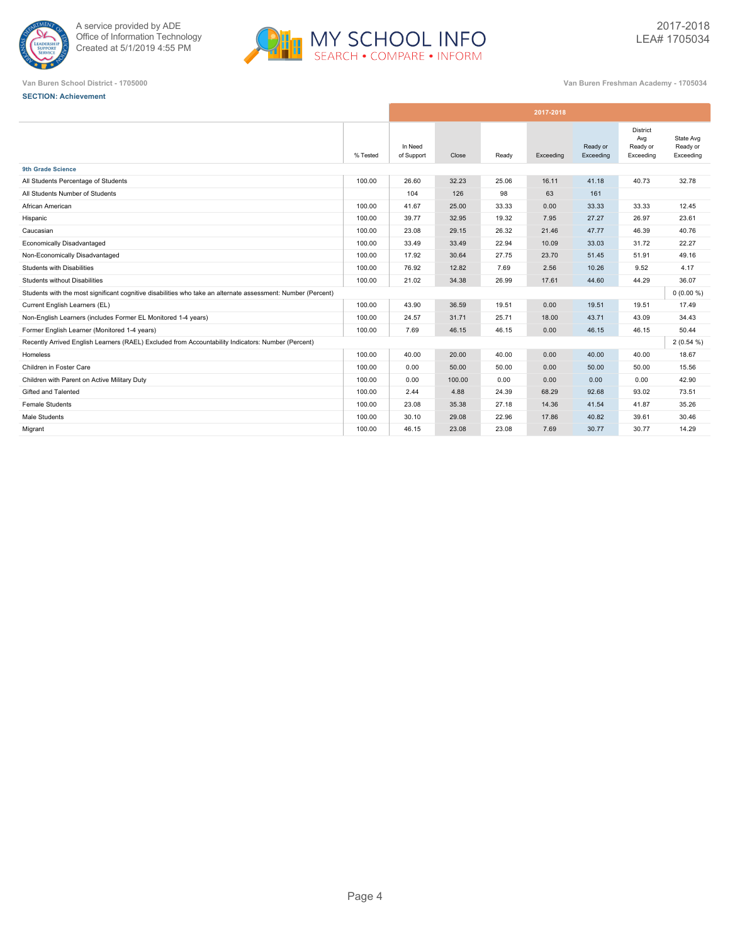



## **SECTION: Achievement**

|  |         |  |           | Van Buren Freshman Academy - 1705034 |                             |                       |
|--|---------|--|-----------|--------------------------------------|-----------------------------|-----------------------|
|  |         |  | 2017-2018 |                                      |                             |                       |
|  | In Need |  |           | Ready or                             | District<br>Avg<br>Ready or | State Avg<br>Ready or |

|                                                                                                              | % Tested | In Need<br>of Support | Close  | Ready | Exceeding | Ready or<br>Exceeding | Ready or<br>Exceeding | Ready or<br>Exceeding |
|--------------------------------------------------------------------------------------------------------------|----------|-----------------------|--------|-------|-----------|-----------------------|-----------------------|-----------------------|
| 9th Grade Science                                                                                            |          |                       |        |       |           |                       |                       |                       |
| All Students Percentage of Students                                                                          | 100.00   | 26.60                 | 32.23  | 25.06 | 16.11     | 41.18                 | 40.73                 | 32.78                 |
| All Students Number of Students                                                                              |          | 104                   | 126    | 98    | 63        | 161                   |                       |                       |
| African American                                                                                             | 100.00   | 41.67                 | 25.00  | 33.33 | 0.00      | 33.33                 | 33.33                 | 12.45                 |
| Hispanic                                                                                                     | 100.00   | 39.77                 | 32.95  | 19.32 | 7.95      | 27.27                 | 26.97                 | 23.61                 |
| Caucasian                                                                                                    | 100.00   | 23.08                 | 29.15  | 26.32 | 21.46     | 47.77                 | 46.39                 | 40.76                 |
| Economically Disadvantaged                                                                                   | 100.00   | 33.49                 | 33.49  | 22.94 | 10.09     | 33.03                 | 31.72                 | 22.27                 |
| Non-Economically Disadvantaged                                                                               | 100.00   | 17.92                 | 30.64  | 27.75 | 23.70     | 51.45                 | 51.91                 | 49.16                 |
| Students with Disabilities                                                                                   | 100.00   | 76.92                 | 12.82  | 7.69  | 2.56      | 10.26                 | 9.52                  | 4.17                  |
| <b>Students without Disabilities</b>                                                                         | 100.00   | 21.02                 | 34.38  | 26.99 | 17.61     | 44.60                 | 44.29                 | 36.07                 |
| Students with the most significant cognitive disabilities who take an alternate assessment: Number (Percent) |          |                       |        |       |           |                       |                       | $0(0.00\%)$           |
| Current English Learners (EL)                                                                                | 100.00   | 43.90                 | 36.59  | 19.51 | 0.00      | 19.51                 | 19.51                 | 17.49                 |
| Non-English Learners (includes Former EL Monitored 1-4 years)                                                | 100.00   | 24.57                 | 31.71  | 25.71 | 18.00     | 43.71                 | 43.09                 | 34.43                 |
| Former English Learner (Monitored 1-4 years)                                                                 | 100.00   | 7.69                  | 46.15  | 46.15 | 0.00      | 46.15                 | 46.15                 | 50.44                 |
| Recently Arrived English Learners (RAEL) Excluded from Accountability Indicators: Number (Percent)           |          |                       |        |       |           |                       |                       | $2(0.54\%)$           |
| Homeless                                                                                                     | 100.00   | 40.00                 | 20.00  | 40.00 | 0.00      | 40.00                 | 40.00                 | 18.67                 |
| Children in Foster Care                                                                                      | 100.00   | 0.00                  | 50.00  | 50.00 | 0.00      | 50.00                 | 50.00                 | 15.56                 |
| Children with Parent on Active Military Duty                                                                 | 100.00   | 0.00                  | 100.00 | 0.00  | 0.00      | 0.00                  | 0.00                  | 42.90                 |
| Gifted and Talented                                                                                          | 100.00   | 2.44                  | 4.88   | 24.39 | 68.29     | 92.68                 | 93.02                 | 73.51                 |
| <b>Female Students</b>                                                                                       | 100.00   | 23.08                 | 35.38  | 27.18 | 14.36     | 41.54                 | 41.87                 | 35.26                 |
| Male Students                                                                                                | 100.00   | 30.10                 | 29.08  | 22.96 | 17.86     | 40.82                 | 39.61                 | 30.46                 |
| Migrant                                                                                                      | 100.00   | 46.15                 | 23.08  | 23.08 | 7.69      | 30.77                 | 30.77                 | 14.29                 |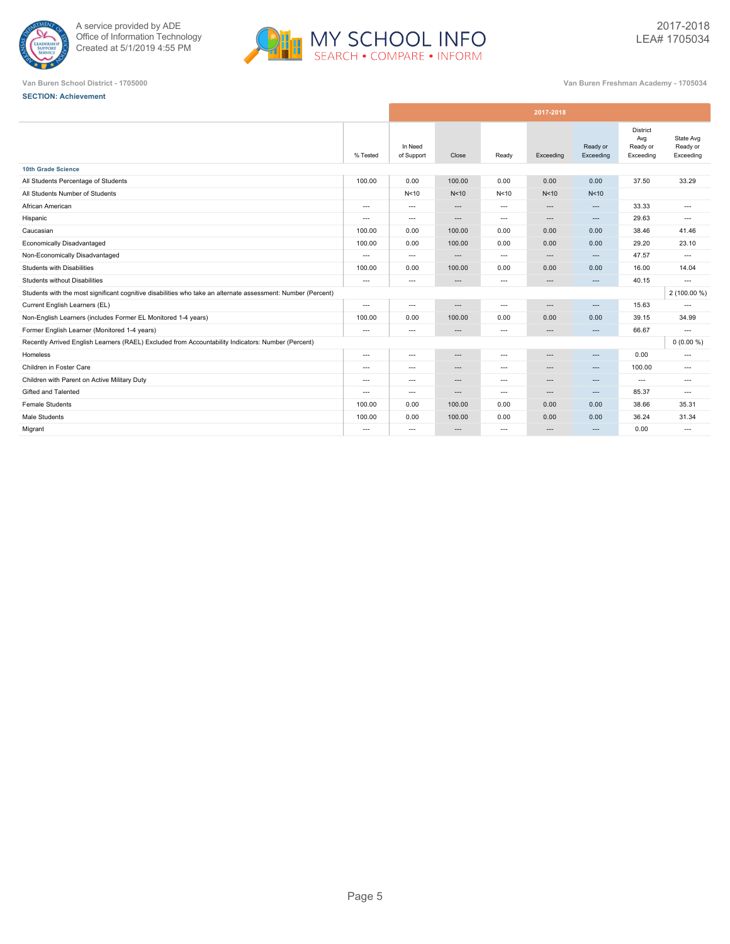



### **SECTI**

| <b>SECTION: Achievement</b>                                                                                  |                          |                          |                          |                          |                                                                                                                                                                                                                                                                                                                                                                                                                                                                                                                                                                                                                                                                                                            |          |                          |                                    |
|--------------------------------------------------------------------------------------------------------------|--------------------------|--------------------------|--------------------------|--------------------------|------------------------------------------------------------------------------------------------------------------------------------------------------------------------------------------------------------------------------------------------------------------------------------------------------------------------------------------------------------------------------------------------------------------------------------------------------------------------------------------------------------------------------------------------------------------------------------------------------------------------------------------------------------------------------------------------------------|----------|--------------------------|------------------------------------|
|                                                                                                              |                          |                          |                          |                          | 2017-2018<br><b>District</b><br>Avg<br>Ready or<br>Ready or<br>Exceeding<br>Exceeding<br>Exceeding<br>0.00<br>0.00<br>0.00<br>37.50<br>N<10<br>N<10<br>N <sub>10</sub><br>33.33<br>$\overline{\phantom{a}}$<br>$\hspace{0.05cm} \ldots$<br>$\cdots$<br>29.63<br>$\cdots$<br>$\cdots$<br>$\cdots$<br>0.00<br>0.00<br>0.00<br>38.46<br>0.00<br>29.20<br>0.00<br>0.00<br>47.57<br>$\hspace{0.05cm} \ldots$<br>$---$<br>$\cdots$<br>0.00<br>0.00<br>0.00<br>16.00<br>40.15<br>$\hspace{0.05cm} \ldots$<br>$\cdots$<br>$\cdots$<br>15.63<br>$\hspace{0.05cm} \ldots$<br>$\cdots$<br>$\cdots$<br>0.00<br>0.00<br>39.15<br>0.00<br>66.67<br>$\cdots$<br>$\hspace{0.05cm} \ldots$<br>$\hspace{1.5cm} \textbf{---}$ |          |                          |                                    |
|                                                                                                              | % Tested                 | In Need<br>of Support    | Close                    | Ready                    |                                                                                                                                                                                                                                                                                                                                                                                                                                                                                                                                                                                                                                                                                                            |          |                          | State Avg<br>Ready or<br>Exceeding |
| <b>10th Grade Science</b>                                                                                    |                          |                          |                          |                          |                                                                                                                                                                                                                                                                                                                                                                                                                                                                                                                                                                                                                                                                                                            |          |                          |                                    |
| All Students Percentage of Students                                                                          | 100.00                   | 0.00                     | 100.00                   |                          |                                                                                                                                                                                                                                                                                                                                                                                                                                                                                                                                                                                                                                                                                                            |          |                          | 33.29                              |
| All Students Number of Students                                                                              |                          | N <sub>10</sub>          | N <sub>10</sub>          |                          |                                                                                                                                                                                                                                                                                                                                                                                                                                                                                                                                                                                                                                                                                                            |          |                          |                                    |
| African American                                                                                             | $\hspace{0.05cm} \ldots$ | $\hspace{0.05cm} \ldots$ | $\hspace{0.05cm} \ldots$ |                          |                                                                                                                                                                                                                                                                                                                                                                                                                                                                                                                                                                                                                                                                                                            |          |                          | $\cdots$                           |
| Hispanic                                                                                                     | $\hspace{0.05cm} \ldots$ | $\cdots$                 | $\hspace{0.05cm} \ldots$ |                          |                                                                                                                                                                                                                                                                                                                                                                                                                                                                                                                                                                                                                                                                                                            |          |                          | $\cdots$                           |
| Caucasian                                                                                                    | 100.00                   | 0.00                     | 100.00                   |                          |                                                                                                                                                                                                                                                                                                                                                                                                                                                                                                                                                                                                                                                                                                            |          |                          | 41.46                              |
| Economically Disadvantaged                                                                                   | 100.00                   | 0.00                     | 100.00                   |                          |                                                                                                                                                                                                                                                                                                                                                                                                                                                                                                                                                                                                                                                                                                            |          |                          | 23.10                              |
| Non-Economically Disadvantaged                                                                               | $---$                    | $\hspace{0.05cm} \ldots$ | $\cdots$                 |                          |                                                                                                                                                                                                                                                                                                                                                                                                                                                                                                                                                                                                                                                                                                            |          |                          | $\cdots$                           |
| <b>Students with Disabilities</b>                                                                            | 100.00                   | 0.00                     | 100.00                   |                          |                                                                                                                                                                                                                                                                                                                                                                                                                                                                                                                                                                                                                                                                                                            |          |                          | 14.04                              |
| Students without Disabilities                                                                                | $---$                    | $\hspace{0.05cm} \ldots$ | $\cdots$                 |                          |                                                                                                                                                                                                                                                                                                                                                                                                                                                                                                                                                                                                                                                                                                            |          |                          | $---$                              |
| Students with the most significant cognitive disabilities who take an alternate assessment: Number (Percent) |                          |                          |                          |                          |                                                                                                                                                                                                                                                                                                                                                                                                                                                                                                                                                                                                                                                                                                            |          |                          | 2 (100.00 %)                       |
| Current English Learners (EL)                                                                                | $\qquad \qquad \cdots$   | $\cdots$                 | $\hspace{1.5cm} \ldots$  |                          |                                                                                                                                                                                                                                                                                                                                                                                                                                                                                                                                                                                                                                                                                                            |          |                          | $\cdots$                           |
| Non-English Learners (includes Former EL Monitored 1-4 years)                                                | 100.00                   | 0.00                     | 100.00                   |                          |                                                                                                                                                                                                                                                                                                                                                                                                                                                                                                                                                                                                                                                                                                            |          |                          | 34.99                              |
| Former English Learner (Monitored 1-4 years)                                                                 | $\hspace{0.05cm} \ldots$ | $\hspace{0.05cm} \ldots$ | $\hspace{1.5cm} \ldots$  |                          |                                                                                                                                                                                                                                                                                                                                                                                                                                                                                                                                                                                                                                                                                                            |          |                          | $\overline{\phantom{a}}$           |
| Recently Arrived English Learners (RAEL) Excluded from Accountability Indicators: Number (Percent)           |                          |                          |                          |                          |                                                                                                                                                                                                                                                                                                                                                                                                                                                                                                                                                                                                                                                                                                            |          |                          | $0(0.00\%)$                        |
| Homeless                                                                                                     | $---$                    | $\cdots$                 | $\hspace{0.05cm} \ldots$ | $\hspace{0.05cm} \ldots$ | $\overline{\phantom{a}}$                                                                                                                                                                                                                                                                                                                                                                                                                                                                                                                                                                                                                                                                                   | $\cdots$ | 0.00                     | $\cdots$                           |
| Children in Foster Care                                                                                      | $\cdots$                 | $\cdots$                 | $\cdots$                 | $\cdots$                 | $\cdots$                                                                                                                                                                                                                                                                                                                                                                                                                                                                                                                                                                                                                                                                                                   | $\cdots$ | 100.00                   | $\qquad \qquad \cdots$             |
| Children with Parent on Active Military Duty                                                                 | $\hspace{0.05cm} \ldots$ | $\hspace{0.05cm} \ldots$ | $\cdots$                 | $\hspace{0.05cm} \ldots$ | $\cdots$                                                                                                                                                                                                                                                                                                                                                                                                                                                                                                                                                                                                                                                                                                   | $\cdots$ | $\overline{\phantom{a}}$ | $\cdots$                           |
| Gifted and Talented                                                                                          | $---$                    | $\hspace{0.05cm} \ldots$ | $\cdots$                 | $\hspace{0.05cm} \ldots$ | $\cdots$                                                                                                                                                                                                                                                                                                                                                                                                                                                                                                                                                                                                                                                                                                   | $\cdots$ | 85.37                    | $\cdots$                           |
| <b>Female Students</b>                                                                                       | 100.00                   | 0.00                     | 100.00                   | 0.00                     | 0.00                                                                                                                                                                                                                                                                                                                                                                                                                                                                                                                                                                                                                                                                                                       | 0.00     | 38.66                    | 35.31                              |
| Male Students                                                                                                | 100.00                   | 0.00                     | 100.00                   | 0.00                     | 0.00                                                                                                                                                                                                                                                                                                                                                                                                                                                                                                                                                                                                                                                                                                       | 0.00     | 36.24                    | 31.34                              |

ست الله الله عليه الله عليه الله عليه الله عليه الله عليه الله عليه الله عليه الله عليه الله عليه الله عليه ال<br>الله عليه الله عليه الله عليه الله عليه الله عليه الله عليه الله عليه الله عليه الله عليه الله عليه الله عليه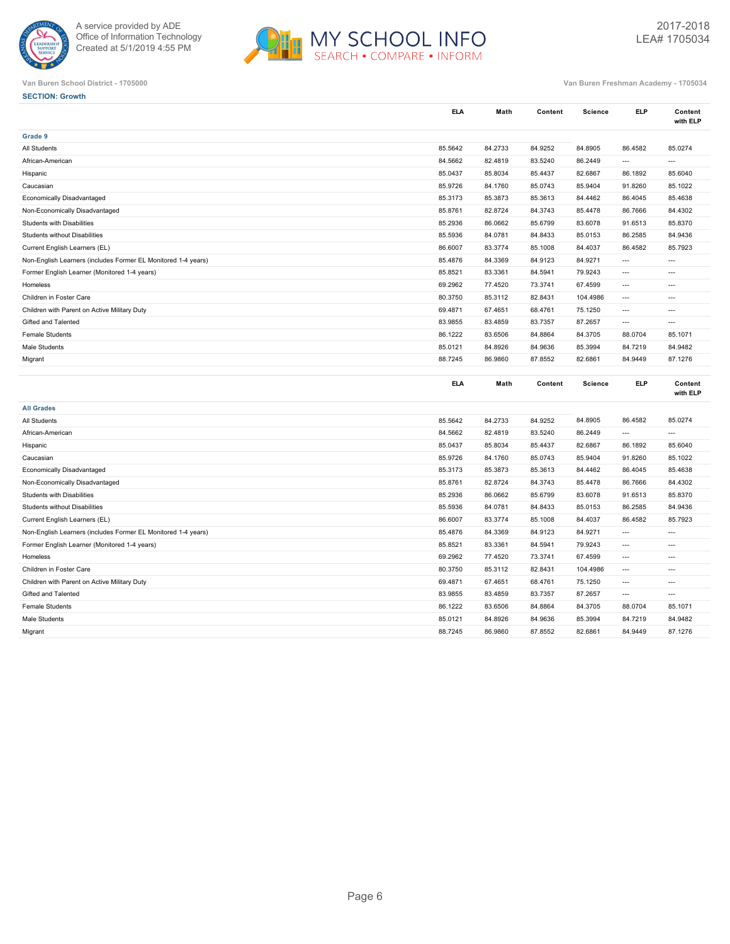

**SECTION: Growth**



|                                                               | <b>ELA</b> | Math    | Content | <b>Science</b> | <b>ELP</b>               | Content<br>with ELP      |
|---------------------------------------------------------------|------------|---------|---------|----------------|--------------------------|--------------------------|
| Grade 9                                                       |            |         |         |                |                          |                          |
| All Students                                                  | 85.5642    | 84.2733 | 84.9252 | 84.8905        | 86.4582                  | 85.0274                  |
| African-American                                              | 84.5662    | 82.4819 | 83.5240 | 86.2449        | $\overline{\phantom{a}}$ | $\overline{a}$           |
| Hispanic                                                      | 85.0437    | 85.8034 | 85.4437 | 82.6867        | 86.1892                  | 85.6040                  |
| Caucasian                                                     | 85.9726    | 84.1760 | 85.0743 | 85.9404        | 91.8260                  | 85.1022                  |
| Economically Disadvantaged                                    | 85.3173    | 85.3873 | 85.3613 | 84.4462        | 86.4045                  | 85.4638                  |
| Non-Economically Disadvantaged                                | 85.8761    | 82.8724 | 84.3743 | 85.4478        | 86.7666                  | 84.4302                  |
| Students with Disabilities                                    | 85.2936    | 86.0662 | 85.6799 | 83.6078        | 91.6513                  | 85.8370                  |
| <b>Students without Disabilities</b>                          | 85.5936    | 84.0781 | 84.8433 | 85.0153        | 86.2585                  | 84.9436                  |
| Current English Learners (EL)                                 | 86.6007    | 83.3774 | 85.1008 | 84.4037        | 86.4582                  | 85.7923                  |
| Non-English Learners (includes Former EL Monitored 1-4 years) | 85.4876    | 84.3369 | 84.9123 | 84.9271        | $\overline{\phantom{a}}$ | $\overline{\phantom{a}}$ |
| Former English Learner (Monitored 1-4 years)                  | 85.8521    | 83.3361 | 84.5941 | 79.9243        | $\overline{a}$           | $---$                    |
| Homeless                                                      | 69.2962    | 77.4520 | 73.3741 | 67.4599        | $\overline{\phantom{a}}$ | $\overline{\phantom{a}}$ |
| Children in Foster Care                                       | 80.3750    | 85.3112 | 82.8431 | 104.4986       | $\overline{a}$           | $\overline{a}$           |
| Children with Parent on Active Military Duty                  | 69.4871    | 67.4651 | 68.4761 | 75.1250        | $\overline{\phantom{a}}$ | $\overline{a}$           |
| Gifted and Talented                                           | 83.9855    | 83.4859 | 83.7357 | 87.2657        | ---                      | ---                      |
| <b>Female Students</b>                                        | 86.1222    | 83.6506 | 84.8864 | 84.3705        | 88.0704                  | 85.1071                  |
| Male Students                                                 | 85.0121    | 84.8926 | 84.9636 | 85.3994        | 84.7219                  | 84.9482                  |
| Migrant                                                       | 88.7245    | 86.9860 | 87.8552 | 82.6861        | 84.9449                  | 87.1276                  |
|                                                               |            |         |         |                |                          |                          |
|                                                               | <b>ELA</b> | Math    | Content | <b>Science</b> | <b>ELP</b>               | Content<br>with ELP      |
| <b>All Grades</b>                                             |            |         |         |                |                          |                          |
| All Students                                                  | 85.5642    | 84.2733 | 84.9252 | 84.8905        | 86.4582                  | 85.0274                  |
| African-American                                              | 84.5662    | 82.4819 | 83.5240 | 86.2449        | $\overline{\phantom{a}}$ | ---                      |
| Hispanic                                                      | 85.0437    | 85.8034 | 85.4437 | 82.6867        | 86.1892                  | 85.6040                  |
| Caucasian                                                     | 85.9726    | 84.1760 | 85.0743 | 85.9404        | 91.8260                  | 85.1022                  |
| Economically Disadvantaged                                    | 85.3173    | 85.3873 | 85.3613 | 84.4462        | 86.4045                  | 85.4638                  |
| Non-Economically Disadvantaged                                | 85.8761    | 82.8724 | 84.3743 | 85.4478        | 86.7666                  | 84.4302                  |
| Students with Disabilities                                    | 85.2936    | 86.0662 | 85.6799 | 83.6078        | 91.6513                  | 85.8370                  |
| <b>Students without Disabilities</b>                          | 85.5936    | 84.0781 | 84.8433 | 85.0153        | 86.2585                  | 84.9436                  |
| Current English Learners (EL)                                 | 86.6007    | 83.3774 | 85.1008 | 84.4037        | 86.4582                  | 85.7923                  |
| Non-English Learners (includes Former EL Monitored 1-4 years) | 85.4876    | 84.3369 | 84.9123 | 84.9271        | $\overline{\phantom{a}}$ | $\overline{\phantom{a}}$ |
| Former English Learner (Monitored 1-4 years)                  | 85.8521    | 83.3361 | 84.5941 | 79.9243        | $\overline{\phantom{a}}$ | $\overline{a}$           |
| Homeless                                                      | 69.2962    | 77.4520 | 73.3741 | 67.4599        | $\overline{\phantom{a}}$ | $\overline{\phantom{a}}$ |
| Children in Foster Care                                       | 80.3750    | 85.3112 | 82.8431 | 104.4986       | $\overline{a}$           | ---                      |
| Children with Parent on Active Military Duty                  | 69.4871    | 67.4651 | 68.4761 | 75.1250        | $\overline{\phantom{a}}$ | ---                      |
| Gifted and Talented                                           | 83.9855    | 83.4859 | 83.7357 | 87.2657        | $\overline{a}$           | $\overline{a}$           |
| <b>Female Students</b>                                        | 86.1222    | 83.6506 | 84.8864 | 84.3705        | 88.0704                  | 85.1071                  |
| Male Students                                                 | 85.0121    | 84.8926 | 84.9636 | 85.3994        | 84.7219                  | 84.9482                  |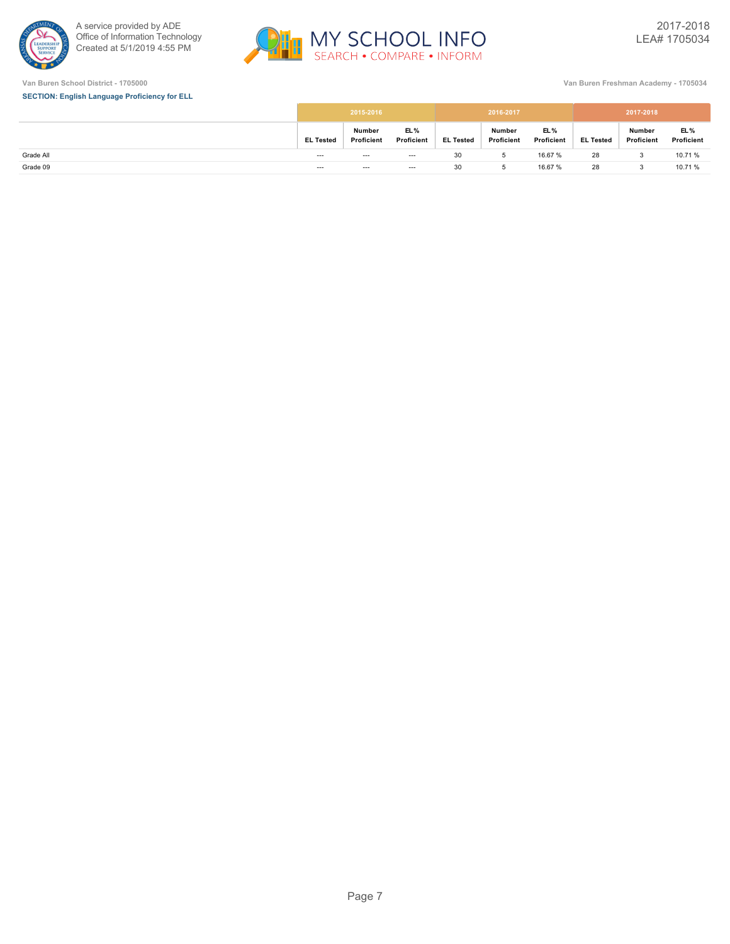



## **SECTION: English Language Proficiency for ELL**

|           | 2015-2016                |                          |                          |                  | 2016-2017            |                    | 2017-2018        |                      |                   |  |
|-----------|--------------------------|--------------------------|--------------------------|------------------|----------------------|--------------------|------------------|----------------------|-------------------|--|
|           | <b>EL Tested</b>         | Number<br>Proficient     | EL %<br>Proficient       | <b>EL Tested</b> | Number<br>Proficient | EL %<br>Proficient | <b>EL Tested</b> | Number<br>Proficient | EL%<br>Proficient |  |
| Grade All | $\hspace{0.05cm} \ldots$ | $\hspace{0.05cm} \ldots$ | $\hspace{0.05cm} \ldots$ | 30               | 5                    | 16.67 %            | 28               |                      | 10.71 %           |  |
| Grade 09  | $--$                     | $\sim$ $\sim$ $\sim$     | $\hspace{0.05cm} \cdots$ | 30               | 5                    | 16.67 %            | 28               |                      | 10.71 %           |  |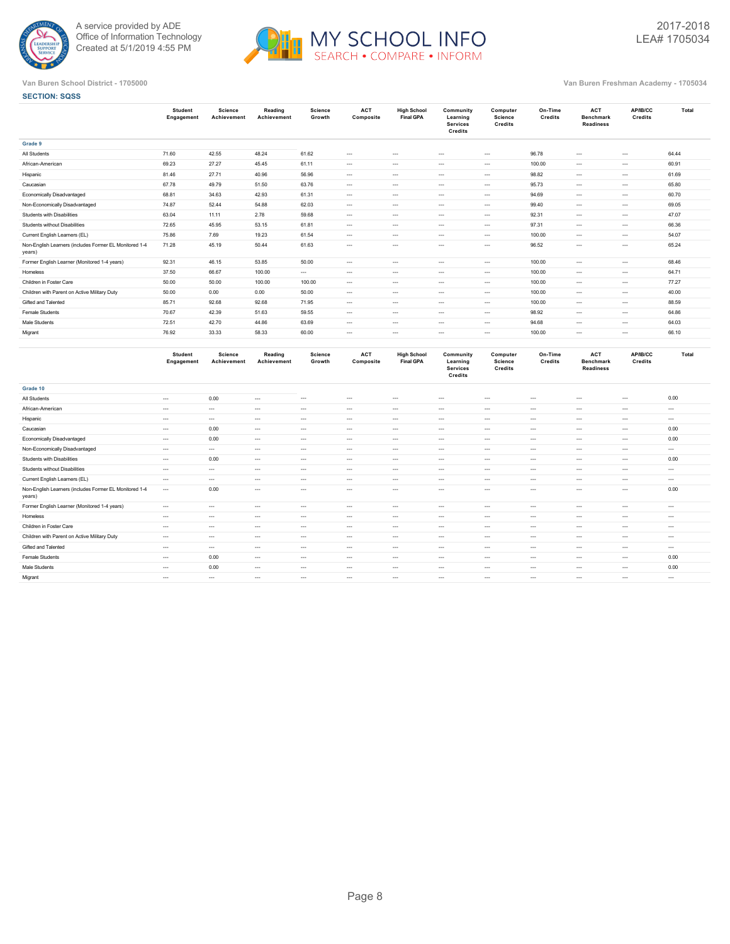

**SECTION: SQSS**



|                                                                  | <b>Student</b><br>Engagement | Science<br>Achievement | Reading<br>Achievement | Science<br>Growth | <b>ACT</b><br>Composite | <b>High School</b><br><b>Final GPA</b> | Community<br>Learning<br><b>Services</b><br>Credits | Computer<br>Science<br>Credits | On-Time<br>Credits | <b>ACT</b><br><b>Benchmark</b><br>Readiness | AP/IB/CC<br>Credits | Total |
|------------------------------------------------------------------|------------------------------|------------------------|------------------------|-------------------|-------------------------|----------------------------------------|-----------------------------------------------------|--------------------------------|--------------------|---------------------------------------------|---------------------|-------|
| Grade 9                                                          |                              |                        |                        |                   |                         |                                        |                                                     |                                |                    |                                             |                     |       |
| All Students                                                     | 71.60                        | 42.55                  | 48.24                  | 61.62             | $\sim$                  | $\cdots$                               | $\cdots$                                            | $\cdots$                       | 96.78              | $\cdots$                                    | $\cdots$            | 64.44 |
| African-American                                                 | 69.23                        | 27.27                  | 45.45                  | 61.11             | $\sim$                  | $\cdots$                               | $\cdots$                                            | $\cdots$                       | 100.00             | $\cdots$                                    | $\cdots$            | 60.91 |
| Hispanic                                                         | 81.46                        | 27.71                  | 40.96                  | 56.96             | $\sim$                  | $\cdots$                               | $\cdots$                                            | $\cdots$                       | 98.82              | $\cdots$                                    | $\cdots$            | 61.69 |
| Caucasian                                                        | 67.78                        | 49.79                  | 51.50                  | 63.76             | $\sim$                  | $\cdots$                               | $\cdots$                                            | $\cdots$                       | 95.73              | $\cdots$                                    | $\cdots$            | 65.80 |
| Economically Disadvantaged                                       | 68.81                        | 34.63                  | 42.93                  | 61.31             | $-1$                    | $\cdots$                               | $\cdots$                                            | $\cdots$                       | 94.69              | $\cdots$                                    | $\cdots$            | 60.70 |
| Non-Economically Disadvantaged                                   | 74.87                        | 52.44                  | 54.88                  | 62.03             | $-1$                    | $\cdots$                               | $\cdots$                                            | $\cdots$                       | 99.40              | $\cdots$                                    | $\cdots$            | 69.05 |
| Students with Disabilities                                       | 63.04                        | 11.11                  | 2.78                   | 59.68             | $-1$                    | $\cdots$                               | $\cdots$                                            | $\cdots$                       | 92.31              | $\sim$                                      | $\cdots$            | 47.07 |
| Students without Disabilities                                    | 72.65                        | 45.95                  | 53.15                  | 61.81             | $\sim$                  | $\cdots$                               | $\cdots$                                            | $\cdots$                       | 97.31              | $\cdots$                                    | $\cdots$            | 66.36 |
| Current English Learners (EL)                                    | 75.86                        | 7.69                   | 19.23                  | 61.54             | $-1$                    | $\cdots$                               | $\cdots$                                            | $\cdots$                       | 100.00             | $\cdots$                                    | $\cdots$            | 54.07 |
| Non-English Learners (includes Former EL Monitored 1-4<br>years) | 71.28                        | 45.19                  | 50.44                  | 61.63             | $\sim$                  | $- - -$                                | $\cdots$                                            | $\cdots$                       | 96.52              | $\cdots$                                    | $\cdots$            | 65.24 |
| Former English Learner (Monitored 1-4 years)                     | 92.31                        | 46.15                  | 53.85                  | 50.00             | $-1$                    | $\cdots$                               | $\cdots$                                            | $\cdots$                       | 100.00             | $\cdots$                                    | $\cdots$            | 68.46 |
| Homeless                                                         | 37.50                        | 66.67                  | 100.00                 | $\cdots$          | $-1$                    | $\cdots$                               | $\cdots$                                            | $\cdots$                       | 100.00             | $\cdots$                                    | $\cdots$            | 64.71 |
| Children in Foster Care                                          | 50.00                        | 50.00                  | 100.00                 | 100.00            | $-1$                    | $\cdots$                               | $\cdots$                                            | $\cdots$                       | 100.00             | $\cdots$                                    | $\cdots$            | 77.27 |
| Children with Parent on Active Military Duty                     | 50.00                        | 0.00                   | 0.00                   | 50.00             | $\sim$ $\sim$           | $\cdots$                               | $\cdots$                                            | $\cdots$                       | 100.00             | $\sim$                                      | $\cdots$            | 40.00 |
| Gifted and Talented                                              | 85.71                        | 92.68                  | 92.68                  | 71.95             | $\sim$ $\sim$           | $\cdots$                               | $\cdots$                                            | $\cdots$                       | 100.00             | $\cdots$                                    | $\cdots$            | 88.59 |
| Female Students                                                  | 70.67                        | 42.39                  | 51.63                  | 59.55             | $\sim$                  | $---$                                  | $---$                                               | $\cdots$                       | 98.92              | $\cdots$                                    | $\cdots$            | 64.86 |
| Male Students                                                    | 72.51                        | 42.70                  | 44.86                  | 63.69             | $\sim$                  | $\cdots$                               | $\cdots$                                            | $\cdots$                       | 94.68              | $\cdots$                                    | $\cdots$            | 64.03 |
| Migrant                                                          | 76.92                        | 33.33                  | 58.33                  | 60.00             | $\sim$                  | $\cdots$                               | $\cdots$                                            | $\cdots$                       | 100.00             | $\cdots$                                    | $\cdots$            | 66.10 |
|                                                                  |                              |                        |                        |                   |                         |                                        |                                                     |                                |                    |                                             |                     |       |

|                                                                  | <b>Student</b><br>Engagement | <b>Science</b><br>Achievement | Reading<br>Achievement | Science<br>Growth | ACT<br>Composite | <b>High School</b><br><b>Final GPA</b> | Community<br>Learning<br><b>Services</b><br>Credits | Computer<br>Science<br>Credits | On-Time<br>Credits | <b>ACT</b><br><b>Benchmark</b><br><b>Readiness</b> | AP/IB/CC<br>Credits | Total    |
|------------------------------------------------------------------|------------------------------|-------------------------------|------------------------|-------------------|------------------|----------------------------------------|-----------------------------------------------------|--------------------------------|--------------------|----------------------------------------------------|---------------------|----------|
| Grade 10                                                         |                              |                               |                        |                   |                  |                                        |                                                     |                                |                    |                                                    |                     |          |
| All Students                                                     | $\sim$ $\sim$                | 0.00                          | $\cdots$               | $\cdots$          | $\cdots$         |                                        | $\cdots$                                            | $\sim$ $\sim$                  | $\cdots$           | $\cdots$                                           | $---$               | 0.00     |
| African-American                                                 | $- - -$                      | $\cdots$                      | $\cdots$               | $\sim$ $\sim$     | $\cdots$         |                                        | $\cdots$                                            | $\sim$                         | $\sim$             | $\cdots$                                           | $---$               | $\sim$   |
| Hispanic                                                         | $\cdots$                     | $\cdots$                      | $\cdots$               | $\cdots$          | $\cdots$         | $---$                                  | $\cdots$                                            | $\cdots$                       | $\cdots$           | $\cdots$                                           | $\cdots$            | $-1$     |
| Caucasian                                                        | $- - -$                      | 0.00                          | $\cdots$               | $\sim$ $\sim$     | $\cdots$         |                                        | $\cdots$                                            | $\sim$                         | $\cdots$           | $\cdots$                                           | $---$               | 0.00     |
| Economically Disadvantaged                                       | $- - -$                      | 0.00                          | $\cdots$               | $\sim$ $\sim$     | $\cdots$         |                                        | $\cdots$                                            | $\sim$                         | $\sim$             | $\cdots$                                           | $---$               | 0.00     |
| Non-Economically Disadvantaged                                   | $- - -$                      | $\cdots$                      | $\cdots$               | $\cdots$          | $\cdots$         |                                        | $\cdots$                                            | $\sim$                         | $\sim$             | $\cdots$                                           | $---$               | $\sim$   |
| Students with Disabilities                                       | $\cdots$                     | 0.00                          | $\cdots$               | $\cdots$          | $\cdots$         | ---                                    | $\cdots$                                            | $\cdots$                       | $\cdots$           | $\cdots$                                           | $\cdots$            | 0.00     |
| Students without Disabilities                                    | $- - -$                      | $\cdots$                      | $\cdots$               | $\sim$ $\sim$     | $\cdots$         |                                        | $\cdots$                                            | $\sim$                         | $\cdots$           | $\cdots$                                           | $---$               | $-1$     |
| Current English Learners (EL)                                    | $- - -$                      | $\cdots$                      | $\cdots$               | $\sim$ $\sim$     | $\cdots$         |                                        | $\cdots$                                            | $\sim$                         | $\cdots$           | $\cdots$                                           | $---$               | $\cdots$ |
| Non-English Learners (includes Former EL Monitored 1-4<br>years) | $\cdots$                     | 0.00                          | $\cdots$               | $\sim$ $\sim$     | $\cdots$         |                                        | $\cdots$                                            | $\sim$ $\sim$                  | $\cdots$           | $\cdots$                                           | $\cdots$            | 0.00     |
| Former English Learner (Monitored 1-4 years)                     | $\cdots$                     | $\cdots$                      | $\cdots$               | $\cdots$          | $\cdots$         | $---$                                  | $\cdots$                                            | $\cdots$                       | $\cdots$           | $\cdots$                                           | $\cdots$            | $\cdots$ |
| Homeless                                                         | $- - -$                      | $\cdots$                      | $\cdots$               | $\sim$ $\sim$     | $\cdots$         |                                        | $\cdots$                                            | $\sim$                         | $\cdots$           | $\cdots$                                           | $---$               | $-1$     |
| Children in Foster Care                                          | $\cdots$                     | $\cdots$                      | $\cdots$               | $\sim$ $\sim$     | $\cdots$         |                                        | $\cdots$                                            | $\sim$                         | $\cdots$           | $\cdots$                                           | $\cdots$            | $-1$     |
| Children with Parent on Active Military Duty                     | $\cdots$                     | $\cdots$                      | $\cdots$               | $\cdots$          | $\cdots$         |                                        | $\cdots$                                            | $\sim$                         | $\cdots$           | $\cdots$                                           | $---$               | $-1$     |
| Gifted and Talented                                              | $\sim$                       | $- - -$                       | $\cdots$               | $\cdots$          | $\cdots$         | $---$                                  | $\cdots$                                            | $- - -$                        | $\cdots$           | $\cdots$                                           | $\cdots$            | $-1$     |
| Female Students                                                  | $- - -$                      | 0.00                          | $\cdots$               | $\sim$ $\sim$     | $\cdots$         | $\cdots$                               | $\cdots$                                            | $\sim$                         | $\sim$             | $\cdots$                                           | $\cdots$            | 0.00     |
| Male Students                                                    | $- - -$                      | 0.00                          | $\cdots$               | $\sim$ $\sim$     | $\cdots$         |                                        | $\cdots$                                            | $\sim$                         | $\sim$             | $\cdots$                                           | $---$               | 0.00     |
| Migrant                                                          | $- - -$                      | $\cdots$                      | $\cdots$               | $\sim$ $\sim$     | $\cdots$         |                                        | $\cdots$                                            | $\sim$                         | $\sim$             | $\cdots$                                           | $---$               | $\cdots$ |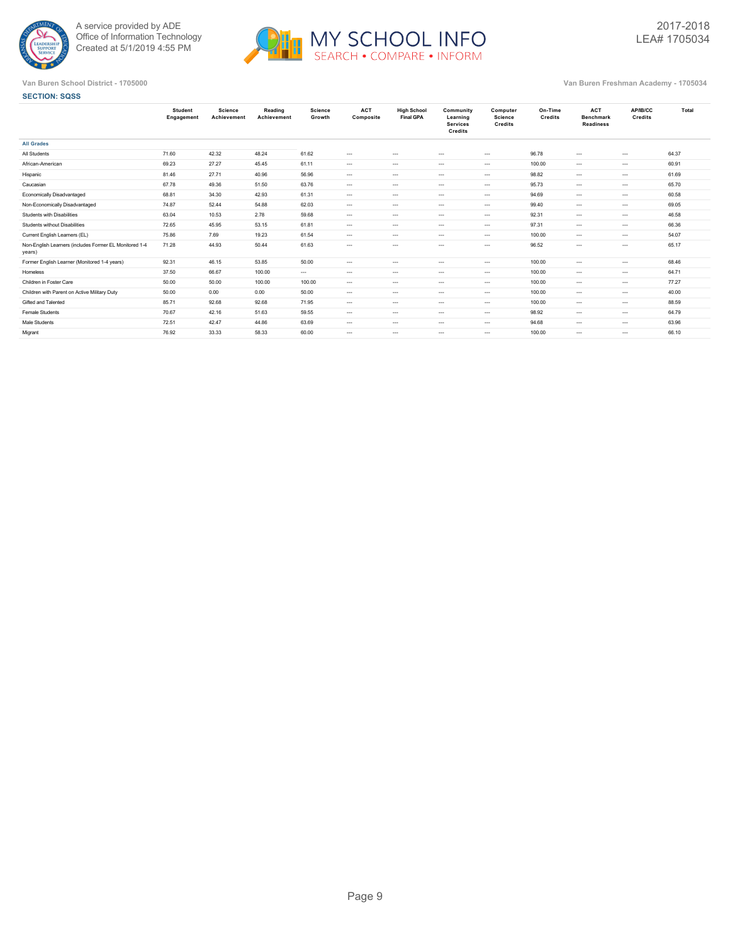

**SECTION: SQSS**



|                                                                  | <b>Student</b><br>Engagement | Science<br>Achievement | Reading<br>Achievement | Science<br>Growth | <b>ACT</b><br>Composite | <b>High School</b><br><b>Final GPA</b> | Community<br>Learning<br><b>Services</b><br>Credits | Computer<br>Science<br>Credits | On-Time<br>Credits | <b>ACT</b><br><b>Benchmark</b><br><b>Readiness</b> | AP/IB/CC<br>Credits | Total |
|------------------------------------------------------------------|------------------------------|------------------------|------------------------|-------------------|-------------------------|----------------------------------------|-----------------------------------------------------|--------------------------------|--------------------|----------------------------------------------------|---------------------|-------|
| <b>All Grades</b>                                                |                              |                        |                        |                   |                         |                                        |                                                     |                                |                    |                                                    |                     |       |
| All Students                                                     | 71.60                        | 42.32                  | 48.24                  | 61.62             | $\cdots$                | $\cdots$                               | $\cdots$                                            | $\cdots$                       | 96.78              | $\cdots$                                           | $---$               | 64.37 |
| African-American                                                 | 69.23                        | 27.27                  | 45.45                  | 61.11             | $\cdots$                | $---$                                  | $\cdots$                                            | $\cdots$                       | 100.00             | $\cdots$                                           | $---$               | 60.91 |
| Hispanic                                                         | 81.46                        | 27.71                  | 40.96                  | 56.96             | $\cdots$                | $\cdots$                               | $\cdots$                                            | $\cdots$                       | 98.82              | $\cdots$                                           | $\cdots$            | 61.69 |
| Caucasian                                                        | 67.78                        | 49.36                  | 51.50                  | 63.76             | $\cdots$                | $\cdots$                               | $\cdots$                                            | $\cdots$                       | 95.73              | $\cdots$                                           | $---$               | 65.70 |
| Economically Disadvantaged                                       | 68.81                        | 34.30                  | 42.93                  | 61.31             | $\cdots$                | $\cdots$                               | $\cdots$                                            | $\cdots$                       | 94.69              | $\cdots$                                           | $---$               | 60.58 |
| Non-Economically Disadvantaged                                   | 74.87                        | 52.44                  | 54.88                  | 62.03             | $\cdots$                | $\cdots$                               | $\cdots$                                            | $\cdots$                       | 99.40              | $\cdots$                                           | $\cdots$            | 69.05 |
| Students with Disabilities                                       | 63.04                        | 10.53                  | 2.78                   | 59.68             | $\cdots$                | $---$                                  | $\cdots$                                            | $\cdots$                       | 92.31              | $\cdots$                                           | $---$               | 46.58 |
| Students without Disabilities                                    | 72.65                        | 45.95                  | 53.15                  | 61.81             | $\cdots$                | $\cdots$                               | $\cdots$                                            | $\cdots$                       | 97.31              | $\cdots$                                           | $---$               | 66.36 |
| Current English Learners (EL)                                    | 75.86                        | 7.69                   | 19.23                  | 61.54             | $\cdots$                | $\cdots$                               | $\cdots$                                            | $\cdots$                       | 100.00             | $\cdots$                                           | $---$               | 54.07 |
| Non-English Learners (includes Former EL Monitored 1-4<br>years) | 71.28                        | 44.93                  | 50.44                  | 61.63             | $\cdots$                | $\cdots$                               | $\cdots$                                            | $\cdots$                       | 96.52              | $\cdots$                                           | $\cdots$            | 65.17 |
| Former English Learner (Monitored 1-4 years)                     | 92.31                        | 46.15                  | 53.85                  | 50.00             | $\cdots$                | $---$                                  | $---$                                               | $\cdots$                       | 100.00             | $\cdots$                                           | $---$               | 68.46 |
| Homeless                                                         | 37.50                        | 66.67                  | 100.00                 | $\cdots$          | $\cdots$                | $\cdots$                               | $\cdots$                                            | $\cdots$                       | 100.00             | $\cdots$                                           | $---$               | 64.71 |
| Children in Foster Care                                          | 50.00                        | 50.00                  | 100.00                 | 100.00            | $\cdots$                | $\cdots$                               | $\cdots$                                            | $\cdots$                       | 100.00             | $\cdots$                                           | $---$               | 77.27 |
| Children with Parent on Active Military Duty                     | 50.00                        | 0.00                   | 0.00                   | 50.00             | $\cdots$                | $- - -$                                | $\cdots$                                            | $- - -$                        | 100.00             | $\cdots$                                           | $\cdots$            | 40.00 |
| Gifted and Talented                                              | 85.71                        | 92.68                  | 92.68                  | 71.95             | $\cdots$                | $\cdots$                               | $\cdots$                                            | $\cdots$                       | 100.00             | $\cdots$                                           | $\cdots$            | 88.59 |
| Female Students                                                  | 70.67                        | 42.16                  | 51.63                  | 59.55             | $\cdots$                | $\cdots$                               | $\cdots$                                            | $\cdots$                       | 98.92              | $\cdots$                                           | $---$               | 64.79 |
| Male Students                                                    | 72.51                        | 42.47                  | 44.86                  | 63.69             | $\cdots$                | $\cdots$                               | $\cdots$                                            | $\cdots$                       | 94.68              | $\cdots$                                           | $---$               | 63.96 |
| Migrant                                                          | 76.92                        | 33.33                  | 58.33                  | 60.00             | $\cdots$                | $\cdots$                               | $\cdots$                                            | $\cdots$                       | 100.00             | $\cdots$                                           | $---$               | 66.10 |
|                                                                  |                              |                        |                        |                   |                         |                                        |                                                     |                                |                    |                                                    |                     |       |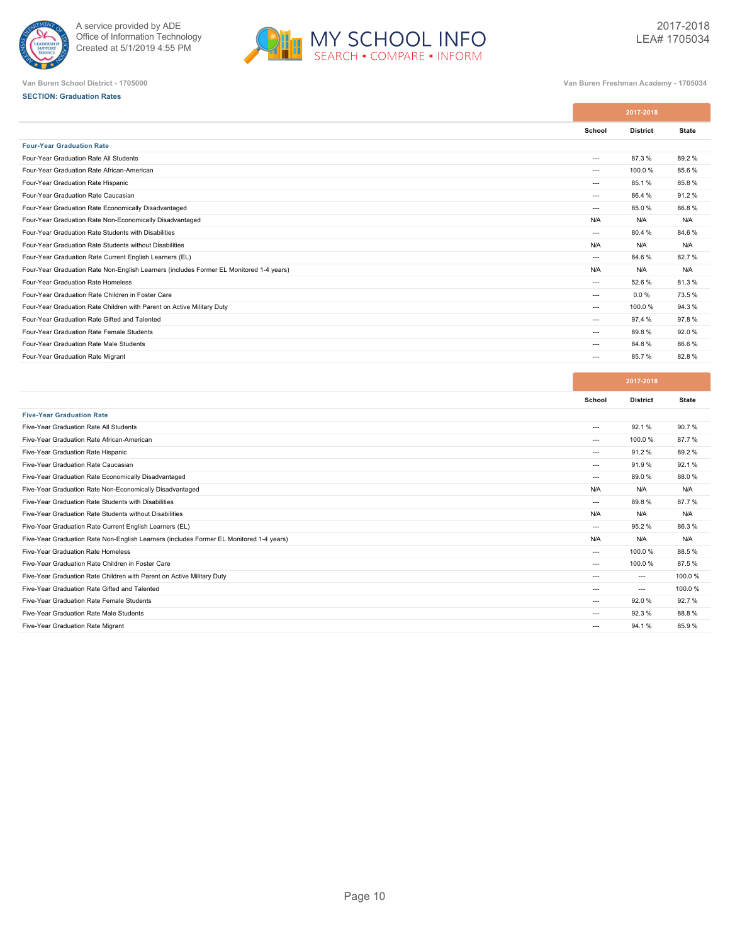



## **SECTION: Graduation Rates**

|                                                                                         | 2017-2018                |                 |              |
|-----------------------------------------------------------------------------------------|--------------------------|-----------------|--------------|
|                                                                                         | School                   | <b>District</b> | <b>State</b> |
| <b>Four-Year Graduation Rate</b>                                                        |                          |                 |              |
| Four-Year Graduation Rate All Students                                                  | $---$                    | 87.3%           | 89.2%        |
| Four-Year Graduation Rate African-American                                              | $---$                    | 100.0%          | 85.6%        |
| Four-Year Graduation Rate Hispanic                                                      | $---$                    | 85.1%           | 85.8%        |
| Four-Year Graduation Rate Caucasian                                                     | $---$                    | 86.4%           | 91.2%        |
| Four-Year Graduation Rate Economically Disadvantaged                                    | $---$                    | 85.0%           | 86.8%        |
| Four-Year Graduation Rate Non-Economically Disadvantaged                                | N/A                      | <b>N/A</b>      | N/A          |
| Four-Year Graduation Rate Students with Disabilities                                    | $\hspace{0.05cm} \ldots$ | 80.4%           | 84.6%        |
| Four-Year Graduation Rate Students without Disabilities                                 | N/A                      | <b>N/A</b>      | N/A          |
| Four-Year Graduation Rate Current English Learners (EL)                                 | $---$                    | 84.6%           | 82.7%        |
| Four-Year Graduation Rate Non-English Learners (includes Former EL Monitored 1-4 years) | N/A                      | <b>N/A</b>      | N/A          |
| Four-Year Graduation Rate Homeless                                                      | $---$                    | 52.6%           | 81.3%        |
| Four-Year Graduation Rate Children in Foster Care                                       | $---$                    | 0.0%            | 73.5 %       |
| Four-Year Graduation Rate Children with Parent on Active Military Duty                  | $---$                    | 100.0%          | 94.3%        |
| Four-Year Graduation Rate Gifted and Talented                                           | $---$                    | 97.4 %          | 97.8%        |
| Four-Year Graduation Rate Female Students                                               | $\cdots$                 | 89.8%           | 92.0%        |
| Four-Year Graduation Rate Male Students                                                 | $---$                    | 84.8%           | 86.6%        |
| Four-Year Graduation Rate Migrant                                                       | $---$                    | 85.7%           | 82.8%        |
|                                                                                         |                          |                 |              |

|                                                                                         | School   | <b>District</b> | <b>State</b> |
|-----------------------------------------------------------------------------------------|----------|-----------------|--------------|
| <b>Five-Year Graduation Rate</b>                                                        |          |                 |              |
| Five-Year Graduation Rate All Students                                                  | $---$    | 92.1%           | 90.7%        |
| Five-Year Graduation Rate African-American                                              | $---$    | 100.0%          | 87.7%        |
| Five-Year Graduation Rate Hispanic                                                      | $---$    | 91.2%           | 89.2%        |
| Five-Year Graduation Rate Caucasian                                                     | $---$    | 91.9%           | 92.1%        |
| Five-Year Graduation Rate Economically Disadvantaged                                    | $---$    | 89.0%           | 88.0%        |
| Five-Year Graduation Rate Non-Economically Disadvantaged                                | N/A      | <b>N/A</b>      | N/A          |
| Five-Year Graduation Rate Students with Disabilities                                    | $---$    | 89.8%           | 87.7%        |
| Five-Year Graduation Rate Students without Disabilities                                 | N/A      | N/A             | N/A          |
| Five-Year Graduation Rate Current English Learners (EL)                                 | $---$    | 95.2%           | 86.3%        |
| Five-Year Graduation Rate Non-English Learners (includes Former EL Monitored 1-4 years) | N/A      | N/A             | N/A          |
| Five-Year Graduation Rate Homeless                                                      | $---$    | 100.0%          | 88.5%        |
| Five-Year Graduation Rate Children in Foster Care                                       | $---$    | 100.0%          | 87.5%        |
| Five-Year Graduation Rate Children with Parent on Active Military Duty                  | $---$    | $---$           | 100.0%       |
| Five-Year Graduation Rate Gifted and Talented                                           | $---$    | $---$           | 100.0%       |
| Five-Year Graduation Rate Female Students                                               | $\cdots$ | 92.0%           | 92.7%        |
| Five-Year Graduation Rate Male Students                                                 | $---$    | 92.3%           | 88.8%        |
| Five-Year Graduation Rate Migrant                                                       | $---$    | 94.1%           | 85.9%        |
|                                                                                         |          |                 |              |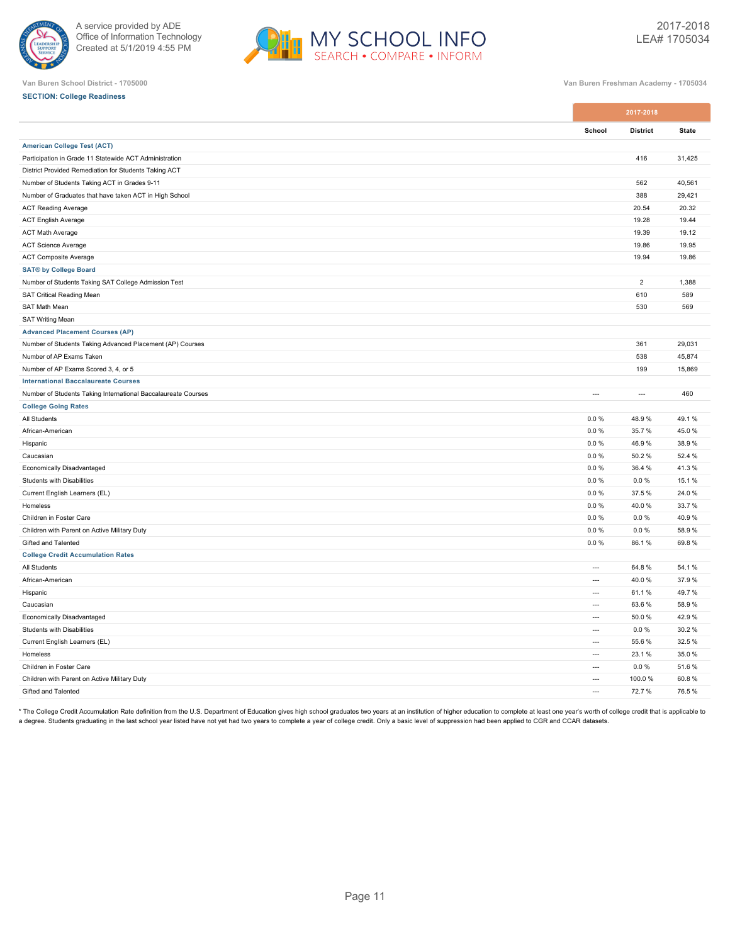



## **SECTION: College Readiness School District State American College Test (ACT)** Participation in Grade 11 Statewide ACT Administration 416 31,425 District Provided Remediation for Students Taking ACT Number of Students Taking ACT in Grades 9-11 662 40,561 and the Students Taking ACT in Grades 9-11 562 40,561 Number of Graduates that have taken ACT in High School 388 29,421 ACT Reading Average 20.54 20.32 ACT English Average 19.28 19.44 ACT Math Average 19.39 19.12 ACT Science Average 19.86 19.95 ACT Composite Average **19.94** 19.86 **SAT® by College Board** Number of Students Taking SAT College Admission Test 2 1,388 SAT Critical Reading Mean 610 589 SAT Math Mean 530 569 SAT Writing Mean **Advanced Placement Courses (AP)** Number of Students Taking Advanced Placement (AP) Courses 361 29,031 Number of AP Exams Taken 538 the state of the state of the state of the state of the state of the state of the state of the state of the state of the state of the state of the state of the state of the state of the state o Number of AP Exams Scored 3, 4, or 5 199 15,869 **International Baccalaureate Courses** Number of Students Taking International Baccalaureate Courses --- 460 **College Going Rates** All Students 0.0 % 48.9 % 49.1 % African-American 0.0 % 35.7 % 45.0 % Hispanic 0.0 % 46.9 % 38.9 %  $\rm Caucasian$   $\rm 0.0\,\%\, \rm 52.4\,\%\,$ Economically Disadvantaged and the state of the state of the state of the state of the state of the state of the state of the state of the state of the state of the state of the state of the state of the state of the state Students with Disabilities  $0.0\%$   $0.0\%$   $0.0\%$   $0.1\%$ Current English Learners (EL) 88 24.0 % 24.0 % 37.5 % 24.0 % 37.5 % 24.0 % 37.5 % 24.0 % 37.5 % 24.0 % 37.5 % 25.5 % 25.0 % 37.5 % 24.0 % 37.5 % 25.0 % 25.5 % 25.0 % 37.5 % 25.0 % 25.0 % 25.0 % 25.0 % 25.0 % 25.0 % 25.0 % Homeless  $0.0\,\% \phantom{0000000000000} \phantom{00000000000000000} \phantom{0000000000000000000} \phantom{000000000000000000} \phantom{000000000000000000} \phantom{000000000000000000} \phantom{00000000000000000} \phantom{00000000000000000} \phantom{000000000000000000} \phantom{0$ Children in Foster Care 0.0 % 0.0 % 40.9 % Children with Parent on Active Military Duty 0.0 % 0.0 % 58.9 % 0.0 % 58.9 % 0.0 % 58.9 % 0.0 % 58.9 % 0.0 % 58.9 % 0.0 % 58.9 % 0.0 % 58.9 % 0.0 % 58.9 % 0.0 % 58.9 % 0.0 % 58.9 % 0.0 % 58.9 % 0.0 % 0.0 % 0.0 % 0.0 % 0.0 Gifted and Talented  $0.0\,\%$  86.1  $\%$  69.8  $\%$ **College Credit Accumulation Rates** All Students --- 64.8 % 54.1 % African-American --- 40.0 % 37.9 % Hispanic --- 61.1 % 49.7 % Caucasian --- 63.6 % 58.9 % Economically Disadvantaged and the state of the state of the state of the state of the state of the state of the state of the state of the state of the state of the state of the state of the state of the state of the state Students with Disabilities **2008** 10.0 % 30.2 % 30.2 % 30.2 % 30.2 % 30.2 % 30.2 % 30.2 % 30.2 % 30.2 % 30.2 % 30.2 % 30.2 % 30.2 % 30.2 % 30.2 % 30.2 % 30.2 % 30.2 % 30.2 % 30.2 % 30.2 % 30.2 % 30.2 % 30.3 % 30.2 % 30.3 % Current English Learners (EL) 32.5 % 32.5 % 32.5 % 32.5 % 32.5 % 32.5 % 32.5 % 32.5 % 32.5 % 32.5 % 32.5 % 32.5 % 32.5 % 32.5 % 32.5 % 32.5 % 32.5 % 32.5 % 32.5 % 32.5 % 32.5 % 32.5 % 32.5 % 32.5 % 32.5 % 32.5 % 32.5 % 32. Homeless --- 23.1 % 35.0 % Children in Foster Care --- 0.0 % 51.6 % Children with Parent on Active Military Duty --- 100.0 % 60.8 % Gifted and Talented --- 72.7 % 76.5 %

\* The College Credit Accumulation Rate definition from the U.S. Department of Education gives high school graduates two years at an institution of higher education to complete at least one year's worth of college credit th a degree. Students graduating in the last school year listed have not yet had two years to complete a year of college credit. Only a basic level of suppression had been applied to CGR and CCAR datasets.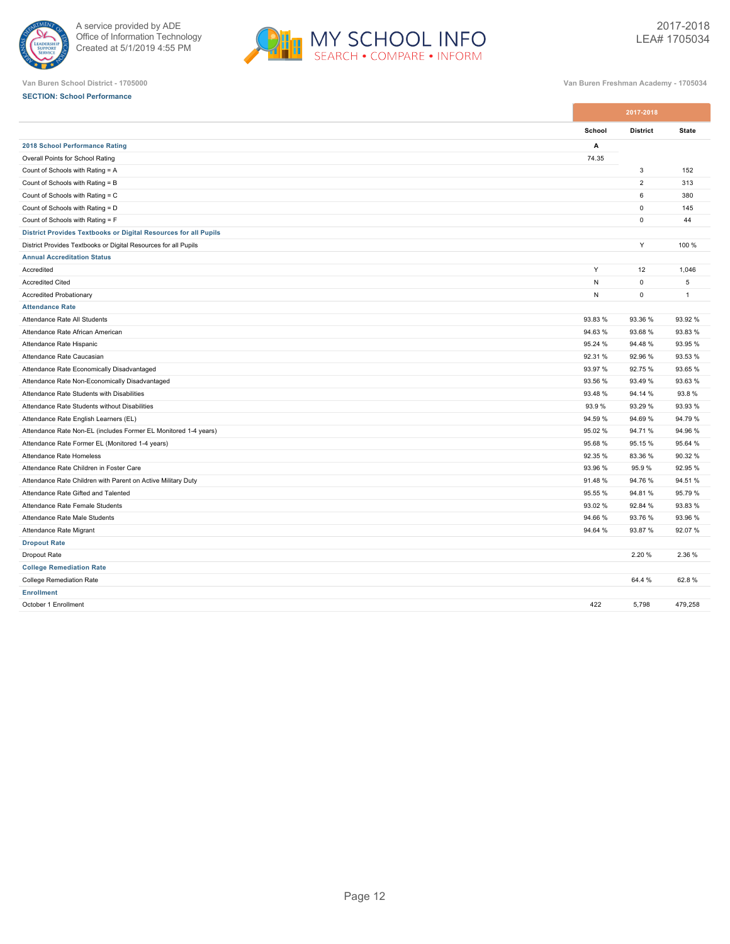



| <b>SECTION: School Performance</b>                              |         |                 |              |
|-----------------------------------------------------------------|---------|-----------------|--------------|
|                                                                 |         | 2017-2018       |              |
|                                                                 | School  | <b>District</b> | <b>State</b> |
| 2018 School Performance Rating                                  | Α       |                 |              |
| Overall Points for School Rating                                | 74.35   |                 |              |
| Count of Schools with Rating = A                                |         | 3               | 152          |
| Count of Schools with Rating = B                                |         | $\overline{2}$  | 313          |
| Count of Schools with Rating = C                                |         | 6               | 380          |
| Count of Schools with Rating = D                                |         | 0               | 145          |
| Count of Schools with Rating = F                                |         | 0               | 44           |
| District Provides Textbooks or Digital Resources for all Pupils |         |                 |              |
| District Provides Textbooks or Digital Resources for all Pupils |         | Υ               | 100 %        |
| <b>Annual Accreditation Status</b>                              |         |                 |              |
| Accredited                                                      | Y       | 12              | 1,046        |
| <b>Accredited Cited</b>                                         | N       | 0               | 5            |
| Accredited Probationary                                         | $\sf N$ | $\mathbf 0$     | $\mathbf{1}$ |
| <b>Attendance Rate</b>                                          |         |                 |              |
| Attendance Rate All Students                                    | 93.83%  | 93.36 %         | 93.92 %      |
| Attendance Rate African American                                | 94.63%  | 93.68 %         | 93.83%       |
| Attendance Rate Hispanic                                        | 95.24 % | 94.48 %         | 93.95 %      |
| Attendance Rate Caucasian                                       | 92.31%  | 92.96 %         | 93.53 %      |
| Attendance Rate Economically Disadvantaged                      | 93.97%  | 92.75 %         | 93.65 %      |
| Attendance Rate Non-Economically Disadvantaged                  | 93.56%  | 93.49 %         | 93.63 %      |
| Attendance Rate Students with Disabilities                      | 93.48%  | 94.14 %         | 93.8%        |
| Attendance Rate Students without Disabilities                   | 93.9%   | 93.29 %         | 93.93 %      |
| Attendance Rate English Learners (EL)                           | 94.59%  | 94.69 %         | 94.79%       |
| Attendance Rate Non-EL (includes Former EL Monitored 1-4 years) | 95.02%  | 94.71 %         | 94.96 %      |
| Attendance Rate Former EL (Monitored 1-4 years)                 | 95.68%  | 95.15 %         | 95.64 %      |
| Attendance Rate Homeless                                        | 92.35 % | 83.36 %         | 90.32 %      |
| Attendance Rate Children in Foster Care                         | 93.96%  | 95.9%           | 92.95 %      |
| Attendance Rate Children with Parent on Active Military Duty    | 91.48%  | 94.76 %         | 94.51%       |
| Attendance Rate Gifted and Talented                             | 95.55 % | 94.81%          | 95.79 %      |
| Attendance Rate Female Students                                 | 93.02%  | 92.84 %         | 93.83 %      |
| Attendance Rate Male Students                                   | 94.66%  | 93.76 %         | 93.96 %      |
| Attendance Rate Migrant                                         | 94.64 % | 93.87 %         | 92.07%       |
| <b>Dropout Rate</b>                                             |         |                 |              |
| Dropout Rate                                                    |         | 2.20%           | 2.36 %       |
| <b>College Remediation Rate</b>                                 |         |                 |              |
| College Remediation Rate                                        |         | 64.4%           | 62.8%        |
| <b>Enrollment</b>                                               |         |                 |              |
| October 1 Enrollment                                            | 422     | 5,798           | 479,258      |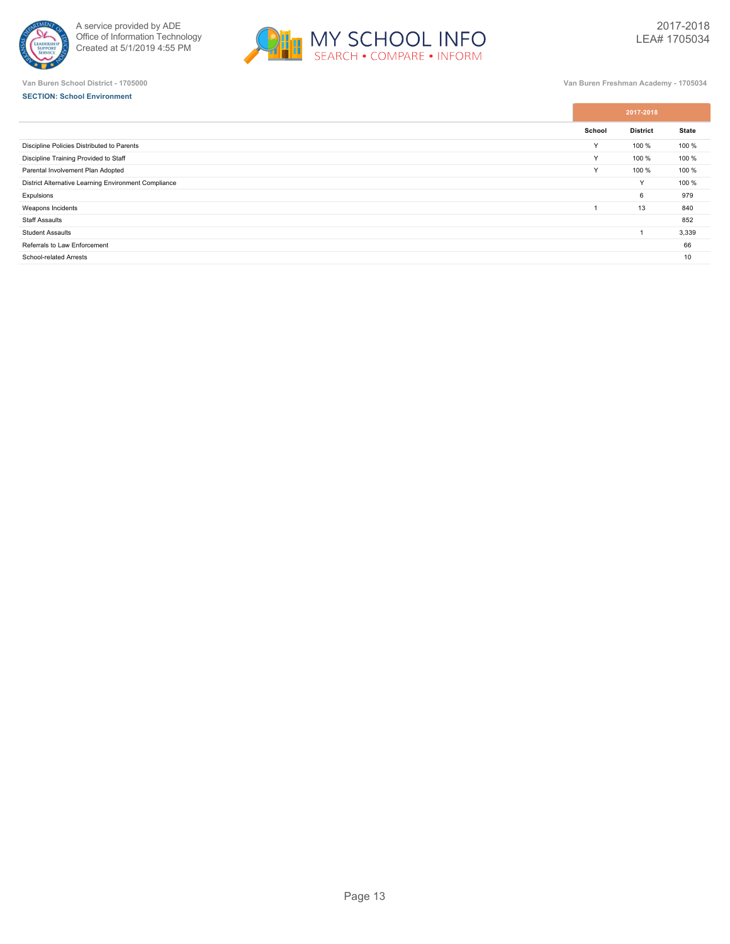



# **SECTION: School Environment**

|                                                      |        | 2017-2018       |              |
|------------------------------------------------------|--------|-----------------|--------------|
|                                                      | School | <b>District</b> | <b>State</b> |
| Discipline Policies Distributed to Parents           | Y      | 100 %           | 100 %        |
| Discipline Training Provided to Staff                | Y      | 100 %           | 100 %        |
| Parental Involvement Plan Adopted                    | Y      | 100 %           | 100 %        |
| District Alternative Learning Environment Compliance |        | Y               | 100 %        |
| Expulsions                                           |        | 6               | 979          |
| Weapons Incidents                                    |        | 13              | 840          |
| <b>Staff Assaults</b>                                |        |                 | 852          |
| <b>Student Assaults</b>                              |        |                 | 3,339        |
| Referrals to Law Enforcement                         |        |                 | 66           |
| School-related Arrests                               |        |                 | 10           |
|                                                      |        |                 |              |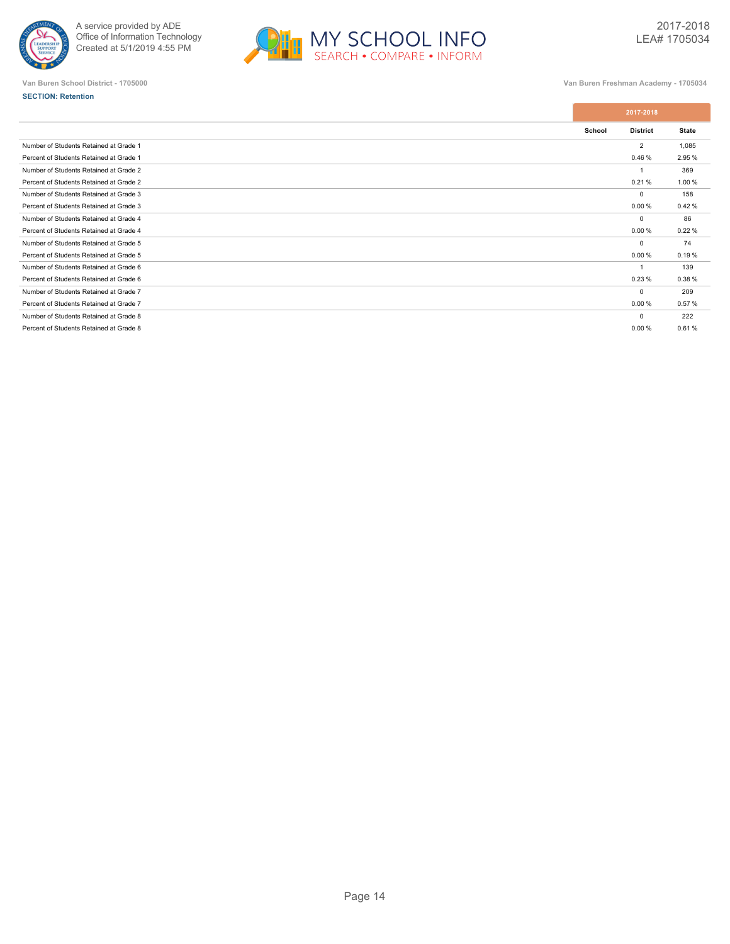



## **SECTION: Retention**

|                                         |        | 2017-2018       |        |
|-----------------------------------------|--------|-----------------|--------|
|                                         | School | <b>District</b> | State  |
| Number of Students Retained at Grade 1  |        | 2               | 1,085  |
| Percent of Students Retained at Grade 1 |        | 0.46%           | 2.95 % |
| Number of Students Retained at Grade 2  |        | 1               | 369    |
| Percent of Students Retained at Grade 2 |        | 0.21%           | 1.00 % |
| Number of Students Retained at Grade 3  |        | 0               | 158    |
| Percent of Students Retained at Grade 3 |        | 0.00%           | 0.42%  |
| Number of Students Retained at Grade 4  |        | 0               | 86     |
| Percent of Students Retained at Grade 4 |        | 0.00%           | 0.22%  |
| Number of Students Retained at Grade 5  |        | 0               | 74     |
| Percent of Students Retained at Grade 5 |        | 0.00%           | 0.19%  |
| Number of Students Retained at Grade 6  |        | -1              | 139    |
| Percent of Students Retained at Grade 6 |        | 0.23%           | 0.38%  |
| Number of Students Retained at Grade 7  |        | 0               | 209    |
| Percent of Students Retained at Grade 7 |        | 0.00%           | 0.57%  |
| Number of Students Retained at Grade 8  |        | 0               | 222    |
| Percent of Students Retained at Grade 8 |        | 0.00%           | 0.61%  |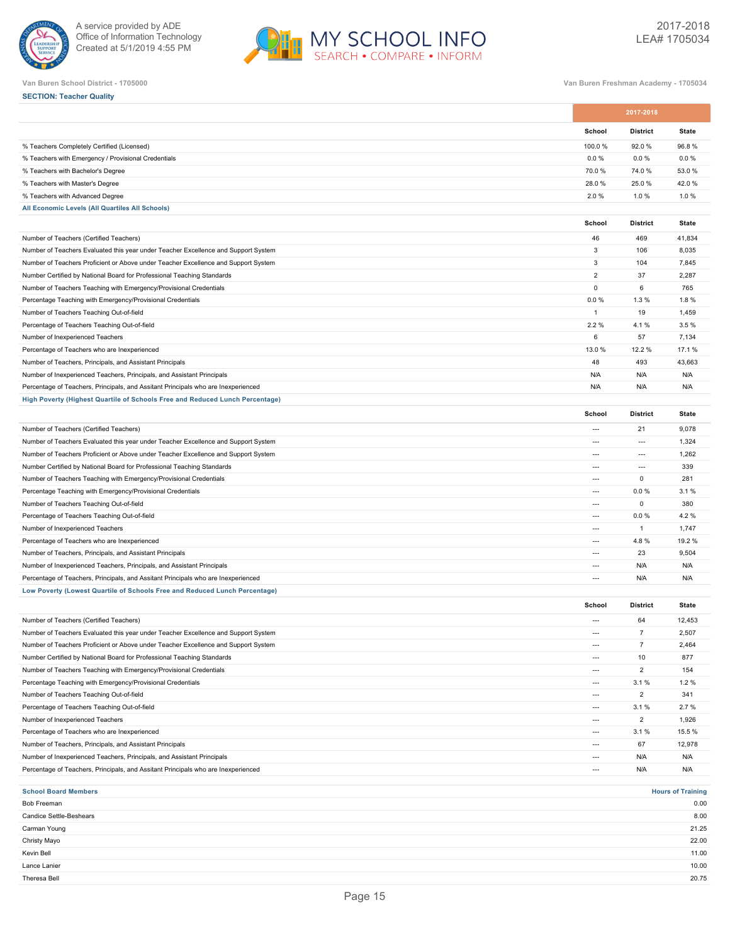



| <b>SECTION: Teacher Quality</b>                                                    |                          |                          |                          |
|------------------------------------------------------------------------------------|--------------------------|--------------------------|--------------------------|
|                                                                                    |                          | 2017-2018                |                          |
|                                                                                    | School                   | <b>District</b>          | <b>State</b>             |
| % Teachers Completely Certified (Licensed)                                         | 100.0%                   | 92.0%                    | 96.8%                    |
| % Teachers with Emergency / Provisional Credentials                                | 0.0%                     | 0.0%                     | 0.0%                     |
| % Teachers with Bachelor's Degree                                                  | 70.0%                    | 74.0%                    | 53.0%                    |
| % Teachers with Master's Degree                                                    | 28.0%                    | 25.0%                    | 42.0%                    |
| % Teachers with Advanced Degree                                                    | 2.0%                     | 1.0%                     | 1.0%                     |
| All Economic Levels (All Quartiles All Schools)                                    |                          |                          |                          |
|                                                                                    | School                   | <b>District</b>          | <b>State</b>             |
| Number of Teachers (Certified Teachers)                                            | 46                       | 469                      | 41,834                   |
| Number of Teachers Evaluated this year under Teacher Excellence and Support System | 3                        | 106                      | 8,035                    |
| Number of Teachers Proficient or Above under Teacher Excellence and Support System | 3                        | 104                      | 7,845                    |
| Number Certified by National Board for Professional Teaching Standards             | $\overline{2}$           | 37                       | 2,287                    |
| Number of Teachers Teaching with Emergency/Provisional Credentials                 | $\mathsf 0$              | 6                        | 765                      |
| Percentage Teaching with Emergency/Provisional Credentials                         | 0.0%                     | 1.3%                     | 1.8%                     |
| Number of Teachers Teaching Out-of-field                                           | $\mathbf{1}$             | 19                       | 1,459                    |
| Percentage of Teachers Teaching Out-of-field                                       | 2.2%                     | 4.1%                     | 3.5%                     |
| Number of Inexperienced Teachers                                                   | 6                        | 57                       | 7,134                    |
| Percentage of Teachers who are Inexperienced                                       | 13.0%                    | 12.2%                    | 17.1 %                   |
| Number of Teachers, Principals, and Assistant Principals                           | 48                       | 493                      | 43,663                   |
| Number of Inexperienced Teachers, Principals, and Assistant Principals             | N/A                      | N/A                      | N/A                      |
| Percentage of Teachers, Principals, and Assitant Principals who are Inexperienced  | N/A                      | N/A                      | N/A                      |
| High Poverty (Highest Quartile of Schools Free and Reduced Lunch Percentage)       |                          |                          |                          |
|                                                                                    | School                   | <b>District</b>          | <b>State</b>             |
| Number of Teachers (Certified Teachers)                                            | $\overline{a}$           | 21                       | 9,078                    |
| Number of Teachers Evaluated this year under Teacher Excellence and Support System | $---$                    | $\overline{a}$           | 1,324                    |
| Number of Teachers Proficient or Above under Teacher Excellence and Support System | $\overline{\phantom{a}}$ | $\overline{\phantom{a}}$ | 1,262                    |
| Number Certified by National Board for Professional Teaching Standards             | $---$                    | $\overline{a}$           | 339                      |
| Number of Teachers Teaching with Emergency/Provisional Credentials                 | ---                      | $\mathsf 0$              | 281                      |
| Percentage Teaching with Emergency/Provisional Credentials                         | $---$                    | 0.0%                     | 3.1%                     |
| Number of Teachers Teaching Out-of-field                                           | $---$                    | $\mathsf 0$              | 380                      |
| Percentage of Teachers Teaching Out-of-field                                       | $---$                    | 0.0%                     | 4.2%                     |
| Number of Inexperienced Teachers                                                   | $---$                    | $\mathbf{1}$             | 1,747                    |
| Percentage of Teachers who are Inexperienced                                       | $\overline{\phantom{a}}$ | 4.8%                     | 19.2 %                   |
| Number of Teachers, Principals, and Assistant Principals                           | ---                      | 23                       | 9,504                    |
| Number of Inexperienced Teachers, Principals, and Assistant Principals             | $\overline{\phantom{a}}$ | N/A                      | N/A                      |
| Percentage of Teachers, Principals, and Assitant Principals who are Inexperienced  | ---                      | N/A                      | N/A                      |
| Low Poverty (Lowest Quartile of Schools Free and Reduced Lunch Percentage)         |                          |                          |                          |
|                                                                                    | School                   | <b>District</b>          | <b>State</b>             |
| Number of Teachers (Certified Teachers)                                            | $---$                    | 64                       | 12,453                   |
| Number of Teachers Evaluated this year under Teacher Excellence and Support System | $\overline{a}$           | $\overline{7}$           | 2,507                    |
| Number of Teachers Proficient or Above under Teacher Excellence and Support System | $---$                    | $\overline{7}$           | 2,464                    |
| Number Certified by National Board for Professional Teaching Standards             | ---                      | 10                       | 877                      |
| Number of Teachers Teaching with Emergency/Provisional Credentials                 | $---$                    | $\mathbf 2$              | 154                      |
| Percentage Teaching with Emergency/Provisional Credentials                         | $---$                    | 3.1%                     | 1.2%                     |
| Number of Teachers Teaching Out-of-field                                           | $---$                    | $\mathbf 2$              | 341                      |
| Percentage of Teachers Teaching Out-of-field                                       | $---$                    | 3.1%                     | 2.7%                     |
| Number of Inexperienced Teachers                                                   | $\overline{\phantom{a}}$ | $\overline{2}$           | 1,926                    |
| Percentage of Teachers who are Inexperienced                                       | ---                      | 3.1%                     | 15.5 %                   |
| Number of Teachers, Principals, and Assistant Principals                           | $\overline{\phantom{a}}$ | 67                       | 12,978                   |
| Number of Inexperienced Teachers, Principals, and Assistant Principals             | ---                      | N/A                      | N/A                      |
| Percentage of Teachers, Principals, and Assitant Principals who are Inexperienced  | $\overline{a}$           | N/A                      | N/A                      |
| <b>School Board Members</b>                                                        |                          |                          | <b>Hours of Training</b> |
| Bob Freeman                                                                        |                          |                          | 0.00                     |
| Candice Settle-Beshears                                                            |                          |                          | 8.00                     |
| Carman Young                                                                       |                          |                          | 21.25                    |
| Christy Mayo                                                                       |                          |                          | 22.00                    |
| Kevin Bell                                                                         |                          |                          | 11.00                    |

Lance Lanier 10.00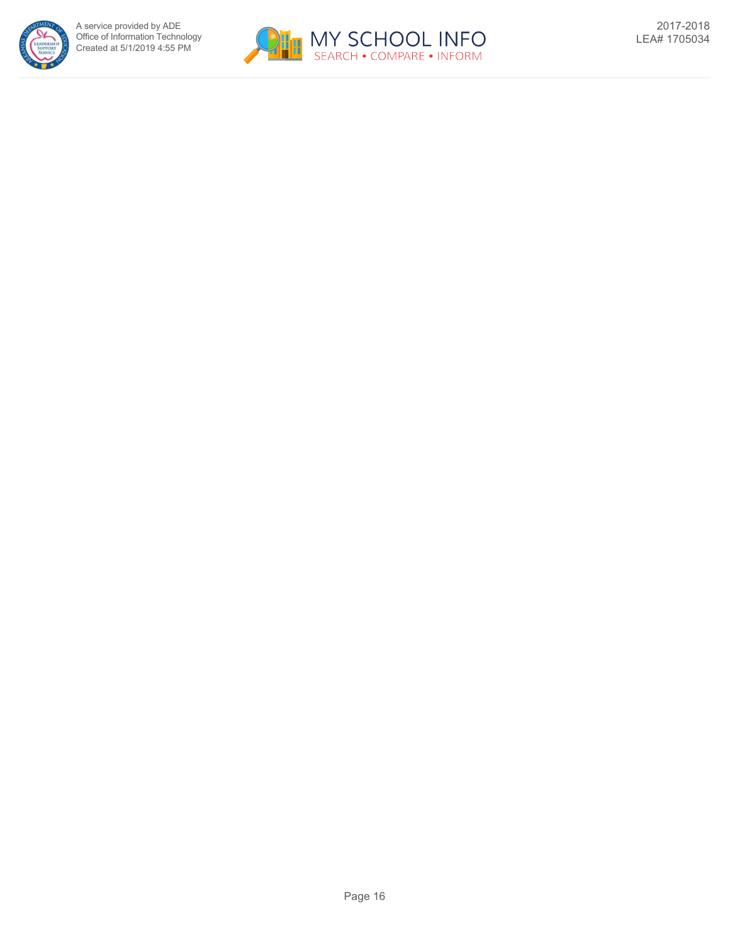

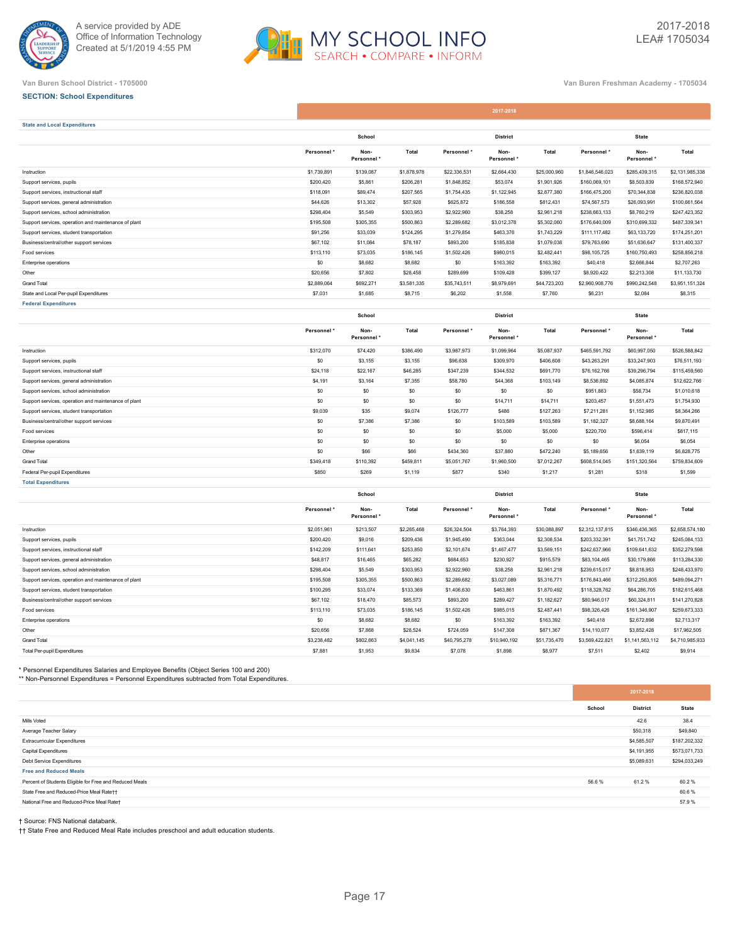



## **SECTION: School Expenditures**

|                                                      |                        |                                |             |                        | 2017-2018                      |              |                        |                                |                 |
|------------------------------------------------------|------------------------|--------------------------------|-------------|------------------------|--------------------------------|--------------|------------------------|--------------------------------|-----------------|
| <b>State and Local Expenditures</b>                  |                        |                                |             |                        |                                |              |                        |                                |                 |
|                                                      |                        | School                         |             |                        | <b>District</b>                |              |                        | <b>State</b>                   |                 |
|                                                      | Personnel <sup>®</sup> | Non-<br>Personnel <sup>'</sup> | Total       | Personnel *            | Non-<br>Personnel *            | Total        | Personnel <sup>'</sup> | Non-<br>Personnel              | Total           |
| Instruction                                          | \$1,739,891            | \$139,087                      | \$1,878,978 | \$22,336,531           | \$2,664,430                    | \$25,000,960 | \$1,846,546,023        | \$285,439,315                  | \$2,131,985,338 |
| Support services, pupils                             | \$200,420              | \$5,861                        | \$206,281   | \$1,848,852            | \$53,074                       | \$1,901,926  | \$160,069,101          | \$8,503,839                    | \$168,572,940   |
| Support services, instructional staff                | \$118,091              | \$89,474                       | \$207,565   | \$1,754,435            | \$1,122,945                    | \$2,877,380  | \$166,475,200          | \$70,344,838                   | \$236,820,038   |
| Support services, general administration             | \$44,626               | \$13,302                       | \$57,928    | \$625,872              | \$186,558                      | \$812,431    | \$74,567,573           | \$26,093,991                   | \$100,661,564   |
| Support services, school administration              | \$298,404              | \$5,549                        | \$303,953   | \$2,922,960            | \$38,258                       | \$2,961,218  | \$238,663,133          | \$8,760,219                    | \$247,423,352   |
| Support services, operation and maintenance of plant | \$195,508              | \$305,355                      | \$500,863   | \$2,289,682            | \$3,012,378                    | \$5,302,060  | \$176,640,009          | \$310,699,332                  | \$487,339,341   |
| Support services, student transportation             | \$91,256               | \$33,039                       | \$124,295   | \$1,279,854            | \$463,376                      | \$1,743,229  | \$111,117,482          | \$63,133,720                   | \$174,251,201   |
| Business/central/other support services              | \$67,102               | \$11,084                       | \$78,187    | \$893,200              | \$185,838                      | \$1,079,038  | \$79,763,690           | \$51,636,647                   | \$131,400,337   |
| Food services                                        | \$113,110              | \$73,035                       | \$186,145   | \$1,502,426            | \$980,015                      | \$2,482,441  | \$98,105,725           | \$160,750,493                  | \$258,856,218   |
| Enterprise operations                                | \$0                    | \$8,682                        | \$8,682     | \$0                    | \$163,392                      | \$163,392    | \$40,418               | \$2,666,844                    | \$2,707,263     |
| Other                                                | \$20,656               | \$7,802                        | \$28,458    | \$289,699              | \$109,428                      | \$399,127    | \$8,920,422            | \$2,213,308                    | \$11,133,730    |
| <b>Grand Total</b>                                   | \$2,889,064            | \$692,271                      | \$3,581,335 | \$35,743,511           | \$8,979,691                    | \$44,723,203 | \$2,960,908,776        | \$990,242,548                  | \$3,951,151,324 |
| State and Local Per-pupil Expenditures               | \$7,031                | \$1,685                        | \$8,715     | \$6,202                | \$1,558                        | \$7,760      | \$6,231                | \$2,084                        | \$8,315         |
| <b>Federal Expenditures</b>                          |                        |                                |             |                        |                                |              |                        |                                |                 |
|                                                      |                        | School                         |             |                        | <b>District</b>                |              |                        | <b>State</b>                   |                 |
|                                                      | Personnel *            | Non-<br>Personnel <sup>'</sup> | Total       | Personnel *            | Non-<br>Personnel <sup>*</sup> | Total        | Personnel *            | Non-<br>Personnel <sup>'</sup> | Total           |
| Instruction                                          | \$312,070              | \$74,420                       | \$386,490   | \$3,987,973            | \$1,099,964                    | \$5,087,937  | \$465,591,792          | \$60,997,050                   | \$526,588,842   |
| Support services, pupils                             | \$0                    | \$3,155                        | \$3,155     | \$96,638               | \$309,970                      | \$406,608    | \$43,263,291           | \$33,247,903                   | \$76,511,193    |
| Support services, instructional staff                | \$24,118               | \$22,167                       | \$46,285    | \$347,239              | \$344,532                      | \$691,770    | \$76,162,766           | \$39,296,794                   | \$115,459,560   |
| Support services, general administration             | \$4,191                | \$3,164                        | \$7,355     | \$58,780               | \$44,368                       | \$103,149    | \$8,536,892            | \$4,085,874                    | \$12,622,766    |
| Support services, school administration              | \$0                    | \$0                            | \$0         | \$0                    | \$0                            | \$0          | \$951,883              | \$58,734                       | \$1,010,618     |
| Support services, operation and maintenance of plant | \$0                    | \$0                            | \$0         | \$0                    | \$14,711                       | \$14,711     | \$203,457              | \$1,551,473                    | \$1,754,930     |
| Support services, student transportation             | \$9,039                | \$35                           | \$9,074     | \$126,777              | \$486                          | \$127,263    | \$7,211,281            | \$1,152,985                    | \$8,364,266     |
| Business/central/other support services              | \$0                    | \$7,386                        | \$7,386     | \$0                    | \$103,589                      | \$103,589    | \$1,182,327            | \$8,688,164                    | \$9,870,491     |
| Food services                                        | \$0                    | \$0                            | \$0         | \$0                    | \$5,000                        | \$5,000      | \$220,700              | \$596,414                      | \$817,115       |
| Enterprise operations                                | \$0                    | \$0                            | \$0         | \$0                    | \$0                            | \$0          | \$0                    | \$6,054                        | \$6,054         |
| Other                                                | $\$0$                  | \$66                           | \$66        | \$434,360              | \$37,880                       | \$472,240    | \$5,189,656            | \$1,639,119                    | \$6,828,775     |
| <b>Grand Total</b>                                   | \$349,418              | \$110,392                      | \$459,811   | \$5,051,767            | \$1,960,500                    | \$7,012,267  | \$608,514,045          | \$151,320,564                  | \$759,834,609   |
| Federal Per-pupil Expenditures                       | \$850                  | \$269                          | \$1,119     | <b>\$877</b>           | \$340                          | \$1,217      | \$1,281                | \$318                          | \$1,599         |
| <b>Total Expenditures</b>                            |                        |                                |             |                        |                                |              |                        |                                |                 |
|                                                      |                        | School                         |             |                        | <b>District</b>                |              |                        | <b>State</b>                   |                 |
|                                                      | Personnel *            | Non-<br>Personnel              | Total       | Personnel <sup>*</sup> | Non-<br>Personnel *            | Total        | Personnel <sup>'</sup> | Non-<br>Personnel <sup>*</sup> | Total           |
| Instruction                                          | \$2,051,961            | \$213,507                      | \$2,265,468 | \$26,324,504           | \$3,764,393                    | \$30,088,897 | \$2,312,137,815        | \$346,436,365                  | \$2,658,574,180 |
| Support services, pupils                             | \$200,420              | \$9,016                        | \$209,436   | \$1,945,490            | \$363,044                      | \$2,308,534  | \$203,332,391          | \$41,751,742                   | \$245,084,133   |
| Support services, instructional staff                | \$142,209              | \$111,641                      | \$253,850   | \$2,101,674            | \$1,467,477                    | \$3,569,151  | \$242,637,966          | \$109,641,632                  | \$352,279,598   |
| Support services, general administration             | \$48,817               | \$16,465                       | \$65,282    | \$684,653              | \$230,927                      | \$915,579    | \$83,104,465           | \$30,179,866                   | \$113,284,330   |
| Support services, school administration              | \$298,404              | \$5,549                        | \$303,953   | \$2,922,960            | \$38,258                       | \$2,961,218  | \$239,615,017          | \$8,818,953                    | \$248,433,970   |

Business/central/other support services \$67,102 \$18,470 \$85,573 \$893,200 \$289,427 \$1,182,627 \$80,946,017 \$60,324,811 \$141,270,828 Food services \$113,110 \$73,035 \$186,145 \$1,502,426 \$985,015 \$2,487,441 \$98,326,426 \$161,346,907 \$259,673,333 Enterprise operations \$8,682 \$8,682 \$163,392 \$163,392 \$40,418 \$2,672,898 \$2,713,317 Other \$20,656 \$7,868 \$28,524 \$724,059 \$147,308 \$871,367 \$14,110,077 \$3,852,428 \$17,962,505 Grand Total \$3,238,482 \$802,663 \$4,041,145 \$40,795,278 \$10,940,192 \$51,735,470 \$3,569,422,821 \$1,141,563,112 \$4,710,985,933

\* Personnel Expenditures Salaries and Employee Benefits (Object Series 100 and 200)

\*\* Non-Personnel Expenditures = Personnel Expenditures subtracted from Total Expenditures.

|                                                         |        | 2017-2018       |               |
|---------------------------------------------------------|--------|-----------------|---------------|
|                                                         | School | <b>District</b> | <b>State</b>  |
| Mills Voted                                             |        | 42.6            | 38.4          |
| Average Teacher Salary                                  |        | \$50,318        | \$49,840      |
| <b>Extracurricular Expenditures</b>                     |        | \$4,585,507     | \$187,202,332 |
| Capital Expenditures                                    |        | \$4,191,955     | \$573,071,733 |
| Debt Service Expenditures                               |        | \$5,089,631     | \$294,033,249 |
| <b>Free and Reduced Meals</b>                           |        |                 |               |
| Percent of Students Eligible for Free and Reduced Meals | 56.6%  | 61.2%           | 60.2%         |
| State Free and Reduced-Price Meal Rate††                |        |                 | 60.6%         |
| National Free and Reduced-Price Meal Rate+              |        |                 | 57.9%         |
|                                                         |        |                 |               |

Support services, operation and maintenance of plant \$195,508 \$305,355 \$500,863 \$2,289,682 \$3,027,089 \$5,316,771 \$176,843,466 \$312,250,805 \$489,094,271 Support services, student transportation \$100,295 \$33,074 \$133,369 \$1,406,630 \$463,861 \$1,870,492 \$118,328,762 \$64,286,705 \$182,615,468

Total Per-pupil Expenditures \$7,881 \$1,953 \$9,834 \$7,078 \$1,898 \$8,977 \$7,511 \$2,402 \$9,914

† Source: FNS National databank.

†† State Free and Reduced Meal Rate includes preschool and adult education students.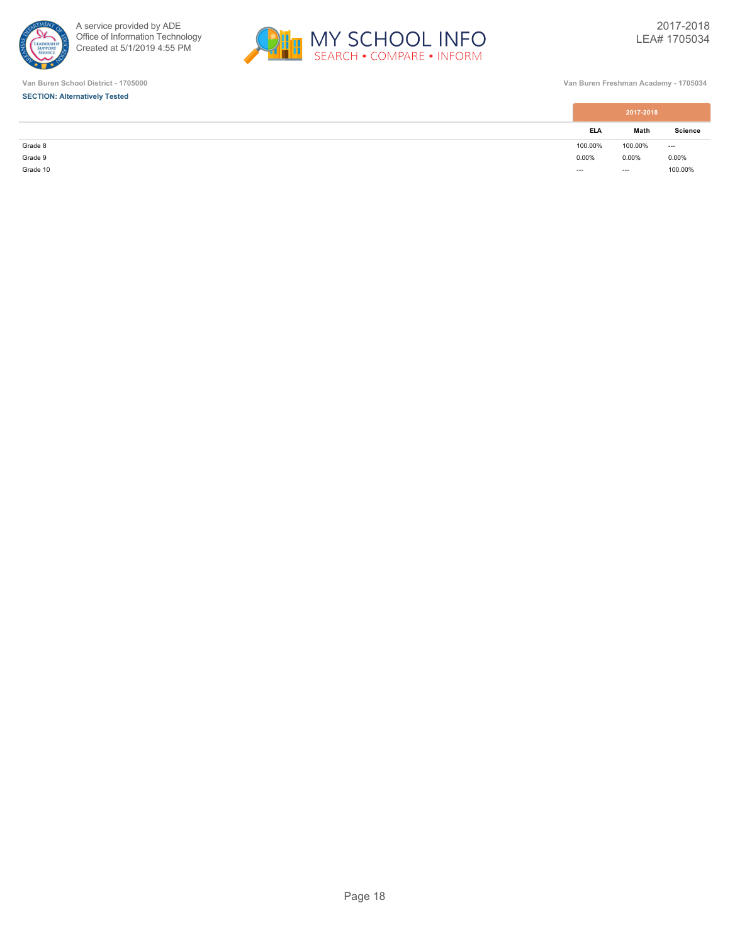





|                    |            | 2017-2018 |         |
|--------------------|------------|-----------|---------|
|                    | <b>ELA</b> | Math      | Science |
|                    | 100.00%    | 100.00%   | $---$   |
| Grade 8<br>Grade 9 | 0.00%      | 0.00%     | 0.00%   |
| Grade 10           | $- - -$    | $\cdots$  | 100.00% |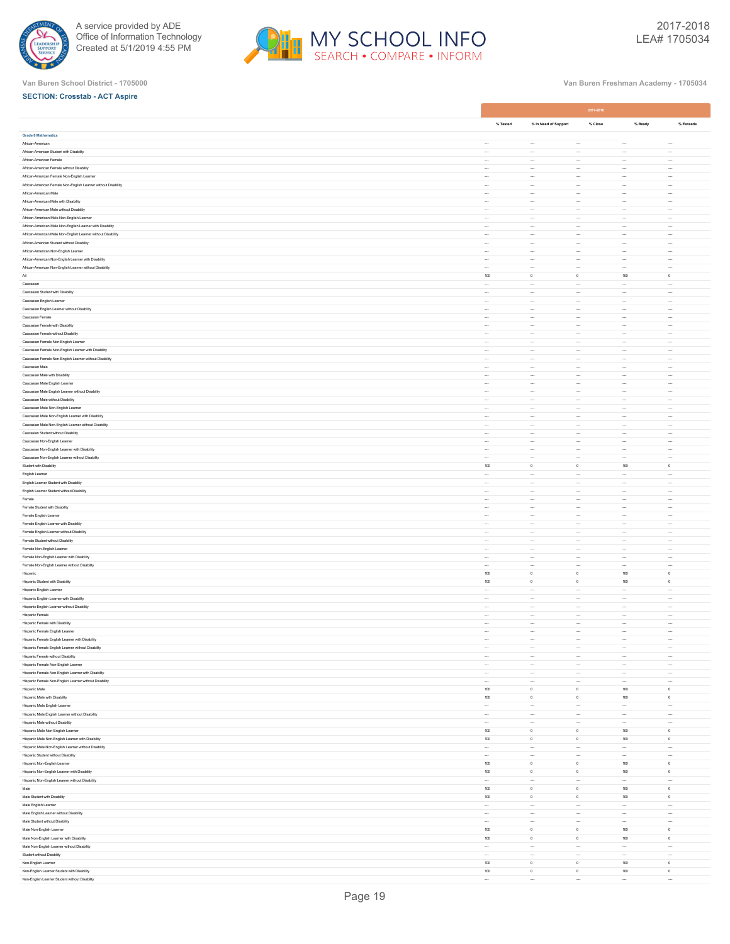



|                                                                                              |                      | 2017-2018                  |                                  |                                  |                            |
|----------------------------------------------------------------------------------------------|----------------------|----------------------------|----------------------------------|----------------------------------|----------------------------|
|                                                                                              | % Tested             | % In Need of Support       | $\%$ Close                       | % Ready                          | % Exceeds                  |
| <b>Grade 8 Mathematics</b>                                                                   |                      |                            |                                  |                                  |                            |
| African-American                                                                             | $\cdots$             | $\cdots$                   | $\cdots$                         | $\cdots$                         | $\cdots$                   |
| African-American Student with Disability                                                     | $\cdots$             | $\sim$                     | $\ddotsc$                        | $\cdots$                         | $\cdots$                   |
| African-American Female                                                                      | $\cdots$             | $\sim$                     | $\ddotsc$                        | $\ddotsc$                        |                            |
| African-American Female without Disability                                                   | $\ldots$             | $\ddotsc$                  | $\ddotsc$                        | $\cdots$                         | $\cdots$                   |
| African-American Female Non-English Learner                                                  | $\cdots$             | $\cdots$                   | $\ddot{\phantom{0}}$             | $\cdots$                         | $\ldots$                   |
| African-American Female Non-English Learner without Disability<br>African-American Male      | $\cdots$<br>$\cdots$ | $\cdots$<br>$\sim$         | $\ddot{\phantom{0}}$<br>$\cdots$ | $\ddot{\phantom{0}}$<br>$\cdots$ | $\cdots$<br>$\ldots$       |
| African-American Male with Disability                                                        | $\cdots$             | $\cdots$                   | $\cdots$                         | $\cdots$                         | $\cdots$                   |
| African-American Male without Disability                                                     | $\sim$               | $\sim$                     | $\ddotsc$                        |                                  | $\cdots$                   |
| African-American Male Non-English Learner                                                    | $\cdots$             | $\cdots$                   | $\cdots$                         | $\cdots$                         | $\ldots$                   |
| African-American Male Non-English Learner with Disability                                    | $\cdots$             | $\ddotsc$                  | $\cdots$                         | $\cdots$                         | $\cdots$                   |
| African-American Male Non-English Learner without Disability                                 | $\sim$               | $\sim$                     | $\sim$                           |                                  | $\cdots$                   |
| African-American Student without Disability                                                  | $\cdots$             | $\cdots$                   | $\cdots$                         | $\cdots$                         | $\cdots$                   |
| African-American Non-English Learner<br>African-American Non-English Learner with Disability | $\cdots$<br>$\cdots$ | $\ddotsc$<br>$\cdots$      | $\cdots$<br>$\ddotsc$            | $\cdots$<br>$\cdots$             | $\ldots$<br>$\cdots$       |
| African-American Non-English Learner without Disability                                      | $\cdots$             | $\cdots$                   | $\cdots$                         | $\cdots$                         | $\cdots$                   |
| All                                                                                          | 100                  | $\,0\,$                    | $\,$ 0 $\,$                      | 100                              | $\mathbb O$                |
| Caucasian                                                                                    | $\cdots$             | $\cdots$                   | $\ddotsc$                        | $\cdots$                         | $\cdots$                   |
| Caucasian Student with Disability                                                            | $\cdots$             | $\ddot{\phantom{a}}$       | $\ddot{\phantom{0}}$             | $\ddot{\phantom{0}}$             |                            |
| Caucasian English Learner                                                                    | $\cdots$             | $\cdots$                   | $\cdots$                         | $\cdots$                         | $\cdots$                   |
| Caucasian English Learner without Disability                                                 | $\cdots$             | $\cdots$                   | $\ddotsc$                        | $\cdots$                         | $\cdots$                   |
| Caucasian Female                                                                             | $\cdots$             | $\sim$                     | $\ddotsc$                        | $\ddotsc$                        |                            |
| Caucasian Female with Disability<br>Caucasian Female without Disability                      | $\cdots$<br>$\cdots$ | $\sim$<br>$\cdots$         | $\ddotsc$<br>$\cdots$            | $\cdots$<br>$\cdots$             | $\cdots$<br>$\cdots$       |
| Caucasian Female Non-English Learner                                                         | $\sim$               | $\sim$                     | $\sim$                           |                                  |                            |
| Caucasian Female Non-English Learner with Disability                                         | $\cdots$             | $\cdots$                   | $\cdots$                         | $\cdots$                         | $\ldots$                   |
| Caucasian Female Non-English Learner without Disability                                      | $\cdots$             | $\cdots$                   | $\cdots$                         | $\cdots$                         | $\cdots$                   |
| Caucasian Male                                                                               | $\sim$               | $\ddotsc$                  | $\ddotsc$                        |                                  | $\cdots$                   |
| Caucasian Male with Disability                                                               | $\cdots$             | $\cdots$                   | $\cdots$                         | $\cdots$                         | $\cdots$                   |
| Caucasian Male English Learner                                                               | $\cdots$             | $\ddotsc$                  | $\cdots$                         | $\cdots$                         | $\cdots$                   |
| Caucasian Male English Learner without Disability<br>Caucasian Male without Disability       | $\cdots$             | $\cdots$                   | $\ddotsc$                        | $\cdots$                         | $\cdots$                   |
| Caucasian Male Non-English Learner                                                           | $\cdots$<br>$\cdots$ | $\cdots$<br>$\ddotsc$      | $\cdots$<br>$\cdots$             | $\cdots$<br>$\cdots$             | $\cdots$<br>$\cdots$       |
| Caucasian Male Non-English Learner with Disability                                           | $\cdots$             | $\cdots$                   | $\ddotsc$                        | $\cdots$                         | $\cdots$                   |
| Caucasian Male Non-English Learner without Disability                                        | $\ddot{\phantom{0}}$ | $\sim$                     | $\ddotsc$                        | $\ddotsc$                        |                            |
| Caucasian Student without Disability                                                         | $\ldots$             | $\ddotsc$                  | $\cdots$                         | $\cdots$                         | $\cdots$                   |
| Caucasian Non-English Learner                                                                | $\cdots$             | $\cdots$                   | $\cdots$                         | $\cdots$                         | $\ldots$                   |
| Caucasian Non-English Learner with Disability                                                | $\cdots$             | $\ddot{\phantom{a}}$       | $\ddot{\phantom{0}}$             | $\ddot{\phantom{0}}$             |                            |
| Caucasian Non-English Learner without Disability                                             | $\cdots$             | $\sim$                     | $\cdots$                         | $\cdots$                         | $\ldots$                   |
| Student with Disability<br>English Learner                                                   | 100<br>              | $\,$ 0 $\,$<br>$\sim$      | $\,$ 0 $\,$<br>$\sim$            | 100<br>                          | $\mathsf{o}$<br>$\cdots$   |
| English Learner Student with Disability                                                      | $\cdots$             | $\cdots$                   | $\cdots$                         | $\cdots$                         | $\ldots$                   |
| English Learner Student without Disability                                                   | $\cdots$             | $\ddotsc$                  | $\cdots$                         | $\ddotsc$                        | $\cdots$                   |
| Female                                                                                       | $\sim$               | $\sim$                     | $\sim$                           | $\sim$                           | $\cdots$                   |
| Female Student with Disability                                                               | $\cdots$             | $\cdots$                   | $\cdots$                         | $\cdots$                         | $\cdots$                   |
| Female English Learner                                                                       | $\cdots$             | $\cdots$                   | $\cdots$                         | $\cdots$                         | $\cdots$                   |
| Female English Learner with Disability                                                       | $\cdots$             | $\cdots$                   | $\ddotsc$                        | $\cdots$                         | $\cdots$                   |
| Female English Learner without Disability                                                    | $\cdots$<br>$\cdots$ | $\cdots$<br>$\ddotsc$      | $\cdots$<br>$\ddot{\phantom{0}}$ | $\cdots$<br>$\cdots$             | $\cdots$<br>$\cdots$       |
| Female Student without Disability<br>Female Non-English Learner                              | $\cdots$             | $\cdots$                   | $\cdots$                         | $\cdots$                         | $\cdots$                   |
| Female Non-English Learner with Disability                                                   | $\cdots$             | $\ddot{\phantom{a}}$       | $\ddot{\phantom{0}}$             | $\ddot{\phantom{0}}$             |                            |
| Female Non-English Learner without Disability                                                | $\cdots$             | $\ddotsc$                  | $\cdots$                         | $\cdots$                         | $\cdots$                   |
| Hispanic                                                                                     | 100                  | $\,$ 0 $\,$                | $\,$ 0 $\,$                      | 100                              | $\mathsf{o}$               |
| Hispanic Student with Disability                                                             | $100\,$              | $\,0\,$                    | $\,$ 0 $\,$                      | $100\,$                          | $\mathbb O$                |
| Hispanic English Learner                                                                     | $\cdots$             | $\sim$                     | $\cdots$                         | $\cdots$                         | $\cdots$                   |
| Hispanic English Learner with Disability<br>Hispanic English Learner without Disability      | $\cdots$<br>$\sim$   | $\cdots$<br>$\sim$         | $\cdots$<br>$\sim$               | $\cdots$<br>                     | $\cdots$<br>               |
| Hispanic Female                                                                              | $\cdots$             | $\sim$                     | $\cdots$                         | $\cdots$                         | $\ldots$                   |
| Hispanic Female with Disability                                                              |                      | $\ddot{\phantom{a}}$       | $\ddot{\phantom{0}}$             |                                  |                            |
| Hispanic Female English Learner                                                              | $\ddotsc$            | $\sim$                     | $\ddotsc$                        | $\cdots$                         | $\cdots$                   |
| Hispanic Female English Learner with Disability                                              |                      | $\cdots$                   | $\cdots$                         | $\cdots$                         |                            |
| Hispanic Female English Learner without Disability                                           | $\cdots$             | $\cdots$                   | $\cdots$                         | $\cdots$                         | $\cdots$                   |
| Hispanic Female without Disability                                                           | $\cdots$             | $\sim$                     | $\sim$                           | $\cdots$                         | $\cdots$                   |
| Hispanic Female Non-English Learner<br>Hispanic Female Non-English Learner with Disability   | $\cdots$<br>$\ldots$ | $\cdots$<br>$\cdots$       | $\cdots$<br>$\cdots$             | $\cdots$<br>$\cdots$             | $\cdots$<br>$\cdots$       |
| Hispanic Female Non-English Learner without Disability                                       | $\cdots$             | $\sim$                     | $\sim$                           | $\cdots$                         | $\cdots$                   |
| Hispanic Male                                                                                | $100\,$              | $\,$ 0                     | $\,$ 0 $\,$                      | $100\,$                          | $\mathbb O$                |
| Hispanic Male with Disability                                                                | 100                  | $\,$ 0 $\,$                | $\,$ 0 $\,$                      | 100                              | $\,$ 0 $\,$                |
| Hispanic Male English Learner                                                                | $\cdots$             | $\cdots$                   | $\cdots$                         | $\cdots$                         | $\cdots$                   |
| Hispanic Male English Learner without Disability                                             | $\ddot{\phantom{0}}$ | $\ddot{\phantom{a}}$       | $\cdots$                         |                                  | $\cdots$                   |
| Hispanic Male without Disability                                                             | $\cdots$             | $\cdots$                   | $\cdots$                         | $\cdots$                         | $\ldots$                   |
| Hispanic Male Non-English Learner<br>Hispanic Male Non-English Learner with Disability       | 100<br>100           | $\,$ 0 $\,$<br>$\,$ 0 $\,$ | $\,$ 0 $\,$<br>$\,$ 0 $\,$       | 100<br>100                       | $\,$ 0 $\,$<br>$\mathbb O$ |
| Hispanic Male Non-English Learner without Disability                                         | $\cdots$             | $\cdots$                   | $\cdots$                         | $\cdots$                         | $\ldots$                   |
| Hispanic Student without Disability                                                          |                      | $\ddotsc$                  | $\ddot{\phantom{0}}$             | $\cdots$                         | $\cdots$                   |
| Hispanic Non-English Learner                                                                 | 100                  | $\circ$                    | $\mathbf 0$                      | 100                              | $\mathbb O$                |
| Hispanic Non-English Learner with Disability                                                 | 100                  | $\,$ 0 $\,$                | $\,$ 0 $\,$                      | 100                              | $\,$ 0 $\,$                |
| Hispanic Non-English Learner without Disability                                              | $\cdots$             | $\overline{\phantom{a}}$   | $\ldots$                         | $\cdots$                         | $\ldots$                   |
| Male                                                                                         | 100                  | $^{\circ}$                 | $\circ$                          | 100                              | $\circ$                    |
| Male Student with Disability                                                                 | 100<br>$\cdots$      | $\circ$<br>$\cdots$        | $\,$ 0 $\,$<br>$\cdots$          | 100<br>$\cdots$                  | $\,$ 0 $\,$<br>$\cdots$    |
| Male English Learner<br>Male English Learner without Disability                              | $\cdots$             | $\cdots$                   | $\sim$                           | $\cdots$                         | $\cdots$                   |
| Male Student without Disability                                                              | $\ddot{\phantom{0}}$ | $\sim$                     | $\cdots$                         |                                  |                            |
| Male Non-English Learner                                                                     | 100                  | $\,$ 0 $\,$                | $\,$ 0 $\,$                      | 100                              | $\mathbb O$                |
| Male Non-English Learner with Disability                                                     | 100                  | $\,$ 0 $\,$                | $\,$ 0 $\,$                      | 100                              | $\mathsf{o}$               |
| Male Non-English Learner without Disability                                                  | $\ddot{\phantom{0}}$ | $\ddot{\phantom{a}}$       | $\cdots$                         |                                  |                            |
| Student without Disability                                                                   | $\cdots$             | $\cdots$                   | $\cdots$                         | $\cdots$                         | $\cdots$                   |
| Non-English Learner<br>Non-English Learner Student with Disability                           | 100<br>100           | $\,$ 0 $\,$<br>$\,$ 0 $\,$ | $\,$ 0 $\,$<br>$\,$ 0 $\,$       | 100<br>100                       | $\,$ 0 $\,$<br>$\mathbb O$ |
| Non-English Learner Student without Disability                                               | $\cdots$             | $\sim$                     | $\cdots$                         | $\cdots$                         | $\ldots$                   |
|                                                                                              |                      |                            |                                  |                                  |                            |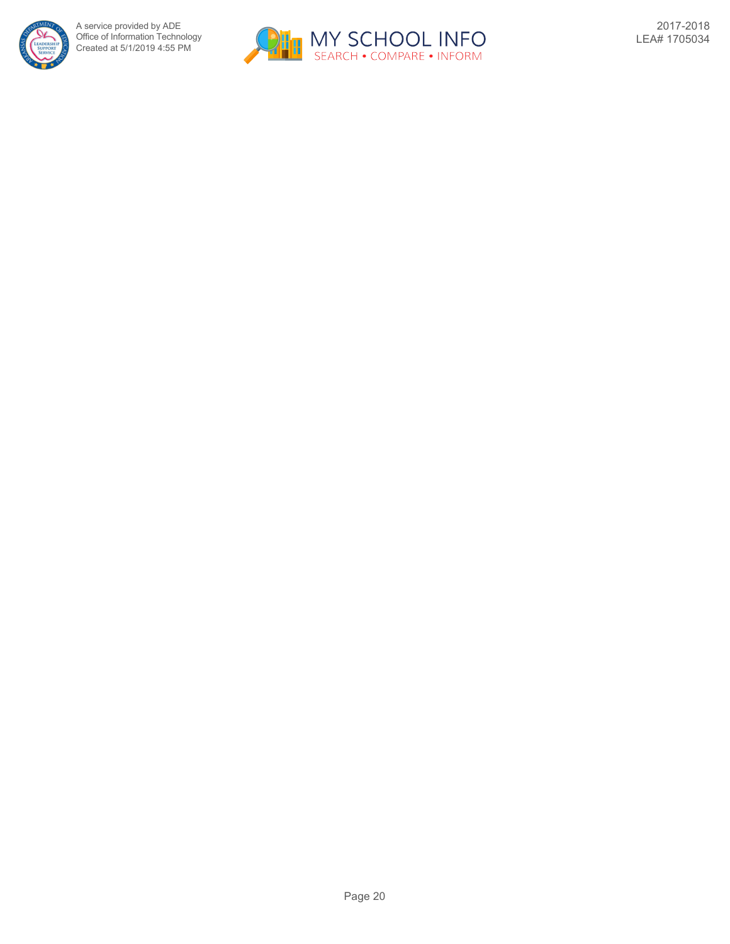

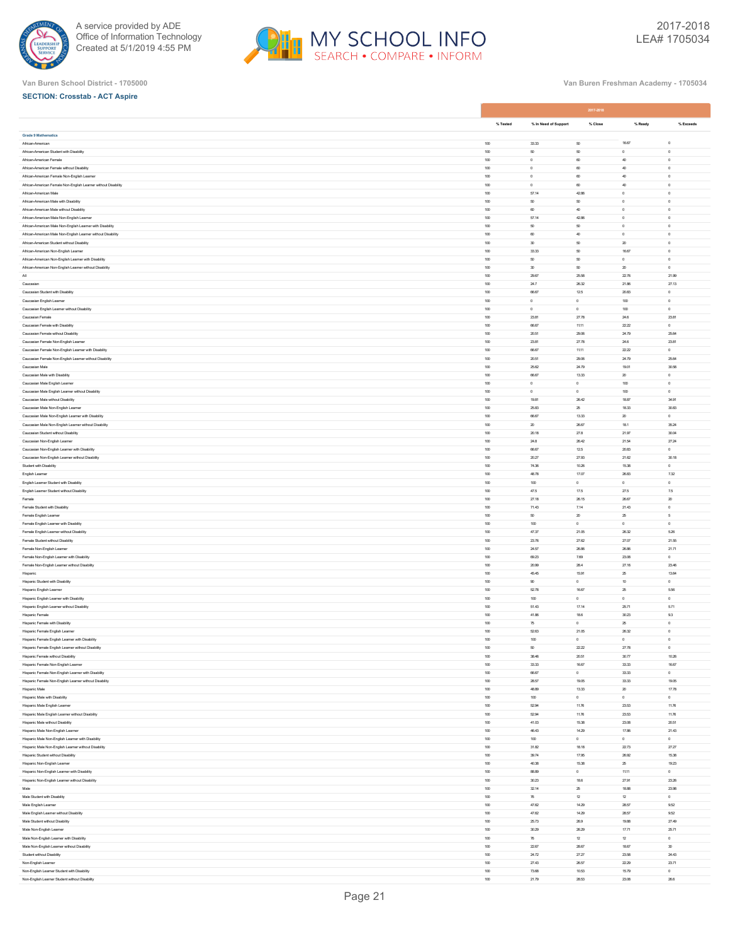



|                                                                                                        | 2017-2018  |                        |                        |                            |                            |
|--------------------------------------------------------------------------------------------------------|------------|------------------------|------------------------|----------------------------|----------------------------|
|                                                                                                        | % Tested   | % In Need of Support   | % Close                | % Ready                    | % Exceeds                  |
| <b>Grade 9 Mathematics</b>                                                                             |            |                        |                        |                            |                            |
| African-American                                                                                       | $100\,$    | 33.33                  | $_{50}$                | 16.67                      | $\,$ 0 $\,$                |
| African-American Student with Disability                                                               | 100        | 50                     | $_{50}$                | $\mathbb O$                | $\mathbb O$                |
| African-American Female<br>African-American Female without Disability                                  | 100        | $\,$ 0 $\,$            | $60$                   | $40\,$                     | $\,$ 0 $\,$                |
| African-American Female Non-English Learner                                                            | 100<br>100 | $\,$ 0 $\,$<br>$\circ$ | $_{60}$<br>60          | $40\,$<br>40               | $\,$ 0 $\,$<br>$^{\circ}$  |
| African-American Female Non-English Learner without Disability                                         | 100        | $\,$ 0 $\,$            | $60\,$                 | $40\,$                     | $\,$ 0 $\,$                |
| African-American Male                                                                                  | 100        | 57.14                  | 42.86                  | $\mathbb O$                | $\mathbb O$                |
| African-American Male with Disability                                                                  | 100        | 60                     | $_{50}$                | $\circ$                    | $\circ$                    |
| African-American Male without Disability                                                               | 100        | $_{60}$                | $40\,$                 | $\mathbb O$                | $\,$ 0 $\,$                |
| African-American Male Non-English Learner<br>African-American Male Non-English Learner with Disability | 100<br>100 | 57.14<br>60            | 42.86<br>$_{50}$       | $\,$ 0 $\,$<br>$\,$ 0 $\,$ | $\,$ 0 $\,$<br>$\,$ 0 $\,$ |
| African-American Male Non-English Learner without Disability                                           | 100        | $_{60}$                | $40\,$                 | $\,$ 0 $\,$                | $\,$ 0 $\,$                |
| African-American Student without Disability                                                            | 100        | 30                     | $_{50}$                | $\rm{20}$                  | $\circ$                    |
| African-American Non-English Learner                                                                   | 100        | 33.33                  | $_{\rm 50}$            | 16.67                      | $\mathbb O$                |
| African-American Non-English Learner with Disability                                                   | 100        | $_{50}$                | $_{50}$                | $\mathbb O$                | $\mathbb O$                |
| African-American Non-English Learner without Disability<br>$AII$                                       | 100<br>100 | 30<br>29.67            | 50<br>25.58            | 20<br>22.76                | $\circ$<br>21.99           |
| Caucasian                                                                                              | 100        | 24.7                   | 26.32                  | 21.86                      | 27.13                      |
| Caucasian Student with Disability                                                                      | 100        | 66.67                  | 12.5                   | 20.83                      | $\mathbb O$                |
| Caucasian English Learner                                                                              | 100        | $\,$ 0                 | $\,$ 0 $\,$            | $100\,$                    | $\,$ 0 $\,$                |
| Caucasian English Learner without Disability                                                           | 100        | $\circ$                | $\circ$                | 100                        | $\circ$                    |
| Caucasian Female                                                                                       | 100        | 23.81                  | 27.78                  | 24.6                       | 23.81                      |
| Caucasian Female with Disability<br>Caucasian Female without Disability                                | 100<br>100 | 66.67<br>20.51         | 11.11<br>29.06         | 22.22<br>24.79             | $\mathbb O$<br>25.64       |
| Caucasian Female Non-English Learner                                                                   | 100        | 23.81                  | 27.78                  | $24.6\,$                   | 23.81                      |
| Caucasian Female Non-English Learner with Disability                                                   | 100        | 66.67                  | 11.11                  | 22.22                      | $\mathbb O$                |
| Caucasian Female Non-English Learner without Disability                                                | 100        | 20.51                  | 29.06                  | 24.79                      | 25.64                      |
| Caucasian Male                                                                                         | 100        | 25.62                  | 24.79                  | 19.01                      | 30.58                      |
| Caucasian Male with Disability                                                                         | 100        | 66.67                  | 13.33                  | 20                         | $\circ$                    |
| Caucasian Male English Learner                                                                         | 100<br>100 | $\,$ 0 $\,$<br>$\circ$ | $\,$ 0 $\,$<br>$\circ$ | 100<br>100                 | $\,$ 0 $\,$<br>$^{\circ}$  |
| Caucasian Male English Learner without Disability<br>Caucasian Male without Disability                 | 100        | 19.81                  | 26.42                  | 18.87                      | 34.91                      |
| Caucasian Male Non-English Learner                                                                     | 100        | 25.83                  | $\rm{2S}$              | 18.33                      | 30.83                      |
| Caucasian Male Non-English Learner with Disability                                                     | 100        | 66.67                  | 13.33                  | $\rm{20}$                  | $\mathbb O$                |
| Caucasian Male Non-English Learner without Disability                                                  | 100        | $20\,$                 | 26.67                  | 18.1                       | 35.24                      |
| Caucasian Student without Disability                                                                   | 100        | 20.18                  | 27.8                   | 21.97                      | 30.04                      |
| Caucasian Non-English Learner<br>Caucasian Non-English Learner with Disability                         | 100<br>100 | 24.8<br>66.67          | 26.42<br>12.5          | 21.54<br>20.83             | 27.24<br>$\mathbb O$       |
| Caucasian Non-English Learner without Disability                                                       | 100        | 20.27                  | 27.93                  | 21.62                      | 30.18                      |
| Student with Disability                                                                                | 100        | 74.36                  | 10.26                  | 15.38                      | $\circ$                    |
| English Learner                                                                                        | 100        | 48.78                  | 17.07                  | 26.83                      | $7.32\,$                   |
| English Learner Student with Disability                                                                | 100        | 100                    | $\,$ 0 $\,$            | $\mathbb O$                | $\mathbb O$                |
| English Learner Student without Disability                                                             | 100        | 47.5                   | 17.5                   | 27.5                       | 7.5                        |
| Female<br>Female Student with Disability                                                               | 100<br>100 | 27.18<br>71.43         | 26.15<br>7.14          | 26.67<br>21.43             | $\rm{20}$<br>$\circ$       |
| Female English Learner                                                                                 | 100        | 60                     | $\rm{20}$              | $\rm 25$                   | $\mathsf{s}$               |
| Female English Learner with Disability                                                                 | 100        | 100                    | $\circ$                | $^{\circ}$                 | $\mathbb O$                |
| Female English Learner without Disability                                                              | 100        | 47.37                  | 21.05                  | 26.32                      | 5.26                       |
| Female Student without Disability                                                                      | 100        | 23.76                  | 27.62                  | 27.07                      | 21.55                      |
| Female Non-English Learner<br>Female Non-English Learner with Disability                               | 100<br>100 | 24.57<br>69.23         | 26.86<br>7.69          | 26.86<br>23.08             | 21.71<br>$\mathbb O$       |
| Female Non-English Learner without Disability                                                          | 100        | 20.99                  | 28.4                   | 27.16                      | 23.46                      |
| Hispanic                                                                                               | 100        | 45.45                  | 15.91                  | $\rm 25$                   | 13.64                      |
| Hispanic Student with Disability                                                                       | 100        | 90                     | $\circ$                | $10\,$                     | $\mathbb O$                |
| Hispanic English Learner                                                                               | 100        | 52.78                  | 16.67                  | $\rm 25$                   | 5.56                       |
| Hispanic English Learner with Disability<br>Hispanic English Learner without Disability                | 100<br>100 | 100<br>51.43           | $\circ$<br>17.14       | $^{\circ}$<br>25.71        | $^{\circ}$<br>5.71         |
| Hispanic Female                                                                                        | 100        | 41.86                  | 18.6                   | 30.23                      | $9.3\,$                    |
| Hispanic Female with Disability                                                                        | 100        | 75                     | $\,$ 0 $\,$            | $\rm 25$                   | $\,$ 0 $\,$                |
| Hispanic Female English Learner                                                                        | 100        | 52.63                  | 21.05                  | 26.32                      | $\,$ 0                     |
| Hispanic Female English Learner with Disability                                                        | 100        | 100                    | $\circ$                | $^{\circ}$                 | $\circ$                    |
| Hispanic Female English Learner without Disability<br>Hispanic Female without Disability               | 100<br>100 | $_{50}$<br>38.46       | 22.22<br>20.51         | 27.78<br>30.77             | $\,$ 0 $\,$<br>10.26       |
| Hispanic Female Non-English Learner                                                                    | 100        | 33.33                  | 16.67                  | 33.33                      | 16.67                      |
| Hispanic Female Non-English Learner with Disability                                                    | 100        | 66.67                  | $\,$ 0 $\,$            | 33.33                      | $\mathbb O$                |
| Hispanic Female Non-English Learner without Disability                                                 | 100        | 28.57                  | 19.05                  | 33.33                      | 19.05                      |
| Hispanic Male                                                                                          | 100        | 48.89                  | 13.33                  | $20\,$                     | 17.78                      |
| Hispanic Male with Disability                                                                          | 100        | 100<br>52.94           | $\,$ 0 $\,$            | $\mathbb O$<br>23.53       | $\mathbb O$<br>11.76       |
| Hispanic Male English Learner<br>Hispanic Male English Learner without Disability                      | 100<br>100 | 52.94                  | 11.76<br>11.76         | 23.53                      | 11.76                      |
| Hispanic Male without Disability                                                                       | 100        | 41.03                  | 15.38                  | 23.08                      | 20.51                      |
| Hispanic Male Non-English Learner                                                                      | 100        | 46.43                  | 14.29                  | 17.86                      | 21.43                      |
| Hispanic Male Non-English Learner with Disability                                                      | 100        | 100                    | $\,0\,$                | $\,$ 0 $\,$                | $\,$ 0 $\,$                |
| Hispanic Male Non-English Learner without Disability                                                   | 100        | 31.82                  | 18.18                  | 22.73                      | 27.27                      |
| Hispanic Student without Disability                                                                    | 100        | 39.74                  | 17.95                  | 26.92                      | 15.38                      |
| Hispanic Non-English Learner<br>Hispanic Non-English Learner with Disability                           | 100<br>100 | 40.38<br>88.89         | 15.38<br>$\,$ 0 $\,$   | $\rm 25$<br>11.11          | 19.23<br>$\circ$           |
| Hispanic Non-English Learner without Disability                                                        | 100        | 30.23                  | 18.6                   | 27.91                      | 23.26                      |
| Male                                                                                                   | 100        | 32.14                  | $\rm{2S}$              | 18.88                      | 23.98                      |
| Male Student with Disability                                                                           | 100        | 76                     | 12                     | 12                         | $\circ$                    |
| Male English Learner                                                                                   | 100        | 47.62                  | 14.29                  | 28.57                      | $9.52\,$                   |
| Male English Learner without Disability<br>Male Student without Disability                             | 100<br>100 | 47.62<br>25.73         | 14.29<br>26.9          | 28.57<br>19.88             | 9.52<br>27.49              |
| Male Non-English Learner                                                                               | 100        | 30.29                  | 26.29                  | 17.71                      | 25.71                      |
| Male Non-English Learner with Disability                                                               | 100        | 76                     | 12                     | $\mathbf{12}$              | $^{\circ}$                 |
| Male Non-English Learner without Disability                                                            | 100        | 22.67                  | 28.67                  | 18.67                      | $30\,$                     |
| Student without Disability                                                                             | 100        | 24.72                  | 27.27                  | 23.58                      | 24.43                      |
| Non-English Learner                                                                                    | 100        | 27.43                  | 26.57                  | 22.29                      | 23.71                      |
| Non-English Learner Student with Disability<br>Non-English Learner Student without Disability          | 100<br>100 | 73.68<br>21.79         | 10.53<br>28.53         | 15.79<br>23.08             | $\mathbb O$<br>26.6        |
|                                                                                                        |            |                        |                        |                            |                            |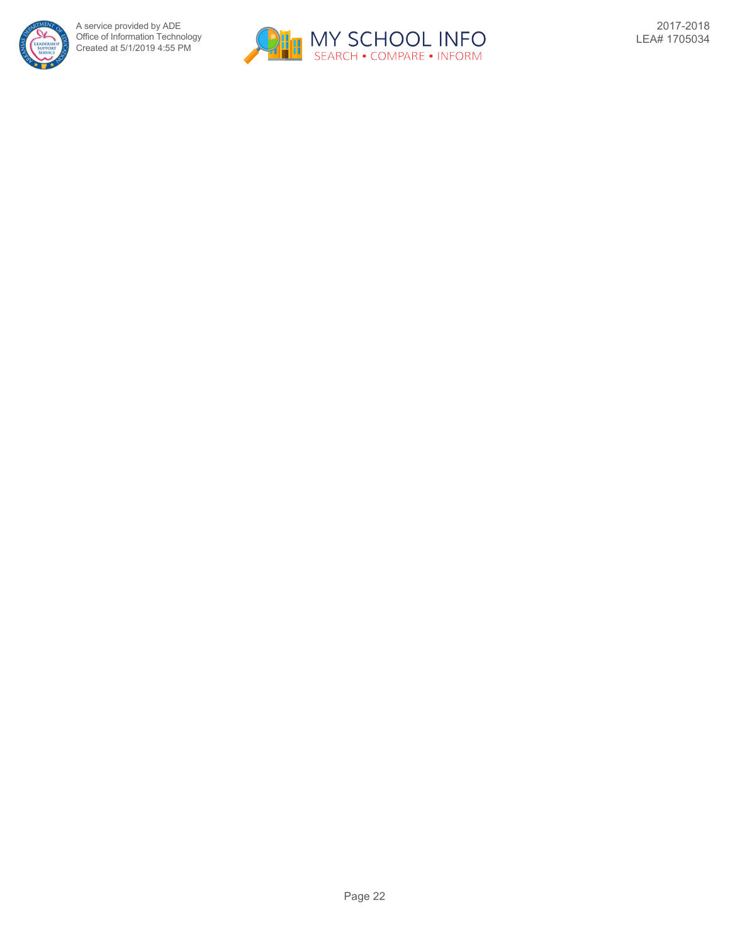

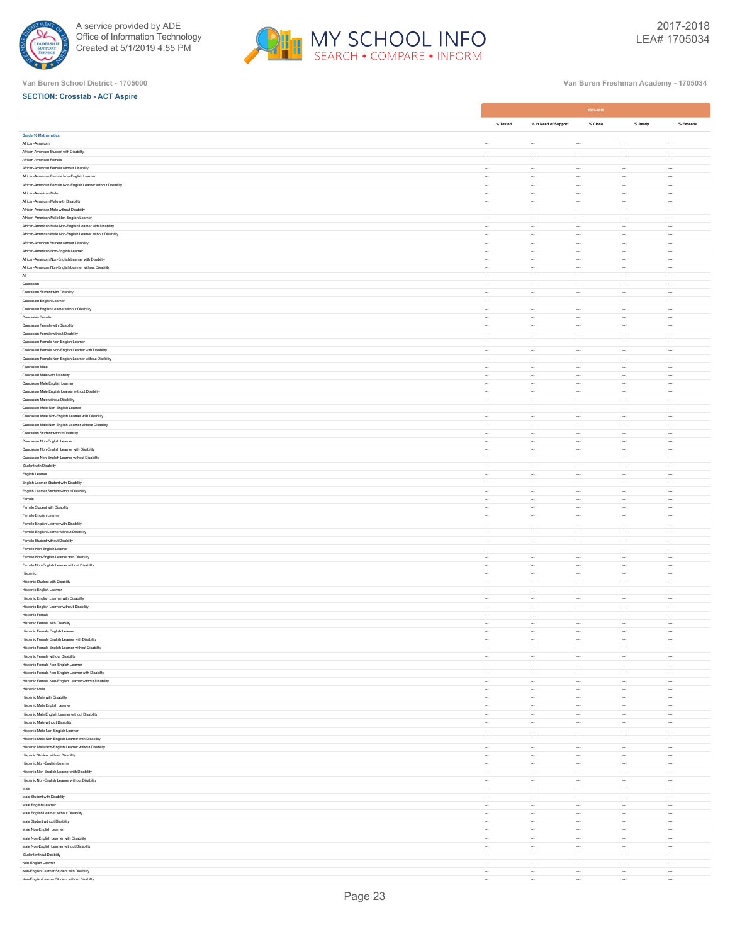



|                                                                                        |                                  |                                    | 2017-2018                      |                        |                                      |
|----------------------------------------------------------------------------------------|----------------------------------|------------------------------------|--------------------------------|------------------------|--------------------------------------|
|                                                                                        | % Tested                         | % In Need of Support               | % Close                        | % Ready                | % Exceeds                            |
|                                                                                        |                                  |                                    |                                |                        |                                      |
| <b>Grade 10 Mathematics</b><br>African-American                                        |                                  |                                    |                                | $\cdots$               | $\cdots$                             |
| African-American Student with Disability                                               | $\sim$ $\sim$<br>$\cdots$        | $\sim$<br>$\cdots$                 | $\cdots$<br>$\cdots$           | $\cdots$               | $\cdots$                             |
| African-American Female                                                                | $\cdots$                         | $\sim$                             | $\overline{\phantom{a}}$       | $\cdots$               | $\cdots$                             |
| African-American Female without Disability                                             | $\cdots$                         | $\cdots$                           | $\cdots$                       | $\cdots$               | $\cdots$                             |
| African-American Female Non-English Learner                                            | $\cdots$                         | $\sim$                             | $\ddot{\phantom{0}}$           | $\cdots$               | $\cdots$                             |
| African-American Female Non-English Learner without Disability                         | $\cdots$                         | $\cdots$                           | $\cdots$                       | $\cdots$               | $\cdots$                             |
| African-American Male                                                                  | $\cdots$                         | $\sim$                             | $\ddot{\phantom{0}}$           | $\ddotsc$              | $\cdots$                             |
| African-American Male with Disability                                                  | $\cdots$                         | $\cdots$                           | $\cdots$                       | $\cdots$               | $\cdots$                             |
| African-American Male without Disability                                               | $\cdots$                         | $\cdots$                           | $\cdots$                       | $\cdots$               | $\cdots$                             |
| African-American Male Non-English Learner                                              | $\ddotsc$                        | $\sim$                             | $\cdots$                       | $\ddotsc$              | $\cdots$                             |
| African-American Male Non-English Learner with Disability                              | $\cdots$                         | $\cdots$                           | $\cdots$                       | $\cdots$               | $\cdots$                             |
| African-American Male Non-English Learner without Disability                           | $\cdots$                         | $\cdots$                           | $\cdots$                       | $\cdots$               | $\cdots$                             |
| African-American Student without Disability                                            | $\ddot{\phantom{a}}$             | $\sim$                             | $\sim$                         | $\ddotsc$              | $\ddotsc$                            |
| African-American Non-English Learner                                                   | $\cdots$                         | $\cdots$<br>$\sim$                 | $\cdots$                       | $\cdots$<br>           | $\cdots$                             |
| African-American Non-English Learner with Disability                                   | $\cdots$<br>$\ddot{\phantom{a}}$ | $\sim$                             | $\ddotsc$<br>$\sim$            | $\ddotsc$              | $\cdots$<br>$\overline{\phantom{a}}$ |
| African-American Non-English Learner without Disability<br>All                         | $\cdots$                         | $\cdots$                           | $\cdots$                       | $\cdots$               | $\cdots$                             |
| Caucasian                                                                              | $\cdots$                         | $\sim$                             | $\ddot{\phantom{0}}$           | $\ddotsc$              |                                      |
| Caucasian Student with Disability                                                      | $\cdots$                         | $\sim$                             | $\ddotsc$                      | $\cdots$               | $\cdots$                             |
| Caucasian English Learner                                                              | $\cdots$                         | $\cdots$                           | $\cdots$                       | $\cdots$               | $\cdots$                             |
| Caucasian English Learner without Disability                                           | $\ldots$                         | $\sim$                             | $\cdots$                       | $\cdots$               | $\cdots$                             |
| Caucasian Female                                                                       | $\cdots$                         | $\cdots$                           | $\cdots$                       | $\cdots$               | $\cdots$                             |
| Caucasian Female with Disability                                                       | $\sim$                           | $\cdots$                           | $\cdots$                       | $\ddotsc$              | $\cdots$                             |
| Caucasian Female without Disability                                                    | $\cdots$                         | $\sim$                             | $\ddot{\phantom{0}}$           | $\cdots$               | $\cdots$                             |
| Caucasian Female Non-English Learner                                                   | $\cdots$                         | $\sim$                             | $\cdots$                       | $\cdots$               | $\cdots$                             |
| Caucasian Female Non-English Learner with Disability                                   | $\cdots$                         | $\overline{\phantom{a}}$           | $\ddot{\phantom{0}}$           | $\ddotsc$              | $\ddotsc$                            |
| Caucasian Female Non-English Learner without Disability                                | $\cdots$                         | $\cdots$                           | $\cdots$                       | $\cdots$               | $\cdots$                             |
| Caucasian Male                                                                         | $\cdots$                         | $\cdots$                           | $\cdots$                       | $\cdots$               | $\cdots$                             |
| Caucasian Male with Disability                                                         |                                  | $\sim$                             | $\ddot{\phantom{a}}$           | $\ddotsc$              | $\cdots$                             |
| Caucasian Male English Learner                                                         | $\cdots$                         | $\cdots$                           | $\cdots$                       | $\cdots$               | $\cdots$                             |
| Caucasian Male English Learner without Disability<br>Caucasian Male without Disability | $\cdots$<br>$\sim$               | $\overline{\phantom{a}}$<br>$\sim$ | $\ddot{\phantom{0}}$<br>$\sim$ | $\ddotsc$<br>$\ddotsc$ | <br>$\cdots$                         |
| Caucasian Male Non-English Learner                                                     | $\cdots$                         | $\cdots$                           | $\cdots$                       | $\cdots$               | $\cdots$                             |
| Caucasian Male Non-English Learner with Disability                                     | $\cdots$                         | $\cdots$                           | $\cdots$                       | $\cdots$               | $\cdots$                             |
| Caucasian Male Non-English Learner without Disability                                  | $\cdots$                         | $\sim$                             | $\ddotsc$                      | $\cdots$               | $\cdots$                             |
| Caucasian Student without Disability                                                   | $\cdots$                         | $\cdots$                           | $\cdots$                       | $\cdots$               | $\cdots$                             |
| Caucasian Non-English Learner                                                          | $\cdots$                         | $\sim$                             | $\ddot{\phantom{0}}$           | $\ddotsc$              | $\cdots$                             |
| Caucasian Non-English Learner with Disability                                          | $\cdots$                         | $\cdots$                           | $\cdots$                       | $\cdots$               | $\cdots$                             |
| Caucasian Non-English Learner without Disability                                       | $\cdots$                         | $\sim$                             | $\cdots$                       | $\ddotsc$              | $\cdots$                             |
| Student with Disability                                                                | $\ldots$                         | $\sim$                             | $\cdots$                       | $\cdots$               | $\cdots$                             |
| English Learner                                                                        | $\cdots$                         | $\cdots$                           | $\cdots$                       | $\cdots$               | $\cdots$                             |
| English Learner Student with Disability                                                | $\ddotsc$                        | $\sim$                             | $\cdots$                       | $\ddotsc$              | $\cdots$                             |
| English Learner Student without Disability                                             | $\cdots$                         | $\cdots$                           | $\cdots$                       | $\cdots$               | $\cdots$                             |
| Female                                                                                 | $\cdots$<br>$\sim$               | $\cdots$<br>$\sim$                 | $\cdots$<br>$\sim$             | $\cdots$<br>$\ddotsc$  | $\cdots$<br>$\ddotsc$                |
| Female Student with Disability                                                         | $\cdots$                         | $\cdots$                           | $\cdots$                       | $\cdots$               | $\cdots$                             |
| Female English Learner<br>Female English Learner with Disability                       | $\cdots$                         | $\sim$                             | $\cdots$                       |                        | $\cdots$                             |
| Female English Learner without Disability                                              | $\sim$                           | $\sim$                             | $\ddotsc$                      | $\ddotsc$              | $\ddotsc$                            |
| Female Student without Disability                                                      | $\cdots$                         | $\cdots$                           | $\cdots$                       | $\cdots$               | $\cdots$                             |
| Female Non-English Learner                                                             | $\ldots$                         | $\sim$                             | $\ddot{\phantom{0}}$           |                        |                                      |
| Female Non-English Learner with Disability                                             | $\cdots$                         | $\cdots$                           | $\overline{\phantom{a}}$       | $\cdots$               | $\cdots$                             |
| Female Non-English Learner without Disability                                          | $\cdots$                         | $\cdots$                           | $\cdots$                       | $\cdots$               | $\cdots$                             |
| Hispanic                                                                               | $\ldots$                         | $\sim$                             | $\cdots$                       | $\cdots$               | $\cdots$                             |
| Hispanic Student with Disability                                                       | $\cdots$                         | $\sim$                             | $\ddotsc$                      | $\cdots$               | $\cdots$                             |
| Hispanic English Learner                                                               | $\sim$                           | $\sim$                             | $\cdots$                       | $\cdots$               | $\cdots$                             |
| Hispanic English Learner with Disability                                               | $\ldots$                         | $\sim$                             | $\ddot{\phantom{0}}$           | $\cdots$               | $\cdots$                             |
| Hispanic English Learner without Disability                                            | $\cdots$                         | $\cdots$                           | $\cdots$                       | $\cdots$               | $\cdots$                             |
| Hispanic Female                                                                        | $\cdots$                         | $\sim$                             | $\ddot{\phantom{0}}$           | $\ddotsc$              | $\cdots$                             |
| Hispanic Female with Disability                                                        | $\cdots$                         | $\cdots$                           | $\cdots$                       | $\cdots$               | $\cdots$                             |
| Hispanic Female English Learner<br>Hispanic Female English Learner with Disability     | $\cdots$<br>                     | $\cdots$<br>i.                     | $\cdots$<br>$\sim$             | $\cdots$               | $\cdots$                             |
| Hispanic Female English Learner without Disability                                     | $\cdots$                         | $\sim$                             | $\cdots$                       | $\cdots$               | $\cdots$                             |
| Hispanic Female without Disability                                                     | $\ldots$                         | $\cdots$                           | $\ldots$                       | $\cdots$               |                                      |
| Hispanic Female Non-English Learner                                                    | $\sim$                           | $\sim$                             | $\cdots$                       | $\cdots$               | $\overline{\phantom{a}}$             |
| Hispanic Female Non-English Learner with Disability                                    | $\sim$ $\sim$                    | $\cdots$                           | $\cdots$                       | $\cdots$               | $\cdots$                             |
| Hispanic Female Non-English Learner without Disability                                 | $\cdots$                         | $\cdots$                           | $\cdots$                       | $\cdots$               | $\ldots$                             |
| Hispanic Male                                                                          | $\cdots$                         | $\sim$                             | $\cdots$                       | $\cdots$               | $\cdots$                             |
| Hispanic Male with Disability                                                          | $\cdots$                         | $\cdots$                           | $\cdots$                       | $\cdots$               | $\cdots$                             |
| Hispanic Male English Learner                                                          | $\ldots$                         | $\cdots$                           | $\cdots$                       | $\cdots$               | $\ldots$                             |
| Hispanic Male English Learner without Disability                                       | $\cdots$                         | $\sim$                             | $\sim$                         | $\cdots$               | $\cdots$                             |
| Hispanic Male without Disability<br>Hispanic Male Non-English Learner                  | $\cdots$<br>$\ldots$             | $\cdots$<br>$\cdots$               | $\cdots$<br>$\cdots$           | $\cdots$<br>$\cdots$   | $\cdots$<br>$\cdots$                 |
| Hispanic Male Non-English Learner with Disability                                      | $\cdots$                         | $\cdots$                           | $\ldots$                       | $\cdots$               | $\cdots$                             |
| Hispanic Male Non-English Learner without Disability                                   | $\cdots$                         | $\overline{\phantom{a}}$           | $\cdots$                       | $\ddotsc$              | $\cdots$                             |
| Hispanic Student without Disability                                                    | $\cdots$                         | $\sim$                             | $\cdots$                       | $\cdots$               | $\cdots$                             |
| Hispanic Non-English Learner                                                           | $\cdots$                         | $\ldots$                           | $\ldots$                       | $\cdots$               | $\ldots$                             |
| Hispanic Non-English Learner with Disability                                           | $\cdots$                         | $\sim$                             | $\sim$                         | $\ddotsc$              | $\overline{\phantom{a}}$             |
| Hispanic Non-English Learner without Disability                                        | $\cdots$                         | $\cdots$                           | $\cdots$                       | $\cdots$               | $\cdots$                             |
| Male                                                                                   | $\ldots$                         | $\cdots$                           | $\cdots$                       | $\cdots$               | $\cdots$                             |
| Male Student with Disability                                                           | $\ddotsc$                        | $\sim$                             | $\sim$                         | $\ddotsc$              | $\overline{\phantom{a}}$             |
| Male English Learner                                                                   | $\cdots$                         | $\cdots$                           | $\cdots$                       | $\cdots$               | $\cdots$                             |
| Male English Learner without Disability                                                | $\ldots$                         | $\cdots$                           | $\cdots$                       | $\cdots$               | $\cdots$                             |
| Male Student without Disability                                                        | $\cdots$                         | $\sim$                             | $\cdots$                       | $\cdots$               | $\overline{\phantom{a}}$             |
| Male Non-English Learner                                                               | $\cdots$                         | $\cdots$                           | $\cdots$                       | $\cdots$               | $\cdots$                             |
| Male Non-English Learner with Disability                                               | $\ldots$                         | $\cdots$                           | $\cdots$                       | $\cdots$               | $\cdots$                             |
| Male Non-English Learner without Disability<br>Student without Disability              | $\cdots$<br>$\cdots$             | $\sim$<br>$\sim$                   | $\cdots$<br>$\cdots$           | $\cdots$<br>$\cdots$   | $\cdots$<br>$\cdots$                 |
| Non-English Learner                                                                    | $\ldots$                         | $\cdots$                           | $\cdots$                       | $\cdots$               | $\ldots$                             |
| Non-English Learner Student with Disability                                            | $\cdots$                         | $\cdots$                           | $\ldots$                       | $\cdots$               | $\ldots$                             |
| Non-English Learner Student without Disability                                         | $\cdots$                         | $\cdots$                           | $\cdots$                       | $\cdots$               | $\cdots$                             |
|                                                                                        |                                  |                                    |                                |                        |                                      |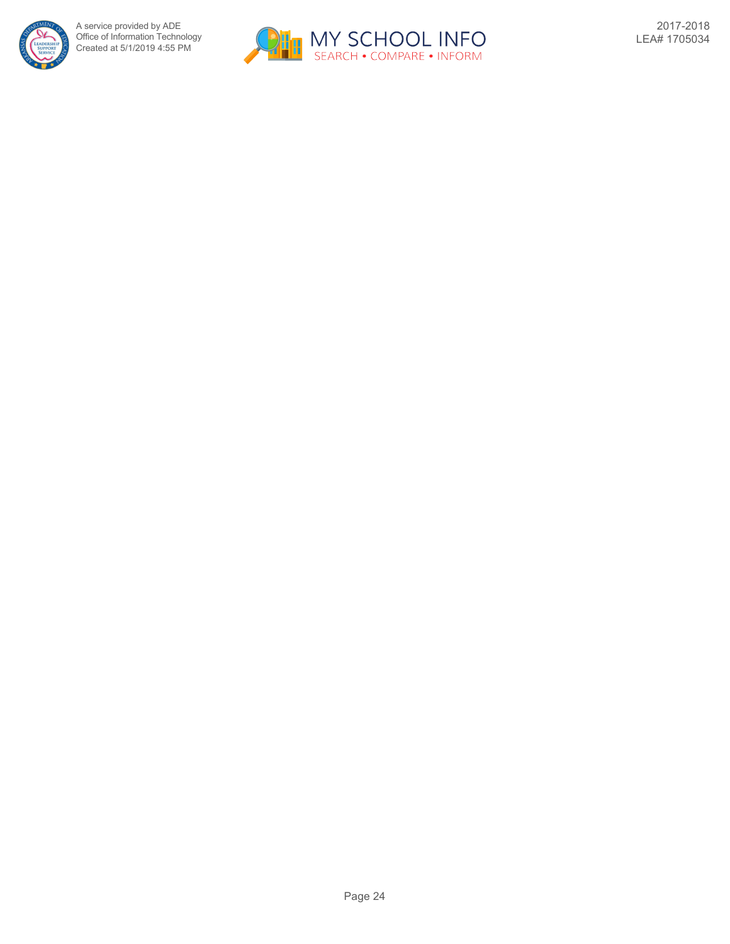

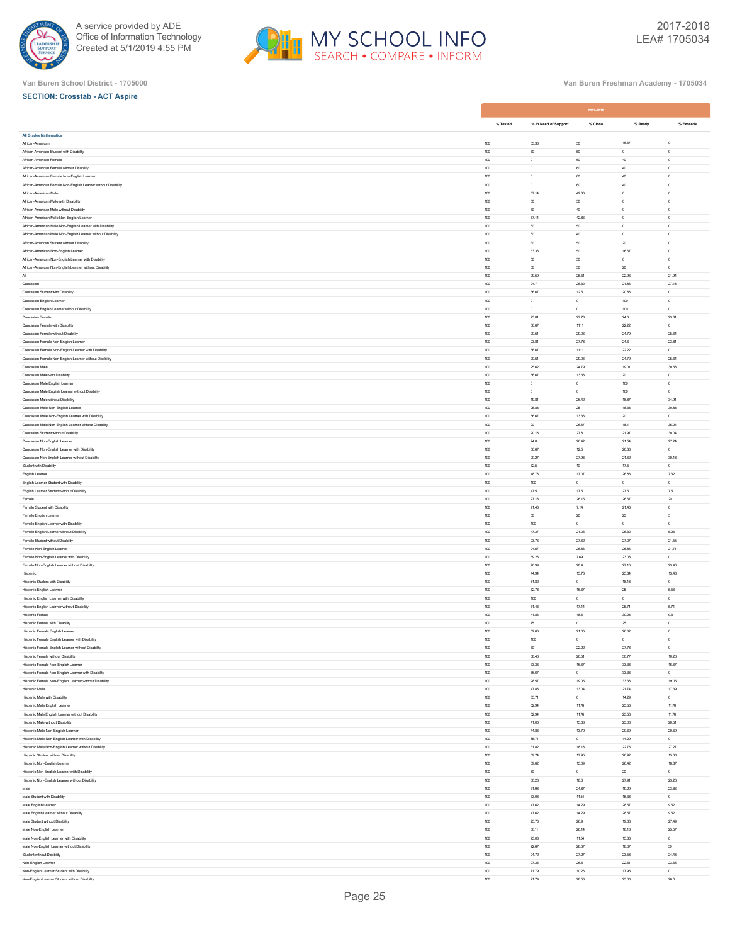



|                                                                                                                 |                |                      | 2017-2018            |                            |                            |
|-----------------------------------------------------------------------------------------------------------------|----------------|----------------------|----------------------|----------------------------|----------------------------|
|                                                                                                                 | % Tested       | % In Need of Support | % Close              | % Ready                    | % Exceeds                  |
| <b>All Grades Mathematics</b>                                                                                   |                |                      |                      |                            |                            |
| African-American                                                                                                | 100            | 33.33                | 50                   | 16.67                      | $\,$ 0 $\,$                |
| African-American Student with Disability                                                                        | 100            | $_{50}$              | $_{50}$              | $\mathbb O$                | $\mathbb O$                |
| African-American Female                                                                                         | 100            | $\,0\,$              | $60\,$               | $40\,$                     | $\,$ 0 $\,$                |
| African-American Female without Disability                                                                      | 100            | $\circ$              | $60\,$               | 40                         | $\ddot{\phantom{0}}$       |
| African-American Female Non-English Learner                                                                     | $100\,$        | $\circ$              | $60\,$               | $40\,$                     | $\,$ 0                     |
| African-American Female Non-English Learner without Disability                                                  | 100            | $\,0\,$              | $60\,$               | $40\,$                     | $\,$ 0 $\,$                |
| African-American Male                                                                                           | 100            | 57.14                | 42.86                | $\,$ 0 $\,$                | $\,$ 0 $\,$                |
| African-American Male with Disability                                                                           | $100\,$        | $_{50}$              | $_{50}$              | $\mathbb O$                | $\mathbb O$                |
| African-American Male without Disability                                                                        | 100            | $_{60}$              | $40\,$               | $\mathbb O$                | $\mathbb O$                |
| African-American Male Non-English Learner                                                                       | 100            | 57.14                | 42.86                | $\,$ 0 $\,$                | $\,$ 0 $\,$                |
| African-American Male Non-English Learner with Disability                                                       | 100<br>100     | 50<br>$_{60}$        | $_{50}$<br>40        | $\mathbb O$<br>$\mathbb O$ | $\mathbb O$<br>$\mathbb O$ |
| African-American Male Non-English Learner without Disability<br>African-American Student without Disability     | $100\,$        | $_{30}$              | $_{50}$              | $\rm{20}$                  | $\mathbb O$                |
| African-American Non-English Learner                                                                            | 100            | 33.33                | $_{50}$              | 16.67                      | $\,$ 0 $\,$                |
| African-American Non-English Learner with Disability                                                            | 100            | 60                   | $_{50}$              | $\mathbb O$                | $\,$ 0 $\,$                |
| African-American Non-English Learner without Disability                                                         | $100\,$        | $_{30}$              | $_{50}$              | $\rm{20}$                  | $\mathbb O$                |
| All                                                                                                             | 100            | 29.59                | 25.51                | 22.96                      | 21.94                      |
| Caucasian                                                                                                       | 100            | 24.7                 | 26.32                | 21.86                      | 27.13                      |
| Caucasian Student with Disability                                                                               | 100            | 66.67                | 12.5                 | 20.83                      | $\,$ 0 $\,$                |
| Caucasian English Learner                                                                                       | 100            | $\circ$              | $\circ$              | 100                        | $^{\circ}$                 |
| Caucasian English Learner without Disability                                                                    | $100\,$        | $\,$ 0               | $\,$ 0               | 100                        | $\,$ 0                     |
| Caucasian Female                                                                                                | 100            | 23.81                | 27.78                | 24.6                       | 23.81                      |
| Caucasian Female with Disability                                                                                | 100            | 66.67                | 11.11                | 22.22                      | $\mathbb O$                |
| Caucasian Female without Disability                                                                             | $100\,$        | 20.51                | 29.06                | 24.79                      | 25.64                      |
| Caucasian Female Non-English Learner                                                                            | 100            | 23.81                | 27.78                | 24.6                       | 23.81                      |
| Caucasian Female Non-English Learner with Disability<br>Caucasian Female Non-English Learner without Disability | 100<br>100     | 66.67<br>20.51       | 11.11<br>29.06       | 22.22<br>24.79             | $\,$ 0 $\,$<br>25.64       |
| Caucasian Male                                                                                                  | 100            | 25.62                | 24.79                | 19.01                      | 30.58                      |
| Caucasian Male with Disability                                                                                  | $100\,$        | 66.67                | 13.33                | $\rm{20}$                  | $\mathbb O$                |
| Caucasian Male English Learner                                                                                  | 100            | $\circ$              | $\circ$              | 100                        | $\mathbb O$                |
| Caucasian Male English Learner without Disability                                                               | 100            | $\circ$              | $\circ$              | 100                        | $\,$ 0 $\,$                |
| Caucasian Male without Disability                                                                               | $100\,$        | 19.81                | 26.42                | 18.87                      | 34.91                      |
| Caucasian Male Non-English Learner                                                                              | 100            | 25.83                | 25                   | 18.33                      | 30.83                      |
| Caucasian Male Non-English Learner with Disability                                                              | 100            | 66.67                | 13.33                | $\rm{20}$                  | $\mathbb O$                |
| Caucasian Male Non-English Learner without Disability                                                           | 100            | $\mathbf{20}$        | 26.67                | 18.1                       | 35.24                      |
| Caucasian Student without Disability                                                                            | 100            | 20.18                | 27.8                 | 21.97                      | 30.04                      |
| Caucasian Non-English Learner                                                                                   | $100\,$        | $24.8\,$             | 26.42                | 21.54                      | 27.24                      |
| Caucasian Non-English Learner with Disability                                                                   | 100            | 66.67                | 12.5                 | 20.83                      | $\,$ 0 $\,$                |
| Caucasian Non-English Learner without Disability                                                                | 100            | 20.27                | 27.93                | 21.62                      | 30.18                      |
| Student with Disability                                                                                         | $100\,$        | 72.5<br>48.78        | 10<br>17.07          | 17.5                       | $\,$ 0<br>7.32             |
| English Learner<br>English Learner Student with Disability                                                      | 100<br>100     | 100                  | $\,$ 0 $\,$          | 26.83<br>$\mathbb O$       | $\,$ 0 $\,$                |
| English Learner Student without Disability                                                                      | 100            | 47.5                 | 17.5                 | 27.5                       | $7.5\,$                    |
| Female                                                                                                          | 100            | 27.18                | 26.15                | 26.67                      | 20                         |
| Female Student with Disability                                                                                  | $100\,$        | 71.43                | 7.14                 | 21.43                      | $\,$ 0 $\,$                |
| Female English Learner                                                                                          | 100            | $_{50}$              | $20\,$               | $\rm 25$                   | $\mathsf{s}$               |
| Female English Learner with Disability                                                                          | 100            | 100                  | $\circ$              | $\,$ 0 $\,$                | $\,$ 0 $\,$                |
| Female English Learner without Disability                                                                       | $100\,$        | 47.37                | 21.05                | 26.32                      | $_{\rm 5.26}$              |
| Female Student without Disability                                                                               | 100            | 23.76                | 27.62                | 27.07                      | 21.55                      |
| Female Non-English Learner                                                                                      | 100            | 24.57                | 26.86                | 26.86                      | 21.71                      |
| Female Non-English Learner with Disability                                                                      | 100            | 69.23                | 7.69                 | 23.08                      | $\mathbb O$                |
| Female Non-English Learner without Disability                                                                   | 100            | 20.99                | 28.4                 | 27.16                      | 23.46                      |
| Hispanic                                                                                                        | $100\,$<br>100 | 44.94<br>81.82       | 15.73                | 25.84<br>18.18             | 13.48                      |
| Hispanic Student with Disability<br>Hispanic English Learner                                                    | 100            | 62.78                | $\,$ 0 $\,$<br>16.67 | $\rm 25$                   | $\,$ 0 $\,$<br>5.56        |
| Hispanic English Learner with Disability                                                                        | 100            | 100                  | $\,$ 0               | $\circ$                    | $\,$ 0                     |
| Hispanic English Learner without Disability                                                                     | 100            | 51.43                | 17.14                | 25.71                      | 5.71                       |
| Hispanic Female                                                                                                 | 100            | 41.86                | 18.6                 | 30.23                      | 9.3                        |
| Hispanic Female with Disability                                                                                 | 100            | $75\,$               | $\circ$              | $\rm 25$                   | $\mathbb O$                |
| Hispanic Female English Learner                                                                                 | 100            | 62.63                | 21.05                | 26.32                      | $\,$ 0 $\,$                |
| Hispanic Female English Learner with Disability                                                                 | 100            | 100                  | $\,$ 0               | $\,$ 0 $\,$                | $\,$ 0 $\,$                |
| Hispanic Female English Learner without Disability                                                              | 100            | 60                   | 22.22                | 27.78                      | $\mathbb O$                |
| Hispanic Female without Disability                                                                              | 100            | 38.46                | 20.51                | 30.77                      | 10.26                      |
| Hispanic Female Non-English Learner                                                                             | $100\,$        | 33.33                | 16.67                | 33.33                      | 16.67                      |
| Hispanic Female Non-English Learner with Disability<br>Hispanic Female Non-English Learner without Disability   | 100<br>100     | 66.67<br>28.57       | $\circ$<br>19.05     | 33.33<br>33.33             | $\circ$<br>19.05           |
| Hispanic Male                                                                                                   | 100            | 47.83                | 13.04                | 21.74                      | 17.39                      |
| Hispanic Male with Disability                                                                                   | 100            | 85.71                | $\circ$              | 14.29                      | $\circ$                    |
| Hispanic Male English Learner                                                                                   | $100\,$        | 52.94                | 11.76                | 23.53                      | 11.76                      |
| Hispanic Male English Learner without Disability                                                                | 100            | 52.94                | 11.76                | 23.53                      | 11.76                      |
| Hispanic Male without Disability                                                                                | 100            | 41.03                | 15.38                | 23.08                      | 20.51                      |
| Hispanic Male Non-English Learner                                                                               | $100\,$        | 44.83                | 13.79                | 20.69                      | 20.69                      |
| Hispanic Male Non-English Learner with Disability                                                               | 100            | 85.71                | $\circ$              | 14.29                      | $\circ$                    |
| Hispanic Male Non-English Learner without Disability                                                            | 100            | 31.82                | 18.18                | 22.73                      | 27.27                      |
| Hispanic Student without Disability                                                                             | 100            | 39.74                | 17.95                | 26.92                      | 15.38                      |
| Hispanic Non-English Learner                                                                                    | 100            | 39.62                | 15.09                | 26.42                      | 18.87                      |
| Hispanic Non-English Learner with Disability                                                                    | 100            | $_{80}$              | $\,$ 0 $\,$          | $\rm{20}$                  | $\mathbb O$                |
| Hispanic Non-English Learner without Disability                                                                 | 100<br>100     | 30.23                | 18.6                 | 27.91                      | 23.26                      |
| Male<br>Male Student with Disability                                                                            | $100\,$        | 31.98<br>73.08       | 24.87<br>11.54       | 19.29<br>15.38             | 23.86<br>$\mathbb O$       |
| Male English Learner                                                                                            | 100            | 47.62                | 14.29                | 28.57                      | 9.52                       |
| Male English Learner without Disability                                                                         | 100            | 47.62                | 14.29                | 28.57                      | 9.52                       |
| Male Student without Disability                                                                                 | 100            | 25.73                | 26.9                 | 19.88                      | 27.49                      |
| Male Non-English Learner                                                                                        | 100            | 30.11                | 26.14                | 18.18                      | 25.57                      |
| Male Non-English Learner with Disability                                                                        |                |                      |                      | 15.38                      | $\mathbb O$                |
| Male Non-English Learner without Disability                                                                     | $100\,$        | 73.08                | 11.54                |                            |                            |
|                                                                                                                 | 100            | 22.67                | 28.67                | 18.67                      | $30\,$                     |
| Student without Disability                                                                                      | 100            | 24.72                | 27.27                | 23.58                      | 24.43                      |
| Non-English Learner                                                                                             | 100            | 27.35                | 26.5                 | 22.51                      | 23.65                      |
| Non-English Learner Student with Disability<br>Non-English Learner Student without Disability                   | 100<br>100     | 71.79<br>21.79       | 10.26<br>28.53       | 17.95<br>23.08             | $\circ$<br>26.6            |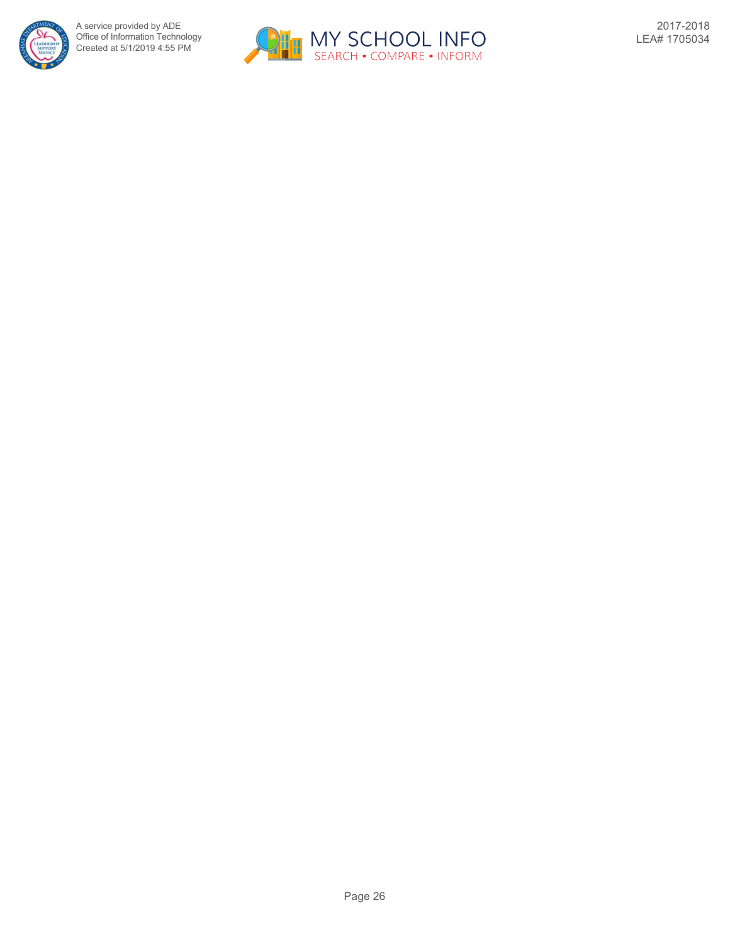

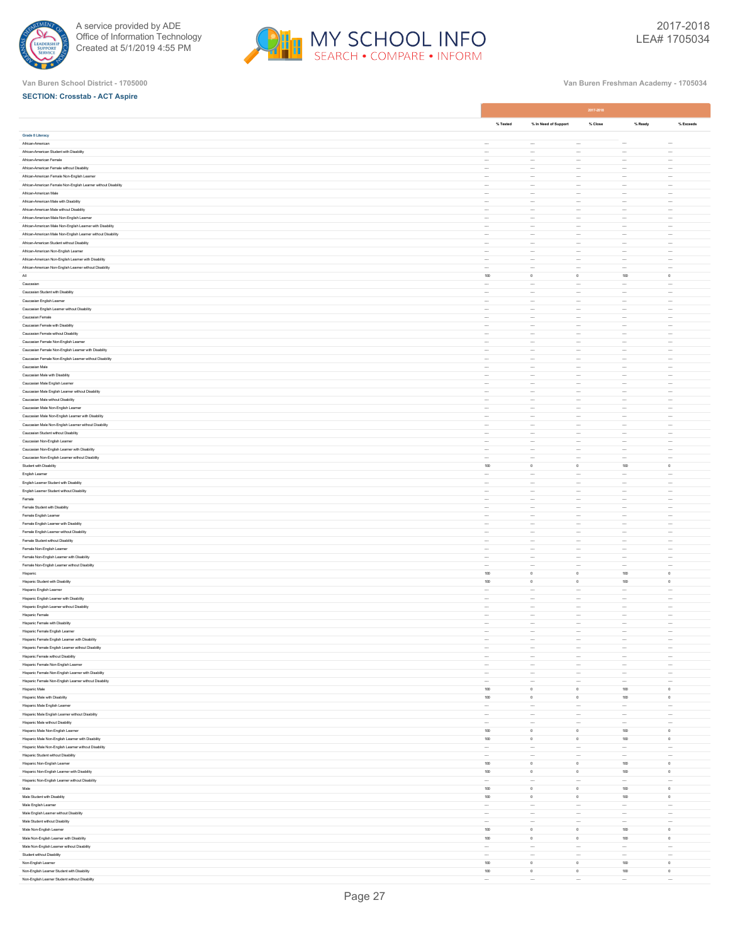



|                                                                                                               | 2017-2018                        |                                  |                                  |                       |                         |
|---------------------------------------------------------------------------------------------------------------|----------------------------------|----------------------------------|----------------------------------|-----------------------|-------------------------|
|                                                                                                               | % Tested                         | % In Need of Support             | $\%$ Close                       | % Ready               | % Exceeds               |
| Grade 8 Literacy                                                                                              |                                  |                                  |                                  |                       |                         |
| African-American                                                                                              | $\cdots$                         | $\cdots$                         | $\cdots$                         | $\ldots$              | $\cdots$                |
| African-American Student with Disability                                                                      | $\cdots$                         | $\cdots$                         | $\cdots$                         | $\cdots$              |                         |
| African-American Female                                                                                       | $\sim$                           |                                  | $\ddot{\phantom{a}}$             |                       |                         |
| African-American Female without Disability                                                                    | $\cdots$                         | $\cdots$                         | $\cdots$                         | $\cdots$              | $\cdots$                |
| African-American Female Non-English Learner<br>African-American Female Non-English Learner without Disability | <br>                             | $\ddot{\phantom{a}}$<br>$\sim$   | $\cdots$<br>$\sim$               | $\cdots$<br>          | <br>$\cdots$            |
| African-American Male                                                                                         | $\cdots$                         | $\cdots$                         | $\cdots$                         | $\cdots$              |                         |
| African-American Male with Disability                                                                         | $\cdots$                         | $\cdots$                         | $\cdots$                         | $\cdots$              |                         |
| African-American Male without Disability                                                                      | $\cdots$                         | $\cdots$                         | $\cdots$                         | $\ddotsc$             |                         |
| African-American Male Non-English Learner                                                                     | $\cdots$                         | $\cdots$                         | $\cdots$                         | $\cdots$              |                         |
| African-American Male Non-English Learner with Disability                                                     | $\cdots$                         | $\cdots$                         | $\cdots$                         | $\cdots$              |                         |
| African-American Male Non-English Learner without Disability                                                  | $\cdots$                         | $\cdots$                         | $\cdots$                         | $\cdots$              | $\cdots$                |
| African-American Student without Disability<br>African-American Non-English Learner                           | $\ddot{\phantom{0}}$<br>$\cdots$ | $\ddot{\phantom{0}}$<br>$\cdots$ | $\cdots$<br>$\cdots$             | $\cdots$<br>$\cdots$  | $\cdots$<br>            |
| African-American Non-English Learner with Disability                                                          | $\cdots$                         | $\cdots$                         | $\cdots$                         | $\ldots$              |                         |
| African-American Non-English Learner without Disability                                                       | $\ddot{\phantom{0}}$             | $\ddot{\phantom{a}}$             | $\ddot{\phantom{0}}$             |                       |                         |
| All                                                                                                           | 100                              | $^{\circ}$                       | $\circ$                          | 100                   | $\circ$                 |
| Caucasian                                                                                                     | $\ddot{\phantom{0}}$             | $\cdots$                         | $\cdots$                         |                       |                         |
| Caucasian Student with Disability                                                                             | ä,                               | $\ddot{\phantom{0}}$             | $\cdots$                         |                       |                         |
| Caucasian English Learner                                                                                     | $\cdots$                         | $\cdots$                         | $\cdots$                         | $\cdots$              | $\cdots$                |
| Caucasian English Learner without Disability<br>Caucasian Female                                              | <br>                             | $\ddot{\phantom{a}}$<br>$\sim$   | $\cdots$<br>$\sim$               | $\cdots$<br>$\ddotsc$ | $\cdots$<br>$\cdots$    |
| Caucasian Female with Disability                                                                              | $\cdots$                         | $\cdots$                         | $\cdots$                         | $\cdots$              |                         |
| Caucasian Female without Disability                                                                           |                                  | $\cdots$                         | $\cdots$                         | $\cdots$              |                         |
| Caucasian Female Non-English Learner                                                                          | $\cdots$                         | $\cdots$                         | $\cdots$                         | $\ddotsc$             | $\cdots$                |
| Caucasian Female Non-English Learner with Disability                                                          | $\cdots$                         | $\cdots$                         | $\cdots$                         | $\cdots$              |                         |
| Caucasian Female Non-English Learner without Disability                                                       | $\cdots$                         | $\cdots$                         | $\cdots$                         | $\cdots$              |                         |
| Caucasian Male<br>Caucasian Male with Disability                                                              | $\cdots$                         | $\cdots$<br>$\cdots$             | $\cdots$                         | $\cdots$              |                         |
| Caucasian Male English Learner                                                                                | $\cdots$<br>$\cdots$             | $\cdots$                         | $\cdots$<br>$\cdots$             | <br>$\cdots$          | <br>$\cdots$            |
| Caucasian Male English Learner without Disability                                                             | $\cdots$                         | $\cdots$                         | $\cdots$                         | $\cdots$              |                         |
| Caucasian Male without Disability                                                                             | $\cdots$                         | $\overline{\phantom{a}}$         | $\cdots$                         | $\cdots$              |                         |
| Caucasian Male Non-English Learner                                                                            | $\cdots$                         | $\cdots$                         | $\cdots$                         | $\cdots$              | $\cdots$                |
| Caucasian Male Non-English Learner with Disability                                                            | $\cdots$                         | $\cdots$                         | $\cdots$                         | $\ldots$              | $\cdots$                |
| Caucasian Male Non-English Learner without Disability                                                         |                                  | $\ddot{\phantom{0}}$             | $\ddot{\phantom{a}}$             |                       | $\ddot{\phantom{0}}$    |
| Caucasian Student without Disability<br>Caucasian Non-English Learner                                         | $\cdots$<br>$\cdots$             | $\cdots$<br>$\ddot{\phantom{a}}$ | $\cdots$<br>$\cdots$             | $\cdots$<br>          | $\cdots$<br>            |
| Caucasian Non-English Learner with Disability                                                                 |                                  | $\sim$                           | $\sim$                           |                       | $\cdots$                |
| Caucasian Non-English Learner without Disability                                                              | $\cdots$                         | $\cdots$                         | $\cdots$                         | $\cdots$              |                         |
| Student with Disability                                                                                       | $100\,$                          | $\,$ 0 $\,$                      | $\,$ 0 $\,$                      | 100                   | $\circ$                 |
| English Learner                                                                                               | $\cdots$                         | $\cdots$                         | $\cdots$                         | $\cdots$              |                         |
| English Learner Student with Disability                                                                       | $\cdots$                         | $\cdots$                         | $\cdots$                         | $\cdots$              |                         |
| English Learner Student without Disability                                                                    | $\cdots$                         | $\cdots$                         | $\cdots$                         | $\cdots$              |                         |
| Female<br>Female Student with Disability                                                                      | $\cdots$<br>$\ddot{\phantom{0}}$ | $\cdots$<br>$\cdots$             | $\cdots$<br>$\ddot{\phantom{0}}$ | $\cdots$<br>          | $\cdots$<br>            |
| Female English Learner                                                                                        | $\cdots$                         | $\cdots$                         | $\cdots$                         | $\cdots$              |                         |
| Female English Learner with Disability                                                                        | $\ddot{\phantom{0}}$             | $\cdots$                         | $\cdots$                         | $\ldots$              |                         |
| Female English Learner without Disability                                                                     | $\ddot{\phantom{0}}$             | $\cdots$                         | $\cdots$                         | $\cdots$              |                         |
| Female Student without Disability                                                                             | $\cdots$                         | $\cdots$                         | $\cdots$                         | $\cdots$              | $\cdots$                |
| Female Non-English Learner                                                                                    | $\cdots$                         | $\cdots$                         | $\cdots$                         | $\ldots$              | $\ldots$                |
| Female Non-English Learner with Disability                                                                    | <br>$\cdots$                     | <br>$\cdots$                     | <br>$\cdots$                     | <br>$\cdots$          | <br>                    |
| Female Non-English Learner without Disability<br>Hispanic                                                     | $100\,$                          | $\,$ 0 $\,$                      | $\mathbf 0$                      | $100\,$               | $\circ$                 |
| Hispanic Student with Disability                                                                              | 100                              | $\,$ 0 $\,$                      | $\,$ 0                           | 100                   | $\mathbb O$             |
| Hispanic English Learner                                                                                      | $\cdots$                         | $\cdots$                         | $\cdots$                         | $\cdots$              |                         |
| Hispanic English Learner with Disability                                                                      |                                  | $\ddot{\phantom{0}}$             | $\cdots$                         |                       |                         |
| Hispanic English Learner without Disability                                                                   | $\cdots$                         | $\cdots$                         | $\cdots$                         | $\cdots$              | $\cdots$                |
| Hispanic Female                                                                                               | $\cdots$                         | $\cdots$                         | $\cdots$                         | $\cdots$              |                         |
| Hispanic Female with Disability<br>Hispanic Female English Learner                                            | $\cdots$<br>$\cdots$             | $\cdots$<br>$\cdots$             | $\cdots$<br>$\cdots$             | <br>$\cdots$          | <br>                    |
| Hispanic Female English Learner with Disability                                                               |                                  |                                  |                                  |                       |                         |
| Hispanic Female English Learner without Disability                                                            | $\ldots$                         | $\cdots$                         | $\cdots$                         | $\cdots$              | $\cdots$                |
| Hispanic Female without Disability                                                                            | $\ldots$                         | $\cdots$                         | $\ldots$                         | $\ldots$              |                         |
| Hispanic Female Non-English Learner                                                                           | $\ddot{\phantom{0}}$             | $\cdots$                         | $\cdots$                         | $\cdots$              |                         |
| Hispanic Female Non-English Learner with Disability<br>Hispanic Female Non-English Learner without Disability | $\cdots$<br>$\ldots$             | $\cdots$<br>$\cdots$             | $\cdots$<br>$\cdots$             | $\cdots$<br>$\cdots$  | $\ldots$<br>$\ldots$    |
| Hispanic Male                                                                                                 | 100                              | $\,0\,$                          | $\mathbf 0$                      | 100                   | $\,$ 0                  |
| Hispanic Male with Disability                                                                                 | 100                              | $\mathbf 0$                      | $\circ$                          | 100                   | $\circ$                 |
| Hispanic Male English Learner                                                                                 |                                  | $\cdots$                         | $\cdots$                         | $\cdots$              |                         |
| Hispanic Male English Learner without Disability                                                              |                                  | $\sim$                           | $\sim$                           | $\ddotsc$             | $\cdots$                |
| Hispanic Male without Disability                                                                              | $\cdots$                         | $\cdots$                         | $\cdots$                         | $\cdots$              |                         |
| Hispanic Male Non-English Learner                                                                             | $100\,$                          | $\,$ 0 $\,$                      | $\mathbf 0$                      | $100\,$               | $\circ$                 |
| Hispanic Male Non-English Learner with Disability<br>Hispanic Male Non-English Learner without Disability     | 100<br>$\cdots$                  | $\circ$<br>$\cdots$              | $\mathbf{0}$<br>$\cdots$         | 100<br>$\cdots$       | $\circ$<br>$\cdots$     |
| Hispanic Student without Disability                                                                           |                                  | $\cdots$                         | $\cdots$                         |                       |                         |
| Hispanic Non-English Learner                                                                                  | 100                              | $\circ$                          | $\circ$                          | 100                   | $\circ$                 |
| Hispanic Non-English Learner with Disability                                                                  | $100\,$                          | $\,$ 0 $\,$                      | $\,$ 0 $\,$                      | $100\,$               | $\circ$                 |
| Hispanic Non-English Learner without Disability                                                               | $\cdots$                         | $\cdots$                         | $\cdots$                         | $\ldots$              |                         |
| Male                                                                                                          | 100                              | $\,$ 0 $\,$                      | $\,$ 0 $\,$                      | 100                   | $\,$ 0 $\,$             |
| Male Student with Disability                                                                                  | $100\,$<br>$\cdots$              | $\,$ 0 $\,$<br>$\cdots$          | $\,$ 0 $\,$<br>$\cdots$          | $100\,$<br>$\cdots$   | $\mathbb O$<br>$\cdots$ |
| Male English Learner<br>Male English Learner without Disability                                               | $\ldots$                         | $\cdots$                         | $\ldots$                         | $\ldots$              | $\ldots$                |
| Male Student without Disability                                                                               | $\ddotsc$                        | $\sim$                           | $\ddot{\phantom{a}}$             | $\ddotsc$             | $\ddot{\phantom{a}}$    |
| Male Non-English Learner                                                                                      | 100                              | $\mathbf 0$                      | $\mathbf 0$                      | 100                   | $\circ$                 |
| Male Non-English Learner with Disability                                                                      | $100\,$                          | $\,$ 0 $\,$                      | $\,$ 0 $\,$                      | $100\,$               | $\circ$                 |
| Male Non-English Learner without Disability                                                                   | $\ddotsc$                        | $\sim$                           | $\overline{\phantom{a}}$         | $\ddotsc$             | $\cdots$                |
| Student without Disability                                                                                    | $\cdots$                         | $\cdots$                         | $\cdots$                         | $\cdots$              |                         |
| Non-English Learner<br>Non-English Learner Student with Disability                                            | $100\,$<br>100                   | $\,$ 0 $\,$<br>$\,$ 0 $\,$       | $\,$ 0 $\,$<br>$\mathbf{0}$      | $100\,$<br>100        | $\circ$<br>$\circ$      |
| Non-English Learner Student without Disability                                                                | $\cdots$                         | $\cdots$                         | $\cdots$                         | $\cdots$              | $\cdots$                |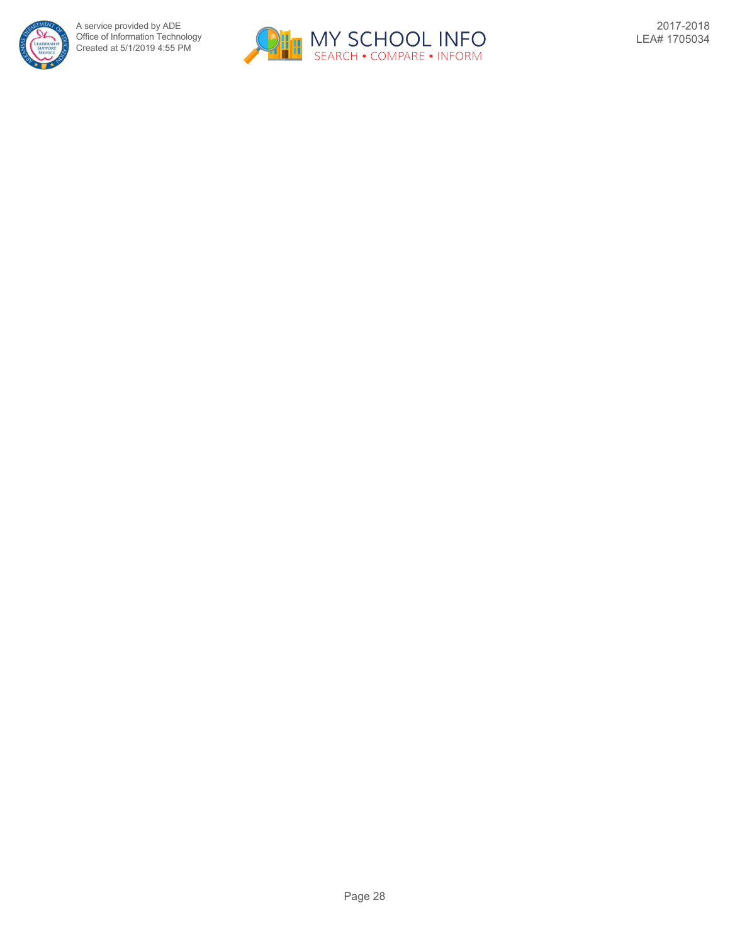

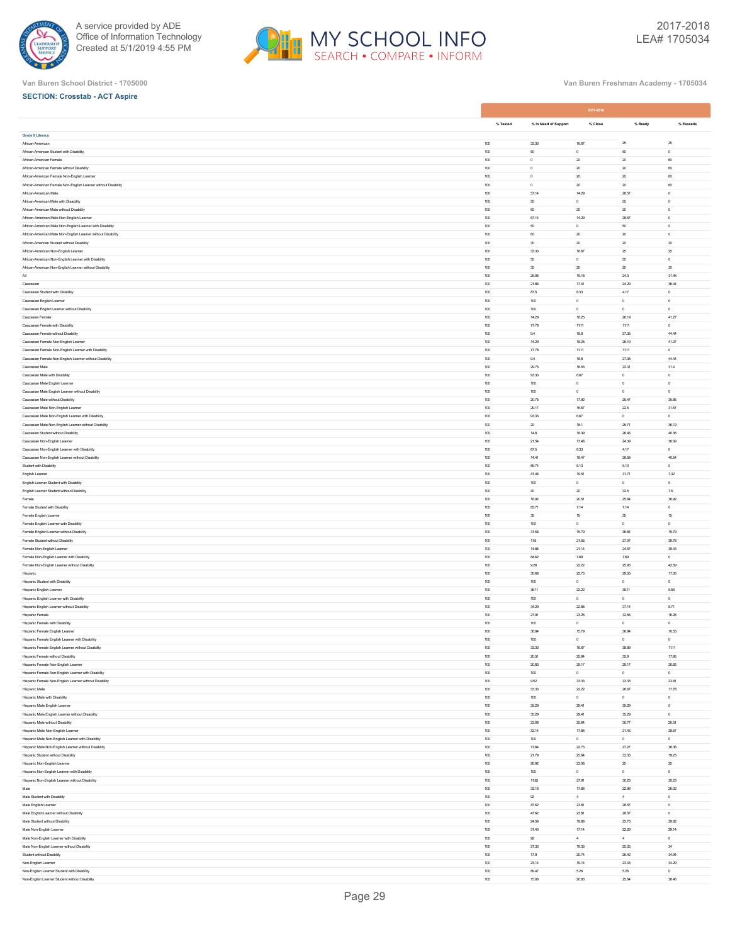



|                                                                                                             | 2017-2018      |                            |                        |                        |                            |
|-------------------------------------------------------------------------------------------------------------|----------------|----------------------------|------------------------|------------------------|----------------------------|
|                                                                                                             | % Tested       | % In Need of Support       | % Close                | % Ready                | % Exceeds                  |
| <b>Grade 9 Literacy</b>                                                                                     |                |                            |                        |                        |                            |
| African-American                                                                                            | $100\,$        | 33.33                      | 16.67                  | $\rm 25$               | $\rm 25$                   |
| African-American Student with Disability                                                                    | 100            | 50                         | $\circ$                | $_{\rm 50}$            | $\mathbb O$                |
| African-American Female                                                                                     | 100            | $\,$ 0 $\,$<br>$\,$ 0 $\,$ | $\rm{20}$              | $\mathbf{20}$          | $60\,$                     |
| African-American Female without Disability<br>African-American Female Non-English Learner                   | $100\,$<br>100 | $\circ$                    | $\rm{20}$<br>$\rm{20}$ | $\rm{20}$<br>$\rm{20}$ | $_{60}$<br>60              |
| African-American Female Non-English Learner without Disability                                              | 100            | $\circ$                    | $\rm{20}$              | $\rm{20}$              | $60\,$                     |
| African-American Male                                                                                       | 100            | 57.14                      | 14.29                  | 28.57                  | $\mathbb O$                |
| African-American Male with Disability                                                                       | 100            | 60                         | $\circ$                | 60                     | $\ddot{\phantom{0}}$       |
| African-American Male without Disability                                                                    | $100\,$        | $_{60}$<br>57.14           | $\rm{20}$              | $\rm{20}$              | $\,$ 0                     |
| African-American Male Non-English Learner<br>African-American Male Non-English Learner with Disability      | 100<br>100     | $_{50}$                    | 14.29<br>$\,$ 0 $\,$   | 28.57<br>$_{50}$       | $\,$ 0 $\,$<br>$\,$ 0 $\,$ |
| African-American Male Non-English Learner without Disability                                                | 100            | $_{60}$                    | $\rm{20}$              | $\rm{20}$              | $\,$ 0 $\,$                |
| African-American Student without Disability                                                                 | 100            | $30\,$                     | $\rm{20}$              | $\rm{20}$              | $30\,$                     |
| African-American Non-English Learner                                                                        | 100            | 33.33                      | 16.67                  | $\rm{25}$              | $\rm 25$                   |
| African-American Non-English Learner with Disability                                                        | 100<br>100     | 50<br>30                   | $\circ$<br>20          | 50<br>$\rm{20}$        | $\mathbb O$<br>30          |
| African-American Non-English Learner without Disability<br>$\mathsf{All}$                                   | $100\,$        | 25.06                      | 19.18                  | 24.3                   | 31.46                      |
| Caucasian                                                                                                   | 100            | 21.86                      | 17.41                  | 24.29                  | 36.44                      |
| Caucasian Student with Disability                                                                           | 100            | 87.5                       | 8.33                   | 4.17                   | $\circ$                    |
| Caucasian English Learner                                                                                   | $100\,$        | $100\,$                    | $\,$ 0 $\,$            | $\,$ 0 $\,$            | $\,$ 0 $\,$                |
| Caucasian English Learner without Disability                                                                | 100            | 100                        | $\circ$                | $^{\circ}$             | $\mathbf{0}$               |
| Caucasian Female<br>Caucasian Female with Disability                                                        | 100<br>100     | 14.29<br>77.78             | 18.25<br>11.11         | 26.19<br>11.11         | 41.27<br>$\mathbb O$       |
| Caucasian Female without Disability                                                                         | 100            | 9.4                        | 18.8                   | 27.35                  | 44.44                      |
| Caucasian Female Non-English Learner                                                                        | $100\,$        | 14.29                      | 18.25                  | 26.19                  | 41.27                      |
| Caucasian Female Non-English Learner with Disability                                                        | 100            | 77.78                      | 11.11                  | 11.11                  | $\mathbb O$                |
| Caucasian Female Non-English Learner without Disability                                                     | 100            | 9.4                        | 18.8                   | 27.35                  | 44.44                      |
| Caucasian Male<br>Caucasian Male with Disability                                                            | $100\,$<br>100 | 29.75<br>93.33             | 16.53<br>6.67          | 22.31<br>$\circ$       | $31.4\,$<br>$^{\circ}$     |
| Caucasian Male English Learner                                                                              | 100            | 100                        | $\circ$                | $\,$ 0 $\,$            | $\,$ 0 $\,$                |
| Caucasian Male English Learner without Disability                                                           | 100            | 100                        | $\,$ 0                 | $\mathbb O$            | $\mathbb O$                |
| Caucasian Male without Disability                                                                           | 100            | 20.75                      | 17.92                  | 25.47                  | 35.85                      |
| Caucasian Male Non-English Learner                                                                          | $100\,$        | 29.17                      | 16.67                  | $22.5\,$               | 31.67                      |
| Caucasian Male Non-English Learner with Disability<br>Caucasian Male Non-English Learner without Disability | 100<br>100     | 93.33<br>$20\,$            | 6.67<br>18.1           | $\circ$<br>25.71       | $\mathbb O$<br>36.19       |
| Caucasian Student without Disability                                                                        | $100\,$        | $14.8\,$                   | 18.39                  | 26.46                  | 40.36                      |
| Caucasian Non-English Learner                                                                               | 100            | 21.54                      | 17.48                  | 24.39                  | 36.59                      |
| Caucasian Non-English Learner with Disability                                                               | 100            | 87.5                       | 8.33                   | 4.17                   | $\mathbb O$                |
| Caucasian Non-English Learner without Disability                                                            | 100<br>100     | 14.41<br>89.74             | 18.47<br>5.13          | 26.58<br>5.13          | 40.54<br>$\circ$           |
| Student with Disability<br>English Learner                                                                  | $100\,$        | 41.46                      | 19.51                  | 31.71                  | $7.32\,$                   |
| English Learner Student with Disability                                                                     | 100            | 100                        | $\,$ 0 $\,$            | $\mathbb O$            | $\,$ 0 $\,$                |
| English Learner Student without Disability                                                                  | 100            | $40\,$                     | $\rm{20}$              | 32.5                   | 7.5                        |
| Female                                                                                                      | $100\,$        | 16.92                      | 20.51                  | 25.64                  | 36.92                      |
| Female Student with Disability<br>Female English Learner                                                    | 100<br>100     | 85.71<br>$36\,$            | 7.14<br>$15\,$         | 7.14<br>$35\,$         | $\circ$<br>$15\,$          |
| Female English Learner with Disability                                                                      | 100            | 100                        | $\circ$                | $^{\circ}$             | $\mathbb O$                |
| Female English Learner without Disability                                                                   | 100            | 31.58                      | 15.79                  | 36.84                  | 15.79                      |
| Female Student without Disability                                                                           | $100\,$        | 11.6                       | 21.55                  | 27.07                  | 39.78                      |
| Female Non-English Learner                                                                                  | 100            | 14.86                      | 21.14                  | 24.57                  | 39.43                      |
| Female Non-English Learner with Disability<br>Female Non-English Learner without Disability                 | 100<br>$100\,$ | 84.62<br>$9.26\,$          | 7.69<br>22.22          | 7.69<br>25.93          | $\mathbb O$<br>42.59       |
| Hispanic                                                                                                    | 100            | 30.68                      | 22.73                  | 29.55                  | 17.05                      |
| Hispanic Student with Disability                                                                            | 100            | 100                        | $\circ$                | $\circ$                | $\circ$                    |
| Hispanic English Learner                                                                                    | 100            | 36.11                      | 22.22                  | 36.11                  | 5.56                       |
| Hispanic English Learner with Disability                                                                    | 100            | 100                        | $\circ$                | $^{\circ}$             | $^{\circ}$                 |
| Hispanic English Learner without Disability                                                                 | $100\,$        | 34.29                      | 22.86                  | 37.14                  | 5.71                       |
| Hispanic Female<br>Hispanic Female with Disability                                                          | 100<br>100     | 27.91<br>100               | 23.26<br>$\,$ 0 $\,$   | 32.56<br>$\,$ 0 $\,$   | 16.28<br>$\,$ 0 $\,$       |
| Hispanic Female English Learner                                                                             | 100            | 36.84                      | 15.79                  | 36.84                  | 10.53                      |
| Hispanic Female English Learner with Disability                                                             | 100            | 100                        | $\circ$                | $\circ$                | $^{\circ}$                 |
| Hispanic Female English Learner without Disability                                                          | 100            | 33.33                      | 16.67                  | 38.89                  | 11.11                      |
| Hispanic Female without Disability<br>Hispanic Female Non-English Learner                                   | 100<br>100     | 20.51<br>20.83             | 25.64<br>29.17         | 35.9<br>29.17          | 17.95<br>20.83             |
| Hispanic Female Non-English Learner with Disability                                                         | 100            | 100                        | $\,$ 0 $\,$            | $\mathbb O$            | $\mathbb O$                |
| Hispanic Female Non-English Learner without Disability                                                      | 100            | 9.52                       | 33.33                  | 33.33                  | 23.81                      |
| Hispanic Male                                                                                               | 100            | 33.33                      | 22.22                  | 26.67                  | 17.78                      |
| Hispanic Male with Disability                                                                               | 100            | 100                        | $\,$ 0 $\,$            | $\mathbb O$            | $\mathbb O$                |
| Hispanic Male English Learner<br>Hispanic Male English Learner without Disability                           | 100<br>100     | 35.29<br>35.29             | 29.41<br>29.41         | 35.29<br>35.29         | $^{\circ}$<br>$\,$ 0 $\,$  |
| Hispanic Male without Disability                                                                            | 100            | 23.08                      | 25.64                  | 30.77                  | 20.51                      |
| Hispanic Male Non-English Learner                                                                           | 100            | 32.14                      | 17.86                  | 21.43                  | 28.57                      |
| Hispanic Male Non-English Learner with Disability                                                           | 100            | 100                        | $\,$ 0                 | $\mathbb O$            | $\,$ 0 $\,$                |
| Hispanic Male Non-English Learner without Disability                                                        | 100            | 13.64                      | 22.73                  | 27.27                  | 36.36                      |
| Hispanic Student without Disability<br>Hispanic Non-English Learner                                         | 100<br>$100\,$ | 21.79<br>26.92             | 25.64<br>23.08         | 33.33<br>$\rm 25$      | 19.23<br>$\rm 25$          |
| Hispanic Non-English Learner with Disability                                                                | 100            | 100                        | $\circ$                | $\circ$                | $\circ$                    |
| Hispanic Non-English Learner without Disability                                                             | 100            | 11.63                      | 27.91                  | 30.23                  | 30.23                      |
| Male                                                                                                        | 100            | 33.16                      | 17.86                  | 22.96                  | 26.02                      |
| Male Student with Disability                                                                                | 100            | 92                         | $\sim$                 | $\overline{4}$         | $\circ$                    |
| Male English Learner                                                                                        | 100            | 47.62<br>47.62             | 23.81                  | 28.57<br>28.57         | $\mathbb O$<br>$^{\circ}$  |
| Male English Learner without Disability<br>Male Student without Disability                                  | 100<br>100     | 24.56                      | 23.81<br>19.88         | 25.73                  | 29.82                      |
| Male Non-English Learner                                                                                    | $100\,$        | 31.43                      | 17.14                  | 22.29                  | 29.14                      |
| Male Non-English Learner with Disability                                                                    | 100            | 92                         | $\sim$                 | $\overline{4}$         | $^{\circ}$                 |
| Male Non-English Learner without Disability                                                                 | 100            | 21.33                      | 19.33                  | 25.33                  | 34                         |
| Student without Disability                                                                                  | 100<br>100     | 17.9<br>23.14              | 20.74<br>19.14         | 26.42<br>23.43         | 34.94<br>34.29             |
| Non-English Learner<br>Non-English Learner Student with Disability                                          | $100\,$        | 89.47                      | 5.26                   | 5.26                   | $\mathbb O$                |
| Non-English Learner Student without Disability                                                              | 100            | 15.06                      | 20.83                  | 25.64                  | 38.46                      |
|                                                                                                             |                |                            |                        |                        |                            |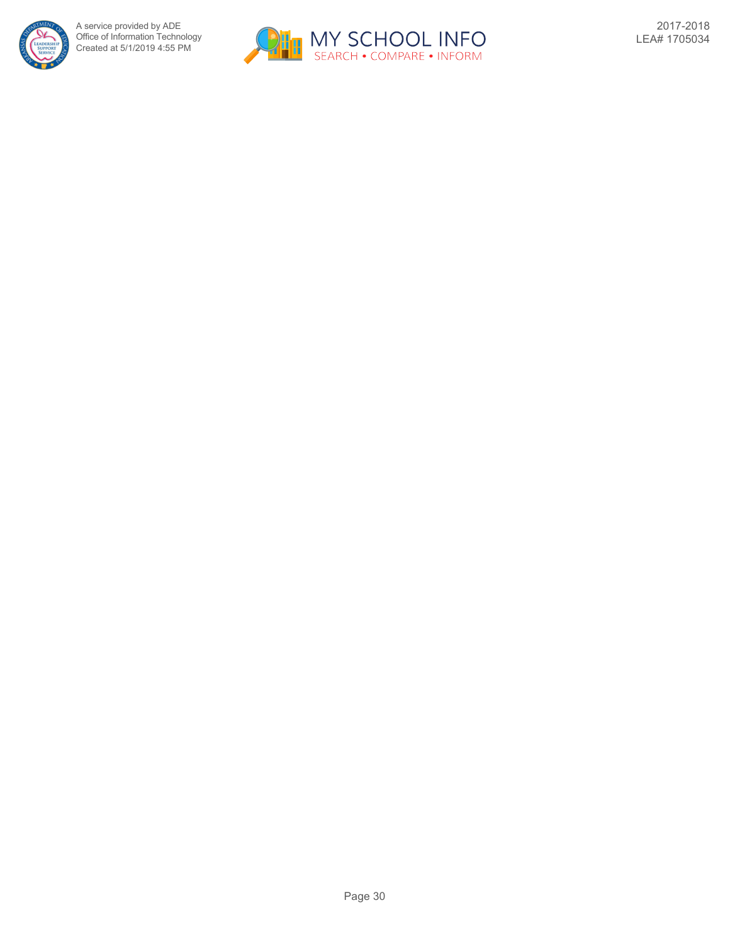

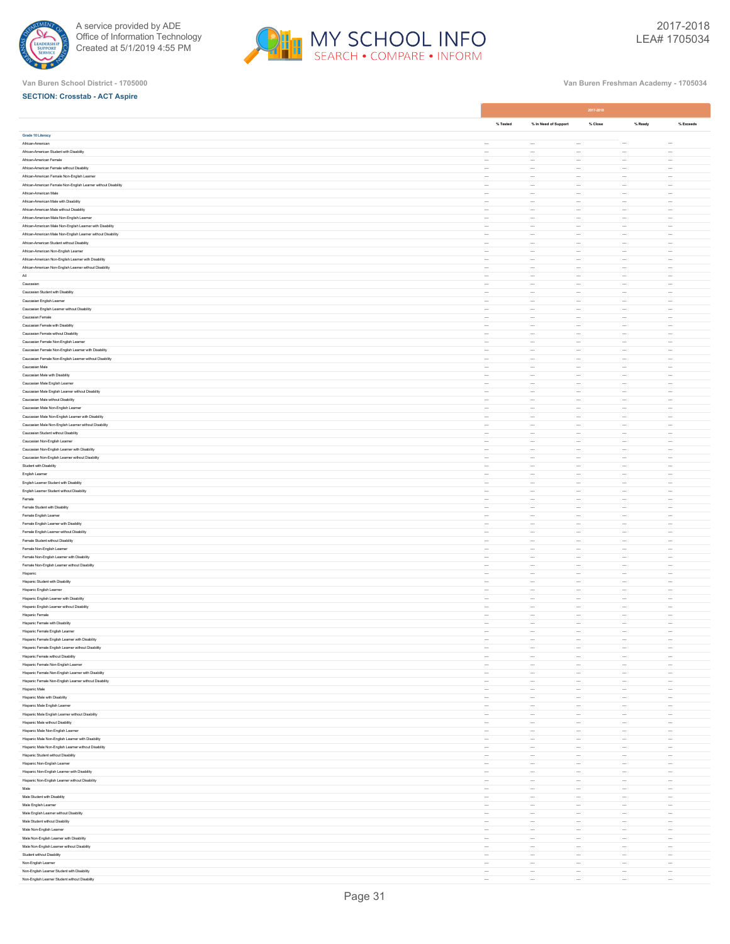



|                                                                                                                 |                       |                       | 2017-2018            |                                  |                                      |
|-----------------------------------------------------------------------------------------------------------------|-----------------------|-----------------------|----------------------|----------------------------------|--------------------------------------|
|                                                                                                                 | % Tested              | % In Need of Support  | % Close              | % Ready                          | % Exceeds                            |
|                                                                                                                 |                       |                       |                      |                                  |                                      |
| <b>Grade 10 Literacy</b><br>African-American                                                                    | $\cdots$              | $\cdots$              | $\cdots$             | $\cdots$                         | $\cdots$                             |
| African-American Student with Disability                                                                        | $\ldots$              | $\cdots$              | $\cdots$             | $\cdots$                         | $\cdots$                             |
| African-American Female                                                                                         | $\cdots$              | $\cdots$              | $\cdots$             | $\cdots$                         | $\cdots$                             |
| African-American Female without Disability                                                                      |                       | $\sim$                | $\cdots$             | $\cdots$                         | $\cdots$                             |
| African-American Female Non-English Learner                                                                     | $\cdots$              | $\cdots$              | $\cdots$             | $\cdots$                         | $\cdots$                             |
| African-American Female Non-English Learner without Disability                                                  | $\cdots$              | $\cdots$              | $\cdots$             | $\cdots$                         | $\cdots$                             |
| African-American Male                                                                                           |                       | $\sim$                |                      | $\ddot{\phantom{a}}$             |                                      |
| African-American Male with Disability                                                                           | $\cdots$              | $\cdots$              | $\cdots$             | $\cdots$                         | $\cdots$                             |
| African-American Male without Disability                                                                        | $\cdots$              | $\cdots$              | $\cdots$             | $\cdots$                         | $\cdots$                             |
| African-American Male Non-English Learner                                                                       | à.                    | $\sim$                |                      | $\ddotsc$                        | $\ddotsc$                            |
| African-American Male Non-English Learner with Disability                                                       | $\cdots$              | $\cdots$              | $\cdots$             | $\cdots$                         | $\cdots$                             |
| African-American Male Non-English Learner without Disability<br>African-American Student without Disability     | $\cdots$<br>$\cdots$  | $\ddotsc$<br>$\cdots$ | $\cdots$<br>$\cdots$ | <br>$\cdots$                     | <br>$\cdots$                         |
| African-American Non-English Learner                                                                            | $\cdots$              | $\cdots$              | $\cdots$             | $\cdots$                         | $\cdots$                             |
| African-American Non-English Learner with Disability                                                            | $\cdots$              | $\cdots$              | $\cdots$             | $\cdots$                         | $\cdots$                             |
| African-American Non-English Learner without Disability                                                         | $\cdots$              | $\cdots$              | $\cdots$             | $\cdots$                         | $\cdots$                             |
| All                                                                                                             |                       | $\ddot{\phantom{0}}$  | $\cdots$             | $\cdots$                         | $\cdots$                             |
| Caucasian                                                                                                       | $\ldots$              | $\cdots$              | $\cdots$             | $\cdots$                         | $\cdots$                             |
| Caucasian Student with Disability                                                                               | $\cdots$              | $\cdots$              | $\cdots$             | $\cdots$                         | $\cdots$                             |
| Caucasian English Learner                                                                                       | $\cdots$              | $\sim$                | $\ddotsc$            | $\cdots$                         | $\cdots$                             |
| Caucasian English Learner without Disability                                                                    | $\cdots$              | $\cdots$              | $\cdots$             | $\cdots$                         | $\cdots$                             |
| Caucasian Female                                                                                                | $\cdots$              | $\cdots$              | $\cdots$             | $\cdots$                         | $\cdots$                             |
| Caucasian Female with Disability                                                                                | à.                    | ä,                    | $\ddot{\phantom{a}}$ | $\ddotsc$                        | $\ddotsc$                            |
| Caucasian Female without Disability                                                                             | $\cdots$              | $\cdots$              | $\cdots$             | $\cdots$                         | $\cdots$                             |
| Caucasian Female Non-English Learner                                                                            | $\cdots$<br>$\ddotsc$ | $\sim$<br>$\sim$      | $\cdots$<br>$\sim$   | <br>$\ddotsc$                    | <br>$\overline{\phantom{a}}$         |
| Caucasian Female Non-English Learner with Disability<br>Caucasian Female Non-English Learner without Disability | $\cdots$              | $\cdots$              | $\cdots$             | $\cdots$                         | $\cdots$                             |
| Caucasian Male                                                                                                  | $\cdots$              | $\cdots$              | $\cdots$             | $\cdots$                         | $\cdots$                             |
| Caucasian Male with Disability                                                                                  | $\cdots$              | $\cdots$              | $\cdots$             | $\cdots$                         | $\cdots$                             |
| Caucasian Male English Learner                                                                                  | $\cdots$              | $\cdots$              | $\cdots$             | $\cdots$                         | $\cdots$                             |
| Caucasian Male English Learner without Disability                                                               | $\cdots$              | $\sim$                | $\cdots$             |                                  | $\cdots$                             |
| Caucasian Male without Disability                                                                               | $\cdots$              | $\cdots$              | $\cdots$             | $\cdots$                         | $\cdots$                             |
| Caucasian Male Non-English Learner                                                                              | $\cdots$              | $\sim$                | $\ddot{\phantom{0}}$ | $\cdots$                         | $\cdots$                             |
| Caucasian Male Non-English Learner with Disability                                                              | $\ldots$              | $\cdots$              | $\cdots$             | $\cdots$                         | $\cdots$                             |
| Caucasian Male Non-English Learner without Disability                                                           | $\ldots$              | $\cdots$              | $\cdots$             | $\cdots$                         | $\cdots$                             |
| Caucasian Student without Disability                                                                            |                       | $\cdots$              | $\cdots$             | $\cdots$                         | $\cdots$                             |
| Caucasian Non-English Learner                                                                                   | $\cdots$              | $\cdots$              | $\cdots$             | $\cdots$                         | $\cdots$                             |
| Caucasian Non-English Learner with Disability                                                                   | $\cdots$<br>          | $\cdots$<br>$\sim$    | $\cdots$<br>$\sim$   | $\cdots$<br>$\ddot{\phantom{a}}$ | $\cdots$<br>$\overline{\phantom{a}}$ |
| Caucasian Non-English Learner without Disability<br>Student with Disability                                     | $\cdots$              | $\cdots$              | $\cdots$             | $\cdots$                         | $\cdots$                             |
| English Learner                                                                                                 | $\cdots$              | $\cdots$              | $\cdots$             | $\cdots$                         | $\cdots$                             |
| English Learner Student with Disability                                                                         | à.                    | $\sim$                | $\ddot{\phantom{a}}$ | $\ddot{\phantom{a}}$             | $\ddotsc$                            |
| English Learner Student without Disability                                                                      | $\cdots$              | $\cdots$              | $\cdots$             | $\cdots$                         | $\cdots$                             |
| Female                                                                                                          | $\ldots$              | $\cdots$              | $\cdots$             | $\cdots$                         | $\cdots$                             |
| Female Student with Disability                                                                                  | $\cdots$              | $\cdots$              | $\cdots$             | $\cdots$                         | $\cdots$                             |
| Female English Learner                                                                                          | $\cdots$              | $\cdots$              | $\cdots$             | $\cdots$                         | $\cdots$                             |
| Female English Learner with Disability                                                                          | $\cdots$              | $\cdots$              | $\cdots$             | $\cdots$                         | $\cdots$                             |
| Female English Learner without Disability                                                                       | $\cdots$              | $\cdots$              | $\cdots$             | $\cdots$                         | $\cdots$                             |
| Female Student without Disability                                                                               | $\cdots$              | $\sim$                | $\cdots$             | $\cdots$                         | $\cdots$                             |
| Female Non-English Learner<br>Female Non-English Learner with Disability                                        | $\ldots$<br>$\cdots$  | $\cdots$<br>$\cdots$  | $\cdots$<br>$\cdots$ | $\cdots$<br>$\cdots$             | $\cdots$<br>$\cdots$                 |
| Female Non-English Learner without Disability                                                                   | $\cdots$              | $\sim$                | $\ddot{\phantom{a}}$ | $\cdots$                         | $\cdots$                             |
| Hispanic                                                                                                        | $\cdots$              | $\cdots$              | $\cdots$             | $\cdots$                         | $\cdots$                             |
| Hispanic Student with Disability                                                                                | $\cdots$              | $\cdots$              | $\cdots$             | $\cdots$                         | $\cdots$                             |
| Hispanic English Learner                                                                                        | à.                    | $\ddot{\phantom{a}}$  | $\ddot{\phantom{a}}$ | $\ddot{\phantom{a}}$             | $\cdots$                             |
| Hispanic English Learner with Disability                                                                        | $\cdots$              | $\cdots$              | $\cdots$             | $\cdots$                         | $\cdots$                             |
| Hispanic English Learner without Disability                                                                     | $\cdots$              | $\sim$                | $\cdots$             | $\ddot{\phantom{0}}$             |                                      |
| Hispanic Female                                                                                                 | $\cdots$              | $\sim$                | $\ddotsc$            | $\ddotsc$                        | $\cdots$                             |
| Hispanic Female with Disability                                                                                 | $\cdots$              | $\cdots$              | $\cdots$             | $\cdots$                         | $\cdots$                             |
| Hispanic Female English Learner                                                                                 | $\cdots$              | $\cdots$              | $\cdots$             | $\cdots$                         | $\cdots$                             |
| Hispanic Female English Learner with Disability                                                                 | $\cdots$              | $\sim$                | $\sim$               | $\cdots$                         | $\cdots$                             |
| Hispanic Female English Learner without Disability<br>Hispanic Female without Disability                        | $\cdots$<br>$\ldots$  | $\cdots$<br>$\sim$    | $\cdots$<br>$\cdots$ | $\cdots$<br>$\cdots$             | $\cdots$<br>$\cdots$                 |
| Hispanic Female Non-English Learner                                                                             | $\cdots$              | $\sim$                | $\sim$               | $\sim$                           | $\cdots$                             |
| Hispanic Female Non-English Learner with Disability                                                             | $\cdots$              | $\cdots$              | $\cdots$             | $\cdots$                         | $\cdots$                             |
| Hispanic Female Non-English Learner without Disability                                                          | $\ldots$              | $\cdots$              | $\cdots$             | $\cdots$                         | $\cdots$                             |
| Hispanic Male                                                                                                   | $\cdots$              | $\ldots$              | $\cdots$             | $\ldots$                         | $\ldots$                             |
| Hispanic Male with Disability                                                                                   |                       | $\cdots$              | $\cdots$             | $\cdots$                         | $\cdots$                             |
| Hispanic Male English Learner                                                                                   | $\cdots$              | $\sim$                | $\cdots$             | $\cdots$                         | $\cdots$                             |
| Hispanic Male English Learner without Disability                                                                | $\cdots$              | $\ldots$              | $\cdots$             | $\ldots$                         | $\ldots$                             |
| Hispanic Male without Disability                                                                                | $\cdots$              | $\sim$                | $\sim$               | $\ddotsc$                        | $\cdots$                             |
| Hispanic Male Non-English Learner                                                                               | $\cdots$              | $\cdots$              | $\cdots$             | $\cdots$                         | $\cdots$                             |
| Hispanic Male Non-English Learner with Disability<br>Hispanic Male Non-English Learner without Disability       | $\cdots$<br>$\cdots$  | $\cdots$<br>$\sim$    | $\ldots$<br>$\sim$   | $\cdots$<br>$\ddotsc$            | $\cdots$<br>$\cdots$                 |
| Hispanic Student without Disability                                                                             | $\cdots$              | $\cdots$              | $\cdots$             | $\cdots$                         | $\cdots$                             |
| Hispanic Non-English Learner                                                                                    | $\cdots$              | $\cdots$              | $\cdots$             | $\cdots$                         | $\cdots$                             |
| Hispanic Non-English Learner with Disability                                                                    | $\cdots$              | $\cdots$              | $\cdots$             | $\cdots$                         | $\cdots$                             |
| Hispanic Non-English Learner without Disability                                                                 | $\cdots$              | $\cdots$              | $\cdots$             | $\cdots$                         | $\cdots$                             |
| Male                                                                                                            | $\ldots$              | $\cdots$              | $\cdots$             | $\cdots$                         | $\cdots$                             |
| Male Student with Disability                                                                                    | $\cdots$              | $\sim$                | $\cdots$             | $\cdots$                         | $\cdots$                             |
| Male English Learner                                                                                            | $\cdots$              | $\cdots$              | $\cdots$             | $\cdots$                         | $\cdots$                             |
| Male English Learner without Disability                                                                         | $\ldots$              | $\cdots$              | $\cdots$             | $\cdots$                         | $\ldots$                             |
| Male Student without Disability                                                                                 | $\cdots$              | $\cdots$              | $\cdots$             |                                  | $\cdots$                             |
| Male Non-English Learner                                                                                        | $\ldots$              | $\ddotsc$             | $\cdots$             |                                  |                                      |
| Male Non-English Learner with Disability                                                                        | $\cdots$              | $\sim$                | $\cdots$             | $\cdots$                         | $\cdots$                             |
| Male Non-English Learner without Disability                                                                     | $\cdots$<br>à.        | $\cdots$<br>$\sim$    | $\cdots$<br>         | $\cdots$<br>$\ddotsc$            | $\ldots$<br>$\cdots$                 |
| Student without Disability<br>Non-English Learner                                                               | $\cdots$              | $\sim$                | $\cdots$             | $\cdots$                         | $\cdots$                             |
| Non-English Learner Student with Disability                                                                     |                       | $\ddotsc$             | $\cdots$             | $\cdots$                         |                                      |
| Non-English Learner Student without Disability                                                                  | $\ldots$              | $\sim$                | $\cdots$             |                                  | $\cdots$                             |
|                                                                                                                 |                       |                       |                      |                                  |                                      |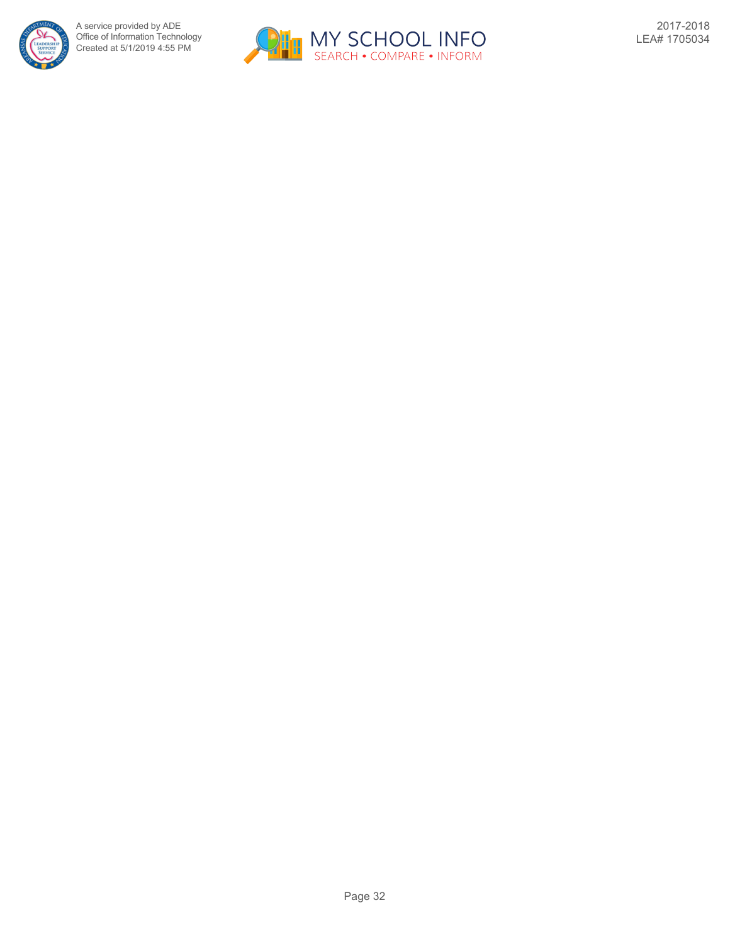

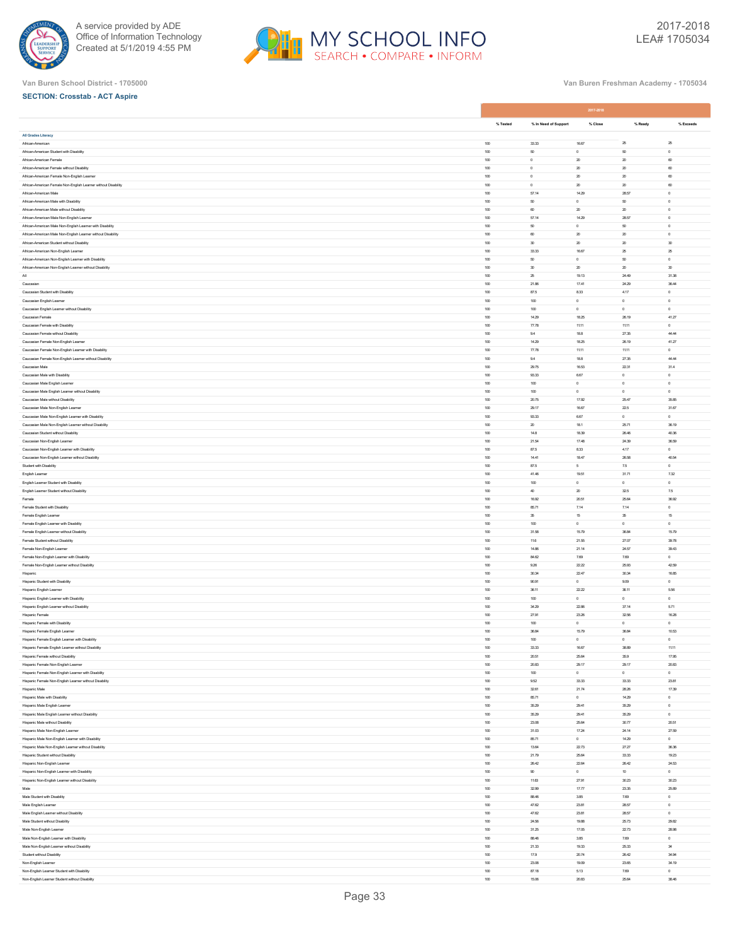



|                                                                                                        | 2017-2018  |                        |                      |                        |                            |  |
|--------------------------------------------------------------------------------------------------------|------------|------------------------|----------------------|------------------------|----------------------------|--|
|                                                                                                        | % Tested   | % In Need of Support   | % Close              | % Ready                | % Exceeds                  |  |
| All Grades Literacy                                                                                    |            |                        |                      |                        |                            |  |
| African-American                                                                                       | 100        | 33.33                  | 16.67                | $\rm 25$               | $\rm 25$                   |  |
| African-American Student with Disability                                                               | 100        | 50                     | $\circ$              | $_{50}$                | $\mathbb O$                |  |
| African-American Female<br>African-American Female without Disability                                  | 100        | $\,$ 0 $\,$            | $\rm{20}$            | $\mathbf{20}$          | $_{60}$                    |  |
| African-American Female Non-English Learner                                                            | 100<br>100 | $\,$ 0 $\,$<br>$\circ$ | $\rm{20}$<br>20      | $\rm{20}$<br>20        | $_{60}$<br>60              |  |
| African-American Female Non-English Learner without Disability                                         | 100        | $\,$ 0 $\,$            | $\rm{20}$            | $\rm{20}$              | $_{60}$                    |  |
| African-American Male                                                                                  | 100        | 57.14                  | 14.29                | 28.57                  | $\mathbb O$                |  |
| African-American Male with Disability                                                                  | 100        | 60                     | $\circ$              | 60                     | $\circ$                    |  |
| African-American Male without Disability                                                               | 100        | $_{60}$                | $\rm{20}$            | $\rm{20}$              | $\,$ 0 $\,$                |  |
| African-American Male Non-English Learner<br>African-American Male Non-English Learner with Disability | 100<br>100 | 57.14<br>60            | 14.29<br>$\,$ 0 $\,$ | 28.57<br>$_{50}$       | $\,$ 0 $\,$<br>$\,$ 0 $\,$ |  |
| African-American Male Non-English Learner without Disability                                           | 100        | $_{60}$                | $\rm{20}$            | $\rm{20}$              | $\mathbb O$                |  |
| African-American Student without Disability                                                            | 100        | 30                     | $\rm{20}$            | $\mathbf{20}$          | $30\,$                     |  |
| African-American Non-English Learner                                                                   | 100        | 33.33                  | 16.67                | $\rm{25}$              | $\rm 25$                   |  |
| African-American Non-English Learner with Disability                                                   | 100        | $_{50}$                | $\circ$              | $_{50}$                | $\mathbb O$                |  |
| African-American Non-English Learner without Disability<br>$AII$                                       | 100<br>100 | 30<br>$\rm{25}$        | 20<br>19.13          | 20<br>24.49            | 30<br>31.38                |  |
| Caucasian                                                                                              | 100        | 21.86                  | 17.41                | 24.29                  | 36.44                      |  |
| Caucasian Student with Disability                                                                      | 100        | 87.5                   | 8.33                 | 4.17                   | $\mathbb O$                |  |
| Caucasian English Learner                                                                              | 100        | 100                    | $\,$ 0 $\,$          | $\mathbb O$            | $\mathbb O$                |  |
| Caucasian English Learner without Disability                                                           | 100        | 100                    | $\circ$              | $\circ$                | $\circ$                    |  |
| Caucasian Female                                                                                       | 100        | 14.29                  | 18.25                | 26.19                  | 41.27                      |  |
| Caucasian Female with Disability<br>Caucasian Female without Disability                                | 100<br>100 | 77.78<br>9.4           | 11.11<br>18.8        | 11.11<br>27.35         | $\mathbb O$<br>44.44       |  |
| Caucasian Female Non-English Learner                                                                   | 100        | 14.29                  | 18.25                | 26.19                  | 41.27                      |  |
| Caucasian Female Non-English Learner with Disability                                                   | 100        | 77.78                  | 11.11                | 11.11                  | $\mathbb O$                |  |
| Caucasian Female Non-English Learner without Disability                                                | 100        | 9.4                    | 18.8                 | 27.35                  | 44.44                      |  |
| Caucasian Male                                                                                         | 100        | 29.75                  | 16.53                | 22.31                  | $31.4\,$                   |  |
| Caucasian Male with Disability<br>Caucasian Male English Learner                                       | 100<br>100 | 93.33<br>100           | 6.67<br>$\,$ 0 $\,$  | $\circ$<br>$\mathbb O$ | $\circ$<br>$\mathbb O$     |  |
| Caucasian Male English Learner without Disability                                                      | 100        | 100                    | $\circ$              | $^{\circ}$             | $^{\circ}$                 |  |
| Caucasian Male without Disability                                                                      | 100        | 20.75                  | 17.92                | 25.47                  | 35.85                      |  |
| Caucasian Male Non-English Learner                                                                     | 100        | 29.17                  | 16.67                | $22.5\,$               | 31.67                      |  |
| Caucasian Male Non-English Learner with Disability                                                     | 100        | 93.33                  | 6.67                 | $\mathbb O$            | $\mathbb O$                |  |
| Caucasian Male Non-English Learner without Disability                                                  | 100        | $20\,$                 | 18.1                 | 25.71                  | 36.19                      |  |
| Caucasian Student without Disability                                                                   | 100<br>100 | $14.8\,$<br>21.54      | 18.39<br>17.48       | 26.46<br>24.39         | 40.36<br>36.59             |  |
| Caucasian Non-English Learner<br>Caucasian Non-English Learner with Disability                         | 100        | 87.5                   | 8.33                 | 4.17                   | $\circ$                    |  |
| Caucasian Non-English Learner without Disability                                                       | 100        | 14.41                  | 18.47                | 26.58                  | 40.54                      |  |
| Student with Disability                                                                                | 100        | 87.5                   | 5                    | 7.5                    | $\circ$                    |  |
| English Learner                                                                                        | 100        | 41.46                  | 19.51                | 31.71                  | $7.32\,$                   |  |
| English Learner Student with Disability                                                                | 100        | 100                    | $\,$ 0 $\,$          | $\mathbb O$            | $\circ$                    |  |
| English Learner Student without Disability                                                             | 100        | 40                     | $\rm{20}$            | 32.5                   | 7.5                        |  |
| Female<br>Female Student with Disability                                                               | 100<br>100 | 16.92<br>85.71         | 20.51<br>7.14        | 25.64<br>7.14          | 36.92<br>$\circ$           |  |
| Female English Learner                                                                                 | 100        | $36\,$                 | $15\,$               | $35\,$                 | $15\,$                     |  |
| Female English Learner with Disability                                                                 | 100        | 100                    | $\circ$              | $\mathbb O$            | $\mathbb O$                |  |
| Female English Learner without Disability                                                              | 100        | 31.58                  | 15.79                | 36.84                  | 15.79                      |  |
| Female Student without Disability                                                                      | 100        | $116\,$                | 21.55                | 27.07                  | 39.78                      |  |
| Female Non-English Learner<br>Female Non-English Learner with Disability                               | 100<br>100 | 14.86<br>84.62         | 21.14<br>7.69        | 24.57<br>7.69          | 39.43<br>$\mathbb O$       |  |
| Female Non-English Learner without Disability                                                          | 100        | $9.26\,$               | 22.22                | 25.93                  | 42.59                      |  |
| Hispanic                                                                                               | 100        | 30.34                  | 22.47                | 30.34                  | 16.85                      |  |
| Hispanic Student with Disability                                                                       | 100        | 90.91                  | $\circ$              | 9.09                   | $\circ$                    |  |
| Hispanic English Learner                                                                               | 100        | 36.11                  | 22.22                | 36.11                  | 5.56                       |  |
| Hispanic English Learner with Disability<br>Hispanic English Learner without Disability                | 100<br>100 | 100<br>34.29           | $\circ$<br>22.86     | $^{\circ}$<br>37.14    | $^{\circ}$<br>5.71         |  |
| Hispanic Female                                                                                        | 100        | 27.91                  | 23.26                | 32.56                  | 16.28                      |  |
| Hispanic Female with Disability                                                                        | 100        | 100                    | $\,$ 0 $\,$          | $\,$ 0 $\,$            | $\,$ 0 $\,$                |  |
| Hispanic Female English Learner                                                                        | 100        | 36.84                  | 15.79                | 36.84                  | 10.53                      |  |
| Hispanic Female English Learner with Disability                                                        | 100        | 100                    | $\circ$              | $\circ$                | $\circ$                    |  |
| Hispanic Female English Learner without Disability<br>Hispanic Female without Disability               | 100<br>100 | 33.33<br>20.51         | 16.67<br>25.64       | 38.89<br>35.9          | 11.11<br>17.95             |  |
| Hispanic Female Non-English Learner                                                                    | 100        | 20.83                  | 29.17                | 29.17                  | 20.83                      |  |
| Hispanic Female Non-English Learner with Disability                                                    | 100        | $100\,$                | $\,$ 0 $\,$          | $\mathbb O$            | $\mathbb O$                |  |
| Hispanic Female Non-English Learner without Disability                                                 | 100        | 9.52                   | 33.33                | 33.33                  | 23.81                      |  |
| Hispanic Male                                                                                          | 100        | 32.61                  | 21.74                | 28.26                  | 17.39                      |  |
| Hispanic Male with Disability                                                                          | 100        | 85.71<br>35.29         | $\,$ 0 $\,$<br>29.41 | 14.29<br>35.29         | $\,$ 0 $\,$<br>$^{\circ}$  |  |
| Hispanic Male English Learner<br>Hispanic Male English Learner without Disability                      | 100<br>100 | 35.29                  | 29.41                | 35.29                  | $\,$ 0 $\,$                |  |
| Hispanic Male without Disability                                                                       | 100        | 23.08                  | 25.64                | 30.77                  | 20.51                      |  |
| Hispanic Male Non-English Learner                                                                      | 100        | 31.03                  | 17.24                | 24.14                  | 27.59                      |  |
| Hispanic Male Non-English Learner with Disability                                                      | 100        | 85.71                  | $\,$ 0               | 14.29                  | $\,$ 0 $\,$                |  |
| Hispanic Male Non-English Learner without Disability                                                   | 100        | 13.64                  | 22.73                | 27.27                  | 36.36                      |  |
| Hispanic Student without Disability                                                                    | 100        | 21.79                  | 25.64                | 33.33                  | 19.23                      |  |
| Hispanic Non-English Learner<br>Hispanic Non-English Learner with Disability                           | 100<br>100 | 26.42<br>90            | 22.64<br>$\,$ 0 $\,$ | 26.42<br>10            | 24.53<br>$\circ$           |  |
| Hispanic Non-English Learner without Disability                                                        | 100        | 11.63                  | 27.91                | 30.23                  | 30.23                      |  |
| Male                                                                                                   | 100        | 32.99                  | 17.77                | 23.35                  | 25.89                      |  |
| Male Student with Disability                                                                           | 100        | 88.46                  | 3.85                 | 7.69                   | $\circ$                    |  |
| Male English Learner                                                                                   | 100        | 47.62                  | 23.81                | 28.57                  | $\,$ 0 $\,$                |  |
| Male English Learner without Disability                                                                | 100<br>100 | 47.62<br>24.56         | 23.81<br>19.88       | 28.57<br>25.73         | $\circ$<br>29.82           |  |
| Male Student without Disability<br>Male Non-English Learner                                            | 100        | 31.25                  | 17.05                | 22.73                  | 28.98                      |  |
| Male Non-English Learner with Disability                                                               | 100        | 88.46                  | 3.85                 | 7.69                   | $^{\circ}$                 |  |
| Male Non-English Learner without Disability                                                            | 100        | 21.33                  | 19.33                | 25.33                  | $_{\rm 34}$                |  |
| Student without Disability                                                                             | 100        | 17.9                   | 20.74                | 26.42                  | 34.94                      |  |
| Non-English Learner                                                                                    | 100        | 23.08                  | 19.09                | 23.65                  | 34.19                      |  |
| Non-English Learner Student with Disability                                                            | 100        | 87.18<br>15.06         | 5.13                 | 7.69                   | $\,$ 0 $\,$                |  |
| Non-English Learner Student without Disability                                                         | 100        |                        | 20.83                | 25.64                  | 38.46                      |  |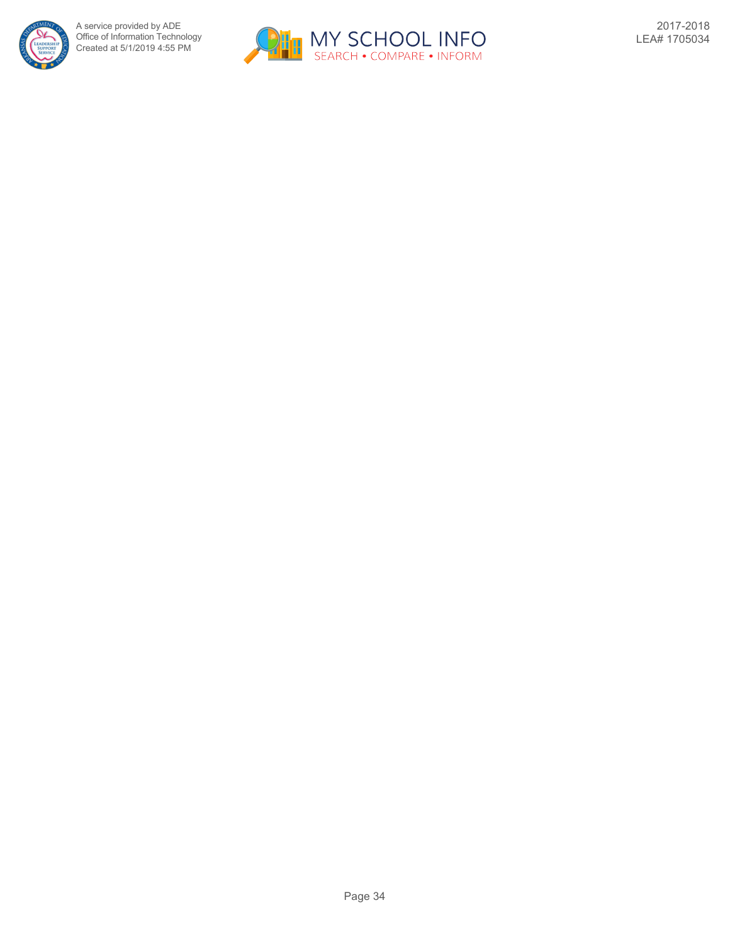

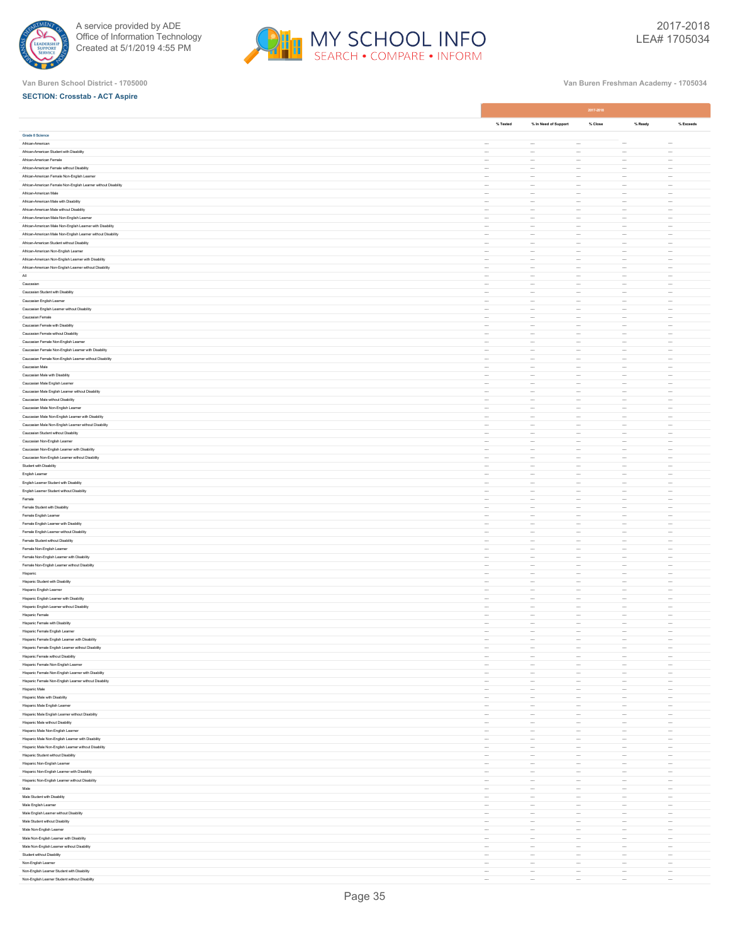



|                                                                                                                 |                      |                      | 2017-2018            |                       |                          |
|-----------------------------------------------------------------------------------------------------------------|----------------------|----------------------|----------------------|-----------------------|--------------------------|
|                                                                                                                 | % Tested             | % In Need of Support | % Close              | % Ready               | % Exceeds                |
| Grade 8 Science                                                                                                 |                      |                      |                      |                       |                          |
|                                                                                                                 |                      |                      |                      | $\cdots$              |                          |
| African-American<br>African-American Student with Disability                                                    | $\cdots$<br>$\ldots$ | $\cdots$<br>$\cdots$ | $\cdots$<br>$\cdots$ | $\cdots$              | $\cdots$                 |
| African-American Female                                                                                         | $\cdots$             | $\cdots$             | $\cdots$             | $\cdots$              | $\cdots$                 |
| African-American Female without Disability                                                                      |                      | $\sim$               | $\cdots$             | $\cdots$              | $\cdots$                 |
| African-American Female Non-English Learner                                                                     | $\cdots$             | $\cdots$             | $\cdots$             | $\cdots$              | $\cdots$                 |
| African-American Female Non-English Learner without Disability                                                  | $\cdots$             | $\cdots$             | $\cdots$             | $\cdots$              | $\cdots$                 |
| African-American Male                                                                                           |                      | $\sim$               |                      | $\ddot{\phantom{a}}$  |                          |
| African-American Male with Disability                                                                           | $\cdots$             | $\cdots$             | $\cdots$             | $\cdots$              | $\cdots$                 |
| African-American Male without Disability                                                                        | $\cdots$             | $\cdots$             | $\cdots$             | $\cdots$              | $\cdots$                 |
| African-American Male Non-English Learner                                                                       | à.                   | $\sim$               |                      | $\ddot{\phantom{a}}$  | $\ddotsc$                |
| African-American Male Non-English Learner with Disability                                                       | $\cdots$             | $\cdots$             | $\cdots$             | $\cdots$              | $\cdots$                 |
| African-American Male Non-English Learner without Disability                                                    | $\cdots$             | $\ddot{\phantom{0}}$ | $\cdots$             |                       |                          |
| African-American Student without Disability                                                                     | $\cdots$             | $\cdots$             | $\cdots$             | $\cdots$              | $\cdots$                 |
| African-American Non-English Learner                                                                            | $\cdots$<br>$\cdots$ | $\cdots$<br>$\cdots$ | $\cdots$             | $\cdots$<br>$\cdots$  | $\cdots$                 |
| African-American Non-English Learner with Disability<br>African-American Non-English Learner without Disability | $\cdots$             | $\cdots$             | $\cdots$<br>$\cdots$ | $\cdots$              | $\cdots$<br>$\cdots$     |
| All                                                                                                             |                      | $\ddot{\phantom{0}}$ | $\cdots$             | $\cdots$              | $\cdots$                 |
| Caucasian                                                                                                       | $\ldots$             | $\cdots$             | $\cdots$             | $\cdots$              | $\cdots$                 |
| Caucasian Student with Disability                                                                               | $\cdots$             | $\cdots$             | $\cdots$             | $\cdots$              | $\cdots$                 |
| Caucasian English Learner                                                                                       | $\cdots$             | $\sim$               | $\cdots$             | $\cdots$              | $\cdots$                 |
| Caucasian English Learner without Disability                                                                    | $\cdots$             | $\cdots$             | $\cdots$             | $\cdots$              | $\cdots$                 |
| Caucasian Female                                                                                                | $\cdots$             | $\cdots$             | $\cdots$             | $\cdots$              | $\cdots$                 |
| Caucasian Female with Disability                                                                                | à.                   | ä,                   | $\ddot{\phantom{a}}$ | $\ddotsc$             | $\ddotsc$                |
| Caucasian Female without Disability                                                                             | $\cdots$             | $\cdots$             | $\cdots$             | $\cdots$              | $\cdots$                 |
| Caucasian Female Non-English Learner                                                                            | $\cdots$             | $\sim$               | $\cdots$             |                       |                          |
| Caucasian Female Non-English Learner with Disability                                                            | $\cdots$             | $\sim$               | $\sim$               | $\ddotsc$             | $\overline{\phantom{a}}$ |
| Caucasian Female Non-English Learner without Disability                                                         | $\cdots$             | $\cdots$             | $\cdots$             | $\cdots$              | $\cdots$                 |
| Caucasian Male                                                                                                  | $\cdots$             | $\cdots$             | $\cdots$             | $\cdots$              | $\cdots$                 |
| Caucasian Male with Disability                                                                                  | $\cdots$             | $\cdots$             | $\cdots$             | $\cdots$              | $\cdots$                 |
| Caucasian Male English Learner<br>Caucasian Male English Learner without Disability                             | $\cdots$<br>$\cdots$ | $\cdots$<br>$\sim$   | $\cdots$<br>$\cdots$ | $\cdots$<br>          | $\cdots$<br>$\cdots$     |
| Caucasian Male without Disability                                                                               | $\cdots$             | $\cdots$             | $\cdots$             | $\cdots$              | $\cdots$                 |
| Caucasian Male Non-English Learner                                                                              | $\cdots$             | $\sim$               | $\ddot{\phantom{0}}$ | $\cdots$              | $\cdots$                 |
| Caucasian Male Non-English Learner with Disability                                                              | $\ldots$             | $\cdots$             | $\cdots$             | $\cdots$              | $\cdots$                 |
| Caucasian Male Non-English Learner without Disability                                                           | $\ldots$             | $\cdots$             | $\cdots$             | $\cdots$              | $\cdots$                 |
| Caucasian Student without Disability                                                                            |                      | $\cdots$             | $\cdots$             | $\cdots$              | $\cdots$                 |
| Caucasian Non-English Learner                                                                                   | $\cdots$             | $\cdots$             | $\cdots$             | $\cdots$              | $\cdots$                 |
| Caucasian Non-English Learner with Disability                                                                   | $\cdots$             | $\cdots$             | $\cdots$             | $\cdots$              | $\cdots$                 |
| Caucasian Non-English Learner without Disability                                                                |                      | $\sim$               | $\sim$               | $\ddot{\phantom{a}}$  | $\overline{\phantom{a}}$ |
| Student with Disability                                                                                         | $\cdots$             | $\cdots$             | $\cdots$             | $\cdots$              | $\cdots$                 |
| English Learner                                                                                                 | $\cdots$             | $\cdots$             | $\cdots$             | $\cdots$              | $\cdots$                 |
| English Learner Student with Disability                                                                         | à.                   | $\sim$               | $\ddot{\phantom{a}}$ | $\ddot{\phantom{a}}$  | $\ddotsc$                |
| English Learner Student without Disability                                                                      | $\cdots$             | $\cdots$             | $\cdots$             | $\cdots$              | $\cdots$                 |
| Female                                                                                                          | $\ldots$             | $\cdots$             | $\cdots$             | $\cdots$              | $\cdots$                 |
| Female Student with Disability                                                                                  | $\cdots$             | $\sim$               | $\cdots$             | $\cdots$              | $\cdots$                 |
| Female English Learner                                                                                          | $\cdots$             | $\cdots$             | $\cdots$             | $\cdots$              | $\cdots$                 |
| Female English Learner with Disability                                                                          | $\cdots$             | $\cdots$             | $\cdots$             | $\cdots$              | $\cdots$                 |
| Female English Learner without Disability<br>Female Student without Disability                                  | $\cdots$<br>$\cdots$ | $\sim$<br>$\sim$     | $\cdots$<br>$\cdots$ | $\cdots$<br>$\cdots$  | $\cdots$<br>$\cdots$     |
| Female Non-English Learner                                                                                      | $\ldots$             | $\cdots$             | $\cdots$             | $\cdots$              | $\cdots$                 |
| Female Non-English Learner with Disability                                                                      | $\cdots$             | $\cdots$             | $\cdots$             | $\cdots$              | $\cdots$                 |
| Female Non-English Learner without Disability                                                                   | $\cdots$             | $\sim$               | $\ddot{\phantom{0}}$ | $\cdots$              | $\cdots$                 |
| Hispanic                                                                                                        | $\cdots$             | $\cdots$             | $\cdots$             | $\cdots$              | $\cdots$                 |
| Hispanic Student with Disability                                                                                | $\cdots$             | $\cdots$             | $\cdots$             | $\cdots$              | $\cdots$                 |
| Hispanic English Learner                                                                                        | à.                   | $\ddot{\phantom{a}}$ | $\ddot{\phantom{a}}$ | $\ddotsc$             | $\cdots$                 |
| Hispanic English Learner with Disability                                                                        | $\cdots$             | $\cdots$             | $\cdots$             | $\cdots$              | $\cdots$                 |
| Hispanic English Learner without Disability                                                                     | $\cdots$             | $\sim$               | $\cdots$             | $\ddot{\phantom{0}}$  |                          |
| Hispanic Female                                                                                                 | $\cdots$             | $\sim$               | $\ddotsc$            | $\ddotsc$             | $\cdots$                 |
| Hispanic Female with Disability                                                                                 | $\cdots$             | $\cdots$             | $\cdots$             | $\cdots$              | $\cdots$                 |
| Hispanic Female English Learner                                                                                 | $\cdots$             | $\cdots$             | $\cdots$             | $\cdots$              | $\cdots$                 |
| Hispanic Female English Learner with Disability<br>Hispanic Female English Learner without Disability           | $\cdots$<br>$\cdots$ | $\sim$<br>$\cdots$   | $\cdots$<br>$\cdots$ | $\cdots$<br>$\cdots$  | $\cdots$<br>$\cdots$     |
| Hispanic Female without Disability                                                                              | $\ldots$             | $\sim$               | $\cdots$             | $\cdots$              | $\cdots$                 |
| Hispanic Female Non-English Learner                                                                             | $\cdots$             | $\sim$               | $\sim$               | $\cdots$              | $\cdots$                 |
| Hispanic Female Non-English Learner with Disability                                                             | $\cdots$             | $\cdots$             | $\cdots$             | $\cdots$              | $\cdots$                 |
| Hispanic Female Non-English Learner without Disability                                                          | $\ldots$             | $\cdots$             | $\cdots$             | $\cdots$              | $\cdots$                 |
| Hispanic Male                                                                                                   | $\cdots$             | $\ldots$             | $\cdots$             | $\ldots$              | $\ldots$                 |
| Hispanic Male with Disability                                                                                   |                      | $\cdots$             | $\cdots$             | $\cdots$              | $\cdots$                 |
| Hispanic Male English Learner                                                                                   | $\cdots$             | $\sim$               | $\cdots$             | $\cdots$              | $\cdots$                 |
| Hispanic Male English Learner without Disability                                                                | $\cdots$             | $\ldots$             | $\cdots$             | $\ldots$              | $\ldots$                 |
| Hispanic Male without Disability                                                                                | $\cdots$             | $\sim$               | $\sim$               | $\ddotsc$             | $\cdots$                 |
| Hispanic Male Non-English Learner                                                                               | $\cdots$             | $\cdots$             | $\cdots$             | $\cdots$              | $\cdots$                 |
| Hispanic Male Non-English Learner with Disability                                                               | $\cdots$<br>$\cdots$ | $\cdots$<br>$\sim$   | $\ldots$<br>$\sim$   | $\cdots$<br>$\ddotsc$ | $\cdots$<br>$\cdots$     |
| Hispanic Male Non-English Learner without Disability<br>Hispanic Student without Disability                     | $\cdots$             | $\cdots$             | $\cdots$             | $\cdots$              | $\cdots$                 |
| Hispanic Non-English Learner                                                                                    | $\cdots$             | $\cdots$             | $\cdots$             | $\cdots$              | $\cdots$                 |
| Hispanic Non-English Learner with Disability                                                                    | $\cdots$             | $\cdots$             | $\cdots$             | $\cdots$              | $\cdots$                 |
| Hispanic Non-English Learner without Disability                                                                 | $\cdots$             | $\cdots$             | $\cdots$             | $\cdots$              | $\cdots$                 |
| Male                                                                                                            | $\ldots$             | $\cdots$             | $\cdots$             | $\cdots$              | $\cdots$                 |
| Male Student with Disability                                                                                    | $\cdots$             | $\sim$               | $\cdots$             | $\cdots$              | $\cdots$                 |
| Male English Learner                                                                                            | $\cdots$             | $\cdots$             | $\cdots$             | $\cdots$              | $\cdots$                 |
| Male English Learner without Disability                                                                         | $\ldots$             | $\ldots$             | $\cdots$             | $\cdots$              | $\ldots$                 |
| Male Student without Disability                                                                                 | $\cdots$             | $\ldots$             | $\cdots$             |                       | $\cdots$                 |
| Male Non-English Learner                                                                                        | $\ldots$             | $\ddotsc$            | $\ldots$             |                       |                          |
| Male Non-English Learner with Disability                                                                        | $\cdots$             | $\sim$               | $\cdots$             | $\cdots$              | $\cdots$                 |
| Male Non-English Learner without Disability                                                                     | $\cdots$             | $\ldots$             | $\cdots$             | $\cdots$              | $\ldots$                 |
| Student without Disability                                                                                      | à.<br>$\cdots$       | $\sim$<br>$\sim$     |                      | $\ddotsc$             | $\cdots$                 |
| Non-English Learner<br>Non-English Learner Student with Disability                                              |                      | $\ddotsc$            | $\cdots$<br>$\cdots$ | $\cdots$<br>$\cdots$  | $\cdots$<br>             |
| Non-English Learner Student without Disability                                                                  | $\ldots$             | $\sim$               | $\cdots$             |                       | $\cdots$                 |
|                                                                                                                 |                      |                      |                      |                       |                          |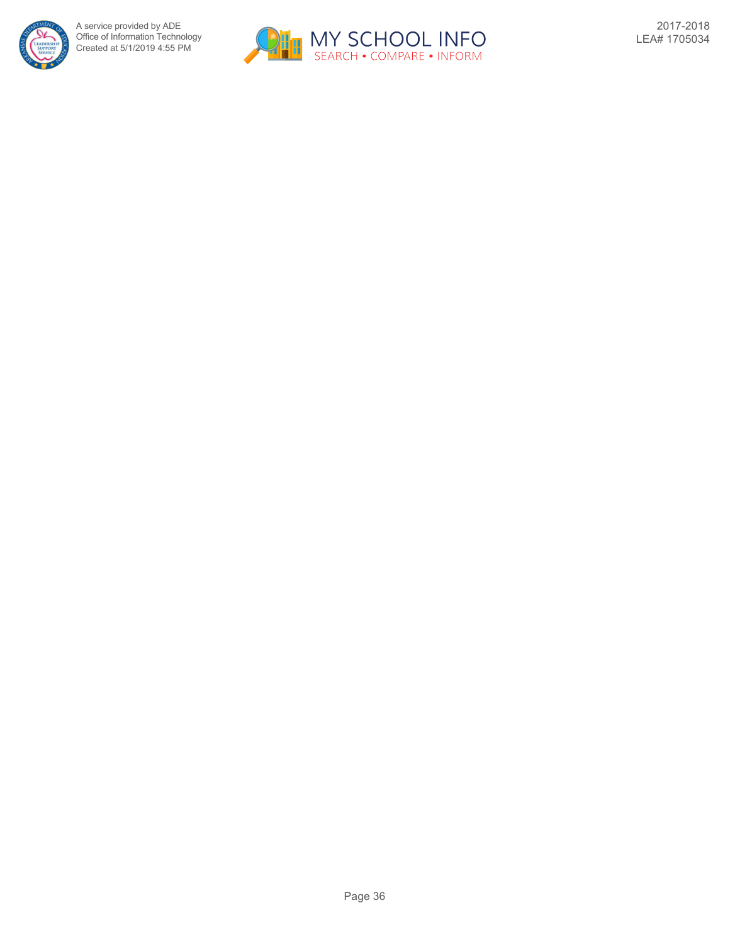

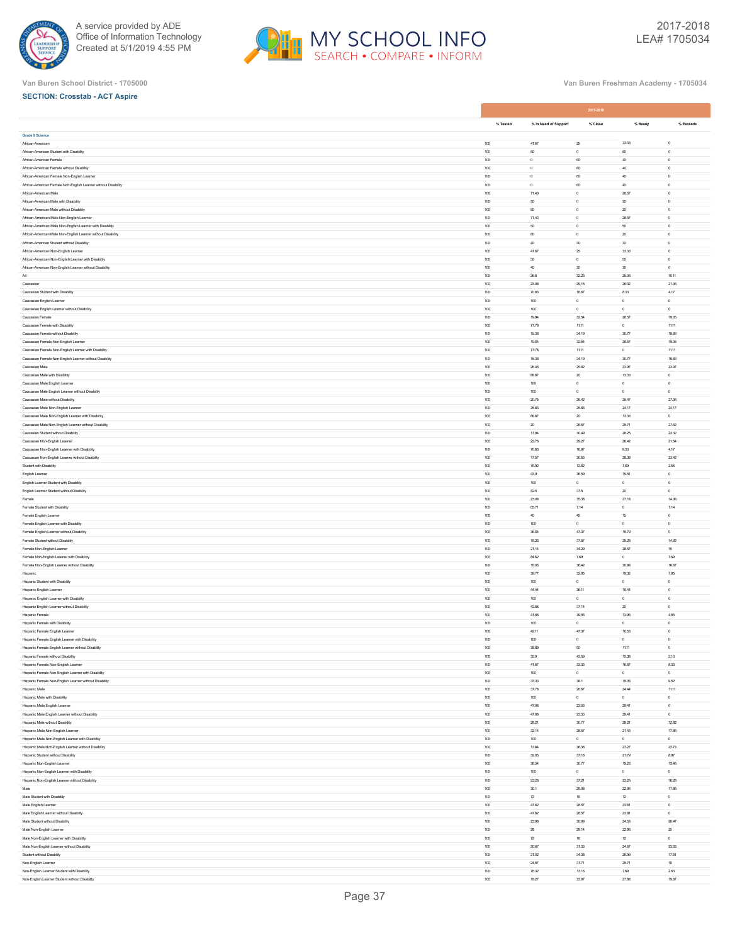



|                                                                                                        |                | 2017-2018            |                   |                      |                            |
|--------------------------------------------------------------------------------------------------------|----------------|----------------------|-------------------|----------------------|----------------------------|
|                                                                                                        | $\%$ Tested    | % In Need of Support | $\%$ Close        | % Ready              | % Exceeds                  |
| Grade 9 Science                                                                                        |                |                      |                   |                      |                            |
| African-American                                                                                       | 100            | 41.67                | $\rm{2S}$         | 33.33                | $\mathbb O$                |
| African-American Student with Disability                                                               | 100            | $_{50}$              | $\circ$           | $_{50}$              | $^{\circ}$                 |
| African-American Female<br>African-American Female without Disability                                  | $100\,$        | $\,$ 0<br>$\circ$    | $_{60}$           | $40\,$<br>40         | $\,$ 0                     |
| African-American Female Non-English Learner                                                            | 100<br>100     | $\,$ 0 $\,$          | $60\,$<br>$60\,$  | $40\,$               | $\,$ 0 $\,$<br>$\,$ 0 $\,$ |
| African-American Female Non-English Learner without Disability                                         | $100\,$        | $\,$ 0               | $_{60}$           | $40\,$               | $\,$ 0 $\,$                |
| African-American Male                                                                                  | 100            | 71.43                | $\circ$           | 28.57                | $\mathbb O$                |
| African-American Male with Disability                                                                  | 100            | $_{50}$              | $\,$ 0 $\,$       | $_{50}$              | $\,$ 0 $\,$                |
| African-American Male without Disability                                                               | 100            | 80                   | $\,$ 0            | $\rm{20}$            | $\mathbb O$                |
| African-American Male Non-English Learner<br>African-American Male Non-English Learner with Disability | 100<br>$100\,$ | 71.43<br>$_{50}$     | $\circ$<br>$\,$ 0 | 28.57<br>$_{\rm 50}$ | $\mathbb O$<br>$\,$ 0 $\,$ |
| African-American Male Non-English Learner without Disability                                           | 100            | $_{80}$              | $\,$ 0 $\,$       | $\rm{20}$            | $\,$ 0 $\,$                |
| African-American Student without Disability                                                            | 100            | $40$                 | $30\,$            | $30\,$               | $\,$ 0 $\,$                |
| African-American Non-English Learner                                                                   | $100\,$        | 41.67                | $\rm{2S}$         | 33.33                | $\,$ 0 $\,$                |
| African-American Non-English Learner with Disability                                                   | 100            | 60                   | $\circ$           | 50                   | $^{\circ}$                 |
| African-American Non-English Learner without Disability<br>All                                         | 100<br>100     | $40\,$<br>26.6       | $30\,$<br>32.23   | $30\,$<br>25.06      | $\,$ 0 $\,$<br>16.11       |
| Caucasian                                                                                              | 100            | 23.08                | 29.15             | 26.32                | 21.46                      |
| Caucasian Student with Disability                                                                      | $100\,$        | 70.83                | 16.67             | 8.33                 | 4.17                       |
| Caucasian English Learner                                                                              | 100            | 100                  | $\,$ 0 $\,$       | $\mathbb O$          | $\mathbb O$                |
| Caucasian English Learner without Disability                                                           | 100            | 100                  | $\,$ 0 $\,$       | $\,$ 0 $\,$          | $\,$ 0 $\,$                |
| Caucasian Female                                                                                       | $100\,$        | 19.84                | 32.54             | 28.57                | 19.05                      |
| Caucasian Female with Disability<br>Caucasian Female without Disability                                | 100<br>100     | 77.78<br>15.38       | 11.11<br>34.19    | $^{\circ}$<br>30.77  | 11.11<br>19.66             |
| Caucasian Female Non-English Learner                                                                   | 100            | 19.84                | 32.54             | 28.57                | 19.05                      |
| Caucasian Female Non-English Learner with Disability                                                   | 100            | 77.78                | 11.11             | $\circ$              | 11.11                      |
| Caucasian Female Non-English Learner without Disability                                                | $100\,$        | 15.38                | 34.19             | 30.77                | 19.66                      |
| Caucasian Male                                                                                         | 100            | 26.45                | 25.62             | 23.97                | 23.97                      |
| Caucasian Male with Disability                                                                         | 100            | 66.67                | $\rm{20}$         | 13.33                | $\mathbb O$                |
| Caucasian Male English Learner                                                                         | $100\,$        | $100\,$              | $\,$ 0            | $\mathbb O$          | $\mathbb O$                |
| Caucasian Male English Learner without Disability<br>Caucasian Male without Disability                 | 100<br>100     | 100<br>20.75         | $\circ$<br>26.42  | $^{\circ}$<br>25.47  | $^{\circ}$<br>27.36        |
| Caucasian Male Non-English Learner                                                                     | 100            | 25.83                | 25.83             | 24.17                | 24.17                      |
| Caucasian Male Non-English Learner with Disability                                                     | 100            | 66.67                | $\mathbf{20}$     | 13.33                | $\circ$                    |
| Caucasian Male Non-English Learner without Disability                                                  | $100\,$        | $\rm{20}$            | 26.67             | 25.71                | 27.62                      |
| Caucasian Student without Disability                                                                   | 100            | 17.94                | 30.49             | 28.25                | 23.32                      |
| Caucasian Non-English Learner                                                                          | 100            | 22.76                | 29.27             | 26.42                | 21.54                      |
| Caucasian Non-English Learner with Disability                                                          | $100\,$<br>100 | 70.83<br>17.57       | 16.67<br>30.63    | 8.33<br>28.38        | 4.17<br>23.42              |
| Caucasian Non-English Learner without Disability<br>Student with Disability                            | 100            | 76.92                | 12.82             | 7.69                 | 2.56                       |
| English Learner                                                                                        | 100            | 43.9                 | 36.59             | 19.51                | $\mathbb O$                |
| English Learner Student with Disability                                                                | 100            | 100                  | $\circ$           | $\circ$              | $\circ$                    |
| English Learner Student without Disability                                                             | $100\,$        | $42.5\,$             | 37.5              | $\rm{20}$            | $\mathbb O$                |
| Female                                                                                                 | 100            | 23.08                | 35.38             | 27.18                | 14.36                      |
| Female Student with Disability                                                                         | 100            | 85.71                | 7.14              | $\mathbb O$          | 7.14                       |
| Female English Learner<br>Female English Learner with Disability                                       | $100\,$<br>100 | $40\,$<br>100        | 45<br>$\circ$     | $15\,$<br>$^{\circ}$ | $\mathbb O$<br>$^{\circ}$  |
| Female English Learner without Disability                                                              | 100            | 36.84                | 47.37             | 15.79                | $\,$ 0 $\,$                |
| Female Student without Disability                                                                      | 100            | 18.23                | 37.57             | 29.28                | 14.92                      |
| Female Non-English Learner                                                                             | 100            | 21.14                | 34.29             | 28.57                | 16                         |
| Female Non-English Learner with Disability                                                             | $100\,$        | 84.62                | 7.69              | $\,$ 0 $\,$          | 7.69                       |
| Female Non-English Learner without Disability                                                          | 100            | 16.05                | 36.42             | 30.86                | 16.67                      |
| Hispanic<br>Hispanic Student with Disability                                                           | 100<br>$100\,$ | 39.77<br>100         | 32.95<br>$\,$ 0   | 19.32<br>$\mathbb O$ | 7.95<br>$\,$ 0             |
| Hispanic English Learner                                                                               | 100            | 44.44                | 36.11             | 19.44                | $\circ$                    |
| Hispanic English Learner with Disability                                                               | 100            | 100                  | $\circ$           | $\mathbb O$          | $\,$ 0 $\,$                |
| Hispanic English Learner without Disability                                                            | 100            | 42.86                | 37.14             | $\rm{20}$            | $\mathbb O$                |
| Hispanic Female                                                                                        | 100            | 41.86                | 39.53             | 13.95                | 4.65                       |
| Hispanic Female with Disability                                                                        | $100\,$        | 100                  | $\,$ 0 $\,$       | $\mathbb O$          | $\mathbb O$                |
| Hispanic Female English Learner<br>Hispanic Female English Learner with Disability                     | 100<br>100     | 42.11<br>100         | 47.37<br>$\,$ 0   | 10.53<br>$\mathbb O$ | $\mathbb O$<br>$\circ$     |
| Hispanic Female English Learner without Disability                                                     | $100\,$        | 38.89                | $_{50}$           | 11.11                | $\circ$                    |
| Hispanic Female without Disability                                                                     | 100            | 35.9                 | 43.59             | 15.38                | 5.13                       |
| Hispanic Female Non-English Learner                                                                    | 100            | 41.67                | 33.33             | 16.67                | 8.33                       |
| Hispanic Female Non-English Learner with Disability                                                    | 100            | 100                  | $\,$ 0 $\,$       | $\mathbb O$          | $\mathbb O$                |
| Hispanic Female Non-English Learner without Disability                                                 | 100<br>$100\,$ | 33.33<br>37.78       | 38.1<br>26.67     | 19.05<br>24.44       | 9.52<br>11.11              |
| Hispanic Male<br>Hispanic Male with Disability                                                         | 100            | 100                  | $\,$ 0 $\,$       | $\mathbb O$          | $\,$ 0 $\,$                |
| Hispanic Male English Learner                                                                          | 100            | 47.06                | 23.53             | 29.41                | $\,$ 0 $\,$                |
| Hispanic Male English Learner without Disability                                                       | $100\,$        | 47.06                | 23.53             | 29.41                | $\mathbb O$                |
| Hispanic Male without Disability                                                                       | 100            | 28.21                | 30.77             | 28.21                | 12.82                      |
| Hispanic Male Non-English Learner                                                                      | 100            | 32.14                | 28.57             | 21.43                | 17.86                      |
| Hispanic Male Non-English Learner with Disability                                                      | 100<br>100     | 100<br>13.64         | $\circ$<br>36.36  | $\mathbb O$<br>27.27 | $\mathbb O$<br>22.73       |
| Hispanic Male Non-English Learner without Disability<br>Hispanic Student without Disability            | 100            | 32.05                | 37.18             | 21.79                | 8.97                       |
| Hispanic Non-English Learner                                                                           | 100            | 36.54                | 30.77             | 19.23                | 13.46                      |
| Hispanic Non-English Learner with Disability                                                           | 100            | 100                  | $\circ$           | $\circ$              | $\mathbb O$                |
| Hispanic Non-English Learner without Disability                                                        | 100            | 23.26                | 37.21             | 23.26                | 16.28                      |
| Male                                                                                                   | 100            | 30.1                 | 29.08             | 22.96                | 17.86                      |
| Male Student with Disability                                                                           | 100            | $72\,$               | 16                | $\mathbf{12}$        | $\circ$                    |
| Male English Learner<br>Male English Learner without Disability                                        | 100<br>100     | 47.62<br>47.62       | 28.57<br>28.57    | 23.81<br>23.81       | $\,$ 0 $\,$<br>$\circ$     |
| Male Student without Disability                                                                        | $100\,$        | 23.98                | 30.99             | 24.56                | 20.47                      |
| Male Non-English Learner                                                                               | 100            | 28                   | 29.14             | 22.86                | $\rm{20}$                  |
| Male Non-English Learner with Disability                                                               | 100            | $72\,$               | $16\,$            | $\mathbf{12}$        | $\mathbb O$                |
| Male Non-English Learner without Disability                                                            | 100            | 20.67                | 31.33             | 24.67                | 23.33                      |
| Student without Disability                                                                             | 100            | 21.02                | 34.38             | 26.99                | 17.61                      |
| Non-English Learner<br>Non-English Learner Student with Disability                                     | 100<br>100     | 24.57<br>76.32       | 31.71<br>13.16    | 25.71<br>7.89        | $18\,$<br>2.63             |
| Non-English Learner Student without Disability                                                         | 100            | 18.27                | 33.97             | 27.88                | 19.87                      |
|                                                                                                        |                |                      |                   |                      |                            |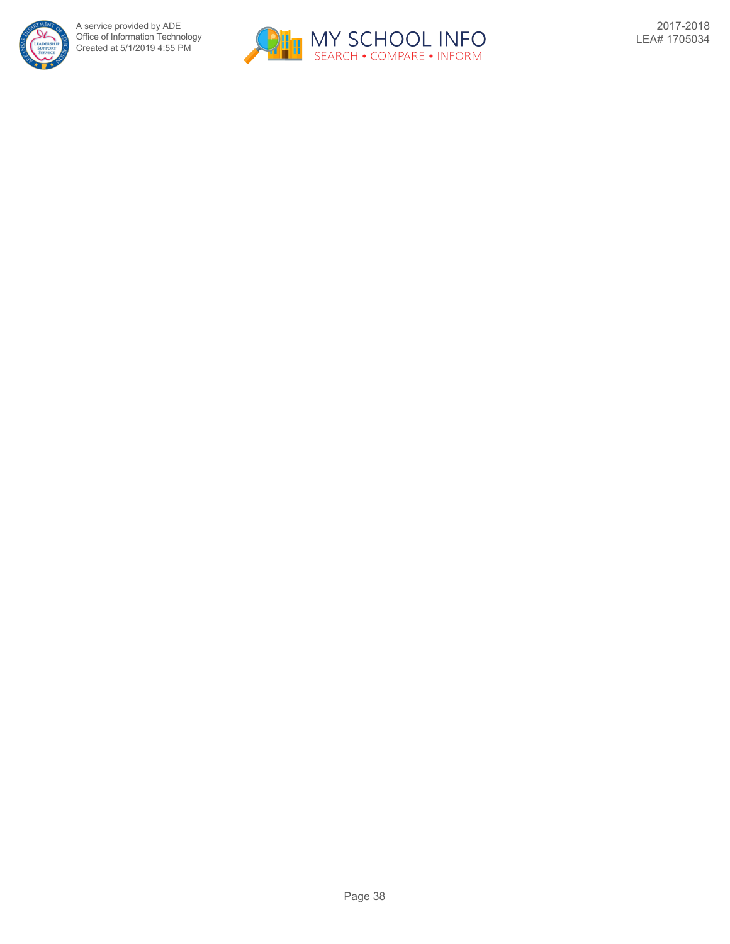

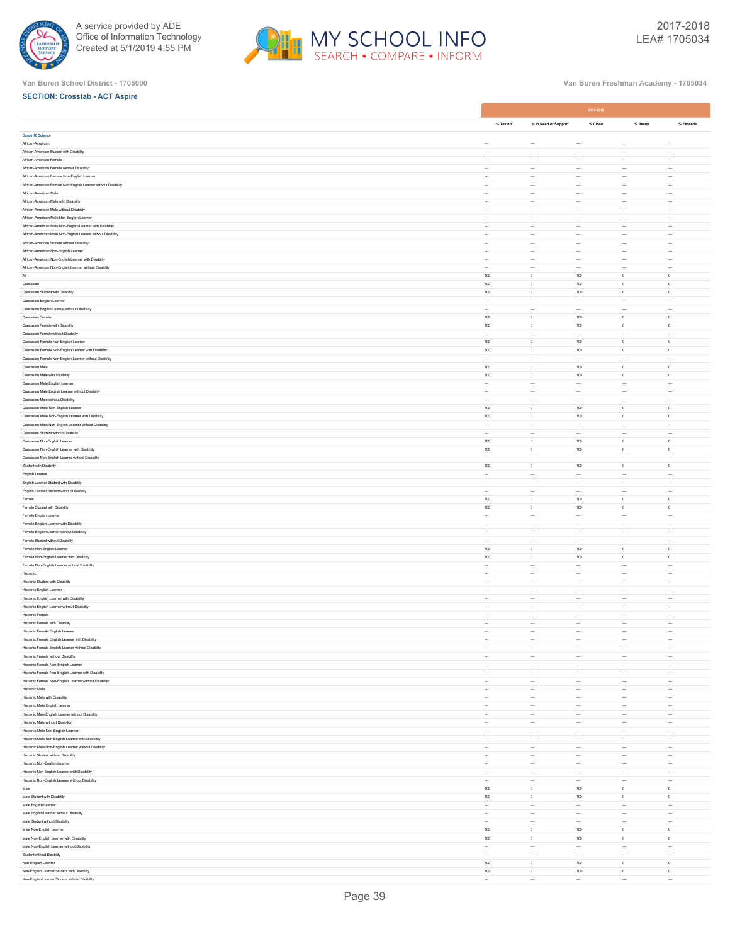



|                                                                                                           |                       | 2017-2018                           |                                  |                          |                                      |
|-----------------------------------------------------------------------------------------------------------|-----------------------|-------------------------------------|----------------------------------|--------------------------|--------------------------------------|
|                                                                                                           | $\%$ Tested           | % In Need of Support                | % Close                          | % Ready                  | % Exceeds                            |
| Grade 10 Science                                                                                          |                       |                                     |                                  |                          |                                      |
| African-American                                                                                          | $\cdots$              | $\cdots$                            | $\cdots$                         | $\cdots$                 | $\cdots$                             |
| African-American Student with Disability                                                                  | $\cdots$              | $\cdots$                            | $\cdots$                         | $\cdots$                 | $\cdots$                             |
| African-American Female                                                                                   |                       | $\sim$                              | $\cdots$                         | $\cdots$                 | $\cdots$                             |
| African-American Female without Disability                                                                | $\ldots$              | $\cdots$                            | $\ldots$                         | $\cdots$                 | $\cdots$                             |
| African-American Female Non-English Learner                                                               | $\cdots$              | $\cdots$                            | $\cdots$                         | $\cdots$                 | $\cdots$                             |
| African-American Female Non-English Learner without Disability                                            | $\cdots$              | $\cdots$                            | $\cdots$                         | $\cdots$                 | $\cdots$                             |
| African-American Male                                                                                     | $\cdots$              | $\cdots$                            | $\cdots$                         | $\cdots$                 | $\cdots$                             |
| African-American Male with Disability                                                                     | $\cdots$<br>ä,        | $\cdots$<br>ä,                      | $\cdots$<br>$\ddot{\phantom{a}}$ | $\cdots$<br>$\ddotsc$    | $\cdots$<br>$\ddotsc$                |
| African-American Male without Disability<br>African-American Male Non-English Learner                     | $\cdots$              | $\sim$                              | $\cdots$                         | $\cdots$                 | $\cdots$                             |
| African-American Male Non-English Learner with Disability                                                 | $\cdots$              | $\ddotsc$                           | $\ldots$                         |                          | $\cdots$                             |
| African-American Male Non-English Learner without Disability                                              | $\ddotsc$             | $\sim$                              | $\sim$                           | $\ddotsc$                | $\cdots$                             |
| African-American Student without Disability                                                               | $\cdots$              | $\cdots$                            | $\cdots$                         | $\cdots$                 | $\cdots$                             |
| African-American Non-English Learner                                                                      | $\cdots$              | $\sim$                              | $\cdots$                         |                          | $\cdots$                             |
| African-American Non-English Learner with Disability                                                      | $\cdots$              | $\cdots$                            | $\cdots$                         | $\cdots$                 | $\cdots$                             |
| African-American Non-English Learner without Disability                                                   | $\cdots$              | $\cdots$                            | $\cdots$                         | $\cdots$                 | $\cdots$                             |
| All                                                                                                       | 100                   | $\,$ 0                              | 100                              | $\,$ 0 $\,$              | $\mathbb O$                          |
| Caucasian                                                                                                 | 100                   | $\circ$                             | 100                              | $^{\circ}$               | $\circ$                              |
| Caucasian Student with Disability                                                                         | $100\,$<br>$\ldots$   | $\,$ 0<br>$\cdots$                  | $100\,$                          | $\,$ 0 $\,$<br>$\cdots$  | $\,$ 0 $\,$                          |
| Caucasian English Learner<br>Caucasian English Learner without Disability                                 | $\cdots$              | $\cdots$                            | $\cdots$<br>$\cdots$             | $\cdots$                 | $\cdots$<br>$\cdots$                 |
| Caucasian Female                                                                                          | $100\,$               | $\,$ 0                              | $100\,$                          | $\,$ 0 $\,$              | $\,$ 0 $\,$                          |
| Caucasian Female with Disability                                                                          | 100                   | $\circ$                             | 100                              | $^{\circ}$               | $\circ$                              |
| Caucasian Female without Disability                                                                       | $\cdots$              | $\cdots$                            | $\cdots$                         | $\cdots$                 | $\cdots$                             |
| Caucasian Female Non-English Learner                                                                      | 100                   | $\circ$                             | 100                              | $\,0\,$                  | $\,$ 0 $\,$                          |
| Caucasian Female Non-English Learner with Disability                                                      | 100                   | $\circ$                             | 100                              | $\circ$                  | $\circ$                              |
| Caucasian Female Non-English Learner without Disability                                                   | $\cdots$              | $\cdots$                            | $\cdots$                         |                          | $\cdots$                             |
| Caucasian Male                                                                                            | 100                   | $\circ$                             | 100                              | $\,$ 0                   | $\mathbb O$                          |
| Caucasian Male with Disability                                                                            | 100                   | $\,$ 0 $\,$                         | 100                              | $\,$ 0 $\,$              | $\mathbb O$                          |
| Caucasian Male English Learner                                                                            | $\cdots$<br>$\cdots$  | $\ddot{\phantom{0}}$<br>$\cdots$    | $\ddotsc$<br>$\cdots$            | <br>$\cdots$             | <br>$\cdots$                         |
| Caucasian Male English Learner without Disability<br>Caucasian Male without Disability                    | $\cdots$              | $\cdots$                            | $\cdots$                         | $\cdots$                 | $\cdots$                             |
| Caucasian Male Non-English Learner                                                                        | 100                   | $\,$ 0                              | 100                              | $\,$ 0 $\,$              | $\mathbb O$                          |
| Caucasian Male Non-English Learner with Disability                                                        | 100                   | $\circ$                             | 100                              | $\circ$                  | $\circ$                              |
| Caucasian Male Non-English Learner without Disability                                                     |                       | $\sim$                              | $\cdots$                         | $\cdots$                 | $\ddot{\phantom{0}}$                 |
| Caucasian Student without Disability                                                                      | $\cdots$              | $\cdots$                            | $\cdots$                         | $\cdots$                 | $\cdots$                             |
| Caucasian Non-English Learner                                                                             | 100                   | $\,$ 0 $\,$                         | 100                              | $\,$ 0 $\,$              | $\mathbb O$                          |
| Caucasian Non-English Learner with Disability                                                             | $100\,$               | $\,$ 0                              | $100\,$                          | $\,$ 0 $\,$              | $\,$ 0 $\,$                          |
| Caucasian Non-English Learner without Disability                                                          | $\cdots$              | $\cdots$                            | $\cdots$                         | $\cdots$                 | $\cdots$                             |
| Student with Disability                                                                                   | 100<br>               | $\,$ 0 $\,$<br>$\ddot{\phantom{a}}$ | 100<br>$\ddot{\phantom{a}}$      | $\,$ 0 $\,$<br>$\ddotsc$ | $\mathbb O$<br>$\cdots$              |
| English Learner<br>English Learner Student with Disability                                                | $\cdots$              | $\cdots$                            | $\cdots$                         | $\cdots$                 | $\cdots$                             |
| English Learner Student without Disability                                                                | $\cdots$              | $\sim$                              | $\cdots$                         | $\ddot{\phantom{0}}$     |                                      |
| Female                                                                                                    | 100                   | $\circ$                             | 100                              | $\,$ 0 $\,$              | $\mathbb O$                          |
| Female Student with Disability                                                                            | 100                   | $\,$ 0 $\,$                         | 100                              | $\,$ 0 $\,$              | $\mathbb O$                          |
| Female English Learner                                                                                    | $\ldots$              | $\cdots$                            | $\cdots$                         | $\cdots$                 | $\cdots$                             |
| Female English Learner with Disability                                                                    | $\cdots$              | $\cdots$                            | $\sim$                           | $\cdots$                 | $\cdots$                             |
| Female English Learner without Disability                                                                 | $\cdots$              | $\cdots$                            | $\cdots$                         | $\cdots$                 | $\cdots$                             |
| Female Student without Disability                                                                         | $\sim$                | $\sim$                              | $\cdots$                         | $\ddotsc$                | $\cdots$                             |
| Female Non-English Learner                                                                                | 100                   | $\circ$                             | 100                              | $\circ$                  | $\circ$                              |
| Female Non-English Learner with Disability                                                                | $100\,$<br>$\ldots$   | $\,$ 0<br>$\cdots$                  | $100\,$<br>$\cdots$              | $\,$ 0 $\,$<br>$\cdots$  | $\,$ 0 $\,$                          |
| Female Non-English Learner without Disability<br>Hispanic                                                 | $\cdots$              | $\cdots$                            | $\cdots$                         | $\cdots$                 | $\cdots$<br>$\cdots$                 |
| Hispanic Student with Disability                                                                          |                       | $\sim$                              | $\cdots$                         | $\ddot{\phantom{0}}$     | $\cdots$                             |
| Hispanic English Learner                                                                                  | $\cdots$              | $\cdots$                            | $\cdots$                         | $\cdots$                 | $\cdots$                             |
| Hispanic English Learner with Disability                                                                  | $\cdots$              | $\cdots$                            | $\cdots$                         | $\cdots$                 | $\cdots$                             |
| Hispanic English Learner without Disability                                                               |                       | $\sim$                              | $\sim$                           | $\ddot{\phantom{a}}$     | $\cdots$                             |
| Hispanic Female                                                                                           | $\cdots$              | $\sim$                              | $\cdots$                         | $\cdots$                 | $\cdots$                             |
| Hispanic Female with Disability                                                                           |                       | $\sim$                              | $\ddotsc$                        | $\ddot{\phantom{0}}$     | $\cdots$                             |
| Hispanic Female English Learner                                                                           | $\cdots$              | $\sim$                              | $\ddotsc$                        | $\ddotsc$                | $\cdots$                             |
| Hispanic Female English Learner with Disability                                                           |                       | $\cdots$                            | $\ddot{\phantom{0}}$             | $\cdots$                 | $\cdots$                             |
| Hispanic Female English Learner without Disability<br>Hispanic Female without Disability                  | $\cdots$<br>$\cdots$  | $\cdots$<br>$\sim$                  | $\cdots$<br>$\cdots$             | $\cdots$<br>$\cdots$     | $\cdots$<br>$\overline{\phantom{a}}$ |
| Hispanic Female Non-English Learner                                                                       | $\cdots$              | $\cdots$                            | $\cdots$                         | $\cdots$                 | $\cdots$                             |
| Hispanic Female Non-English Learner with Disability                                                       | $\ldots$              | $\cdots$                            | $\cdots$                         | $\cdots$                 | $\ldots$                             |
| Hispanic Female Non-English Learner without Disability                                                    | $\cdots$              | $\sim$                              | $\sim$                           | $\cdots$                 | $\cdots$                             |
| Hispanic Male                                                                                             | $\cdots$              | $\cdots$                            | $\cdots$                         | $\cdots$                 | $\cdots$                             |
| Hispanic Male with Disability                                                                             | $\ldots$              | $\cdots$                            | $\ldots$                         | $\cdots$                 | $\ldots$                             |
| Hispanic Male English Learner                                                                             | $\cdots$              | $\cdots$                            | $\ldots$                         | $\cdots$                 | $\ldots$                             |
| Hispanic Male English Learner without Disability                                                          | $\ldots$              | $\ddotsc$                           | $\ldots$                         |                          | $\cdots$                             |
| Hispanic Male without Disability                                                                          | $\cdots$              | $\sim$                              | $\cdots$                         | $\cdots$                 | $\cdots$                             |
| Hispanic Male Non-English Learner                                                                         | $\cdots$<br>$\ddotsc$ | $\cdots$<br>$\sim$                  | $\ldots$<br>                     | $\ldots$<br>$\ddotsc$    | $\ldots$<br>$\cdots$                 |
| Hispanic Male Non-English Learner with Disability<br>Hispanic Male Non-English Learner without Disability | $\cdots$              | $\sim$                              | $\cdots$                         | $\cdots$                 | $\cdots$                             |
| Hispanic Student without Disability                                                                       | $\cdots$              | $\ddotsc$                           | $\cdots$                         |                          |                                      |
| Hispanic Non-English Learner                                                                              | $\cdots$              | $\sim$                              | $\sim$                           | $\ddotsc$                | $\overline{\phantom{a}}$             |
| Hispanic Non-English Learner with Disability                                                              | $\cdots$              | $\cdots$                            | $\cdots$                         | $\cdots$                 | $\cdots$                             |
| Hispanic Non-English Learner without Disability                                                           | $\cdots$              | $\cdots$                            | $\cdots$                         | $\cdots$                 | $\cdots$                             |
| Male                                                                                                      | 100                   | $\circ$                             | 100                              | $^{\circ}$               | $\circ$                              |
| Male Student with Disability                                                                              | 100                   | $\,$ 0 $\,$                         | 100                              | $\,$ 0 $\,$              | $\mathbb O$                          |
| Male English Learner                                                                                      | $\cdots$              | $\cdots$                            | $\cdots$                         | $\cdots$                 | $\cdots$                             |
| Male English Learner without Disability                                                                   | $\cdots$              | $\sim$                              | $\cdots$                         | $\cdots$                 | $\cdots$                             |
| Male Student without Disability<br>Male Non-English Learner                                               | $\cdots$<br>100       | $\sim$<br>$\,$ 0                    | $\ddot{\phantom{a}}$<br>100      | $\cdots$<br>$\,$ 0 $\,$  | $\cdots$<br>$\mathbb O$              |
| Male Non-English Learner with Disability                                                                  | 100                   | $\,$ 0 $\,$                         | 100                              | $\,$ 0 $\,$              | $\mathbb O$                          |
| Male Non-English Learner without Disability                                                               |                       | $\sim$                              | $\ddot{\phantom{a}}$             | $\ddot{\phantom{0}}$     | $\cdots$                             |
| Student without Disability                                                                                | $\cdots$              | $\sim$                              | $\cdots$                         | $\cdots$                 | $\cdots$                             |
| Non-English Learner                                                                                       | 100                   | $\,$ 0 $\,$                         | 100                              | $\,$ 0 $\,$              | $\mathbb O$                          |
| Non-English Learner Student with Disability                                                               | 100                   | $\,$ 0                              | 100                              | $\,0\,$                  | $\,$ 0 $\,$                          |
| Non-English Learner Student without Disability                                                            | $\cdots$              | $\cdots$                            | $\cdots$                         | $\cdots$                 | $\cdots$                             |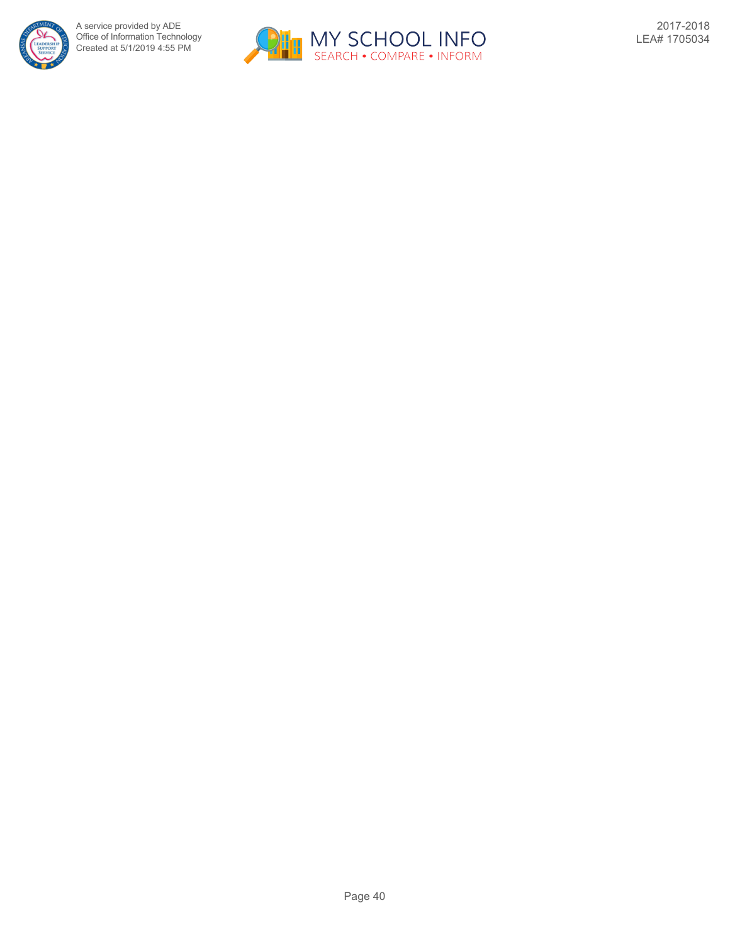

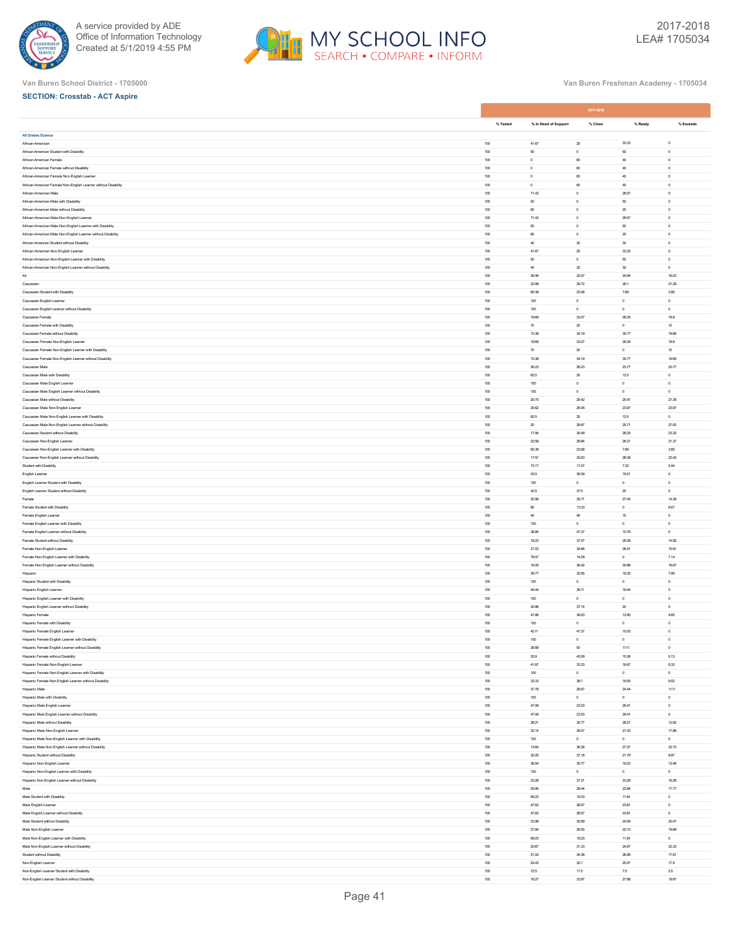



|                                                                                                        | 2017-2018  |                        |                            |                      |                            |
|--------------------------------------------------------------------------------------------------------|------------|------------------------|----------------------------|----------------------|----------------------------|
|                                                                                                        | % Tested   | % In Need of Support   | % Close                    | % Ready              | % Exceeds                  |
| <b>All Grades Science</b>                                                                              |            |                        |                            |                      |                            |
| African-American                                                                                       | $100\,$    | 41.67                  | $\rm{2S}$                  | 33.33                | $\,$ 0 $\,$                |
| African-American Student with Disability                                                               | 100        | 50                     | $\circ$                    | $_{\rm 50}$          | $\mathbb O$                |
| African-American Female<br>African-American Female without Disability                                  | 100        | $\,$ 0 $\,$            | $60$                       | $40\,$               | $\,$ 0 $\,$                |
| African-American Female Non-English Learner                                                            | 100<br>100 | $\,$ 0 $\,$<br>$\circ$ | $_{60}$<br>60              | $40\,$<br>40         | $\,$ 0 $\,$<br>$^{\circ}$  |
| African-American Female Non-English Learner without Disability                                         | 100        | $\,$ 0 $\,$            | $60\,$                     | $40\,$               | $\,$ 0 $\,$                |
| African-American Male                                                                                  | 100        | 71.43                  | $\,$ 0 $\,$                | 28.57                | $\mathbb O$                |
| African-American Male with Disability                                                                  | 100        | 60                     | $\circ$                    | 60                   | $\circ$                    |
| African-American Male without Disability                                                               | 100        | 80                     | $\,$ 0                     | $\rm{20}$            | $\,$ 0 $\,$                |
| African-American Male Non-English Learner<br>African-American Male Non-English Learner with Disability | 100<br>100 | 71.43<br>60            | $\,$ 0 $\,$<br>$\,$ 0 $\,$ | 28.57<br>$_{50}$     | $\,$ 0 $\,$<br>$\,$ 0 $\,$ |
| African-American Male Non-English Learner without Disability                                           | 100        | $_{80}$                | $\,$ 0                     | $\rm{20}$            | $\,$ 0 $\,$                |
| African-American Student without Disability                                                            | 100        | 40                     | $_{30}$                    | $30\,$               | $\circ$                    |
| African-American Non-English Learner                                                                   | 100        | 41.67                  | $\rm{z}\rm{s}$             | 33.33                | $\mathbb O$                |
| African-American Non-English Learner with Disability                                                   | 100        | $_{50}$                | $\circ$                    | $_{50}$              | $\mathbb O$                |
| African-American Non-English Learner without Disability<br>$AII$                                       | 100<br>100 | 40<br>26.46            | 30<br>32.57                | 30<br>24.94          | $\circ$<br>16.03           |
| Caucasian                                                                                              | 100        | 22.89                  | 29.72                      | 26.1                 | 21.29                      |
| Caucasian Student with Disability                                                                      | 100        | 65.38                  | 23.08                      | 7.69                 | 3.85                       |
| Caucasian English Learner                                                                              | 100        | 100                    | $\,$ 0 $\,$                | $\mathbb O$          | $\,$ 0 $\,$                |
| Caucasian English Learner without Disability                                                           | 100        | 100                    | $\circ$                    | $\circ$              | $^{\circ}$                 |
| Caucasian Female<br>Caucasian Female with Disability                                                   | 100<br>100 | 19.69<br>70            | 33.07<br>$20\,$            | 28.35<br>$\mathbb O$ | 18.9<br>$10\,$             |
| Caucasian Female without Disability                                                                    | 100        | 15.38                  | 34.19                      | 30.77                | 19.66                      |
| Caucasian Female Non-English Learner                                                                   | 100        | 19.69                  | 33.07                      | 28.35                | 18.9                       |
| Caucasian Female Non-English Learner with Disability                                                   | 100        | 70                     | $20\,$                     | $\mathbb O$          | $10\,$                     |
| Caucasian Female Non-English Learner without Disability                                                | 100        | 15.38                  | 34.19                      | 30.77                | 19.66                      |
| Caucasian Male                                                                                         | 100        | 26.23                  | 26.23                      | 23.77                | 23.77                      |
| Caucasian Male with Disability<br>Caucasian Male English Learner                                       | 100<br>100 | 62.5<br>100            | 25<br>$\,$ 0 $\,$          | 12.5<br>$\mathbb O$  | $\circ$<br>$\mathbb O$     |
| Caucasian Male English Learner without Disability                                                      | 100        | 100                    | $\circ$                    | $^{\circ}$           | $^{\circ}$                 |
| Caucasian Male without Disability                                                                      | 100        | 20.75                  | 26.42                      | 25.47                | 27.36                      |
| Caucasian Male Non-English Learner                                                                     | 100        | 25.62                  | 26.45                      | 23.97                | 23.97                      |
| Caucasian Male Non-English Learner with Disability                                                     | 100        | 62.5                   | $\rm{2S}$                  | 12.5                 | $\mathbb O$                |
| Caucasian Male Non-English Learner without Disability                                                  | 100        | $20\,$                 | 26.67                      | 25.71                | 27.62                      |
| Caucasian Student without Disability                                                                   | 100<br>100 | 17.94<br>22.58         | 30.49<br>29.84             | 28.25<br>26.21       | 23.32<br>21.37             |
| Caucasian Non-English Learner<br>Caucasian Non-English Learner with Disability                         | 100        | 65.38                  | 23.08                      | 7.69                 | 3.85                       |
| Caucasian Non-English Learner without Disability                                                       | 100        | 17.57                  | 30.63                      | 28.38                | 23.42                      |
| Student with Disability                                                                                | 100        | 73.17                  | 17.07                      | 7.32                 | 2.44                       |
| English Learner                                                                                        | 100        | 43.9                   | 36.59                      | 19.51                | $\,$ 0 $\,$                |
| English Learner Student with Disability                                                                | 100        | 100                    | $\,$ 0 $\,$                | $\mathbb O$          | $\mathbb O$                |
| English Learner Student without Disability                                                             | 100        | 42.5                   | 37.5                       | $\rm{20}$            | $\,$ 0 $\,$                |
| Female<br>Female Student with Disability                                                               | 100<br>100 | 22.96<br>80            | 35.71<br>13.33             | 27.04<br>$\circ$     | 14.29<br>6.67              |
| Female English Learner                                                                                 | 100        | 40                     | 45                         | $15\,$               | $\,$ 0 $\,$                |
| Female English Learner with Disability                                                                 | 100        | 100                    | $\circ$                    | $\mathbb O$          | $\mathbb O$                |
| Female English Learner without Disability                                                              | 100        | 36.84                  | 47.37                      | 15.79                | $\circ$                    |
| Female Student without Disability                                                                      | 100        | 18.23                  | 37.57                      | 29.28                | 14.92                      |
| Female Non-English Learner<br>Female Non-English Learner with Disability                               | 100<br>100 | 21.02<br>78.57         | 34.66<br>14.29             | 28.41<br>$\circ$     | 15.91<br>7.14              |
| Female Non-English Learner without Disability                                                          | 100        | 16.05                  | 36.42                      | 30.86                | 16.67                      |
| Hispanic                                                                                               | 100        | 39.77                  | 32.95                      | 19.32                | 7.95                       |
| Hispanic Student with Disability                                                                       | 100        | 100                    | $\circ$                    | $\mathbb O$          | $\circ$                    |
| Hispanic English Learner                                                                               | 100        | 44.44                  | 36.11                      | 19.44                | $\,$ 0 $\,$                |
| Hispanic English Learner with Disability                                                               | 100        | 100                    | $\circ$                    | $^{\circ}$           | $^{\circ}$<br>$\,$ 0       |
| Hispanic English Learner without Disability<br>Hispanic Female                                         | 100<br>100 | 42.86<br>41.86         | 37.14<br>39.53             | $\rm{20}$<br>13.95   | 4.65                       |
| Hispanic Female with Disability                                                                        | 100        | 100                    | $\,$ 0 $\,$                | $\mathbb O$          | $\,$ 0 $\,$                |
| Hispanic Female English Learner                                                                        | 100        | 4211                   | 47.37                      | 10.53                | $\,$ 0                     |
| Hispanic Female English Learner with Disability                                                        | 100        | 100                    | $\circ$                    | $\circ$              | $\circ$                    |
| Hispanic Female English Learner without Disability                                                     | 100        | 38.89                  | $_{50}$                    | 11.11                | $\,$ 0 $\,$                |
| Hispanic Female without Disability<br>Hispanic Female Non-English Learner                              | 100<br>100 | 35.9<br>41.67          | 43.59<br>33.33             | 15.38<br>16.67       | 5.13<br>8.33               |
| Hispanic Female Non-English Learner with Disability                                                    | 100        | $100\,$                | $\,$ 0 $\,$                | $\mathbb O$          | $\mathbb O$                |
| Hispanic Female Non-English Learner without Disability                                                 | 100        | 33.33                  | 38.1                       | 19.05                | 9.52                       |
| Hispanic Male                                                                                          | 100        | 37.78                  | 26.67                      | 24.44                | 11.11                      |
| Hispanic Male with Disability                                                                          | 100        | $100\,$                | $\,$ 0 $\,$                | $\mathbb O$          | $\mathbb O$                |
| Hispanic Male English Learner<br>Hispanic Male English Learner without Disability                      | 100<br>100 | 47.06<br>47.06         | 23.53<br>23.53             | 29.41<br>29.41       | $^{\circ}$<br>$\,$ 0 $\,$  |
| Hispanic Male without Disability                                                                       | 100        | 28.21                  | 30.77                      | 28.21                | 12.82                      |
| Hispanic Male Non-English Learner                                                                      | 100        | 32.14                  | 28.57                      | 21.43                | 17.86                      |
| Hispanic Male Non-English Learner with Disability                                                      | 100        | 100                    | $\,$ 0                     | $\,$ 0 $\,$          | $\,$ 0 $\,$                |
| Hispanic Male Non-English Learner without Disability                                                   | 100        | 13.64                  | 36.36                      | 27.27                | 22.73                      |
| Hispanic Student without Disability                                                                    | 100        | 32.05                  | 37.18                      | 21.79                | 8.97                       |
| Hispanic Non-English Learner<br>Hispanic Non-English Learner with Disability                           | 100<br>100 | 36.54<br>100           | 30.77<br>$\circ$           | 19.23<br>$\circ$     | 13.46<br>$\circ$           |
| Hispanic Non-English Learner without Disability                                                        | 100        | 23.26                  | 37.21                      | 23.26                | 16.28                      |
| Male                                                                                                   | 100        | 29.95                  | 29.44                      | 22.84                | 17.77                      |
| Male Student with Disability                                                                           | 100        | 69.23                  | 19.23                      | 11.54                | $\circ$                    |
| Male English Learner                                                                                   | 100        | 47.62                  | 28.57                      | 23.81                | $\,$ 0 $\,$                |
| Male English Learner without Disability                                                                | 100        | 47.62                  | 28.57                      | 23.81                | $^{\circ}$                 |
| Male Student without Disability<br>Male Non-English Learner                                            | 100<br>100 | 23.98<br>27.84         | 30.99<br>29.55             | 24.56<br>22.73       | 20.47<br>19.89             |
| Male Non-English Learner with Disability                                                               | 100        | 69.23                  | 19.23                      | 11.54                | $\circ$                    |
| Male Non-English Learner without Disability                                                            | 100        | 20.67                  | 31.33                      | 24.67                | 23.33                      |
| Student without Disability                                                                             | 100        | 21.02                  | 34.38                      | 26.99                | 17.61                      |
| Non-English Learner                                                                                    | 100        | 24.43                  | 32.1                       | 25.57                | 17.9                       |
| Non-English Learner Student with Disability                                                            | 100        | $72.5\,$               | 17.5<br>33.97              | $7.5\,$              | $2.5\,$<br>19.87           |
| Non-English Learner Student without Disability                                                         | 100        | 18.27                  |                            | 27.88                |                            |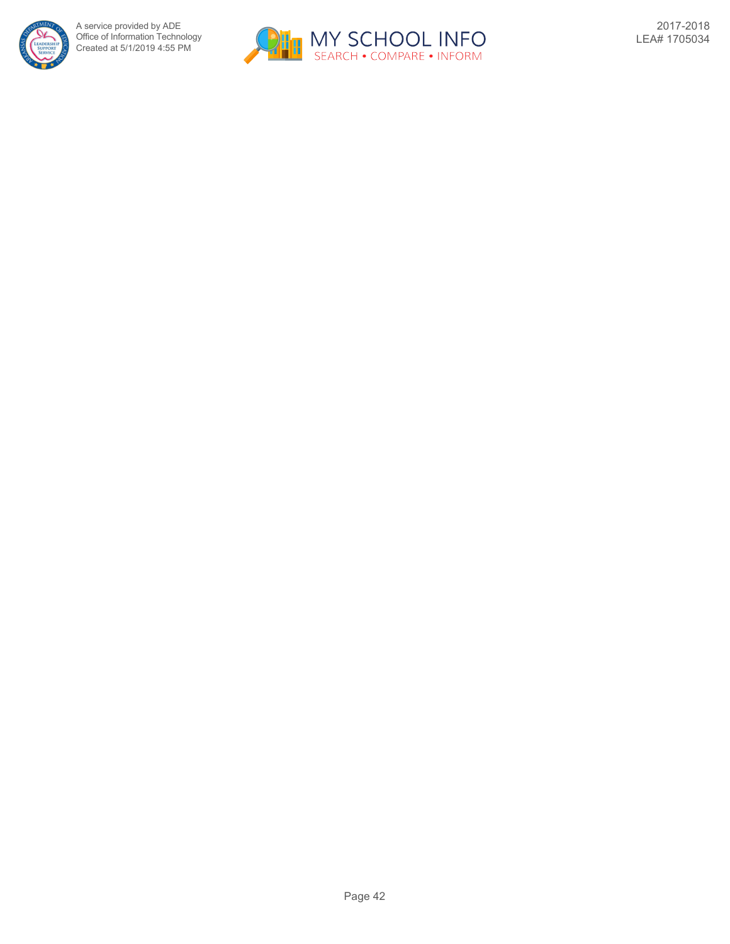

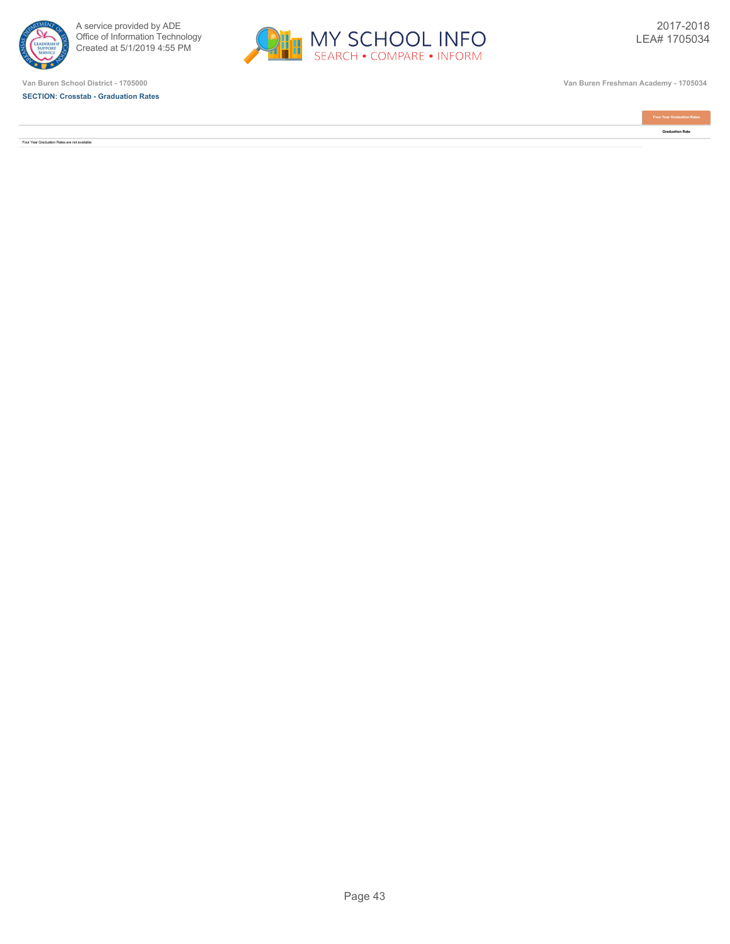

**SECTION: Crosstab - Graduation Rates**



**Van Buren School District - 1705000 Van Buren Freshman Academy - 1705034**



Four Year Graduation Rates are not available.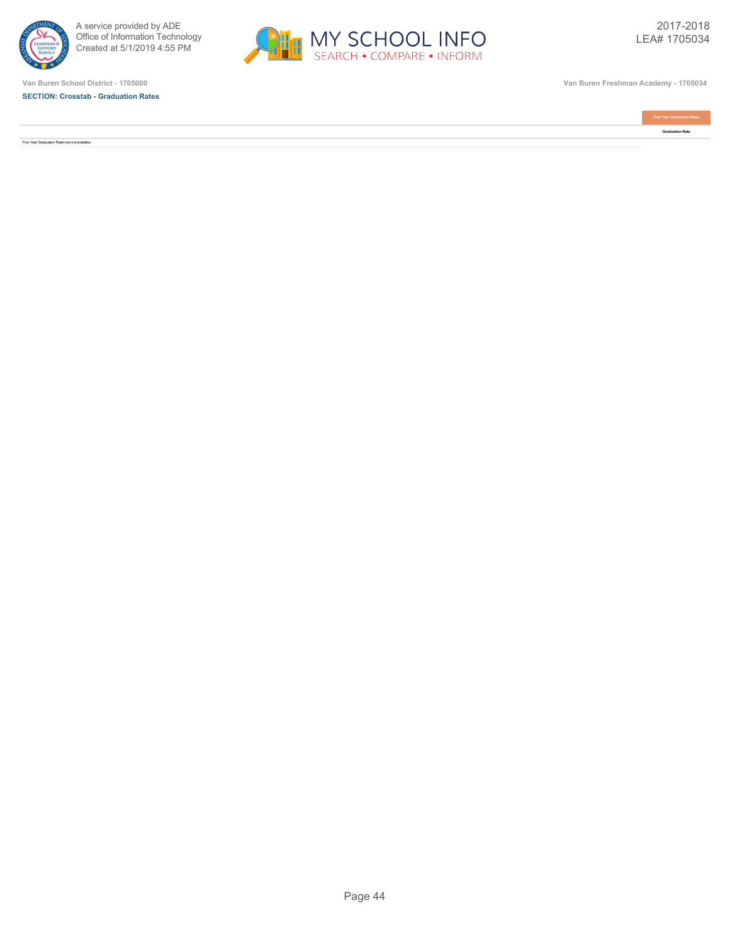

**SECTION: Crosstab - Graduation Rates**



**Van Buren School District - 1705000 Van Buren Freshman Academy - 1705034**



Five Year Graduation Rates are not available.